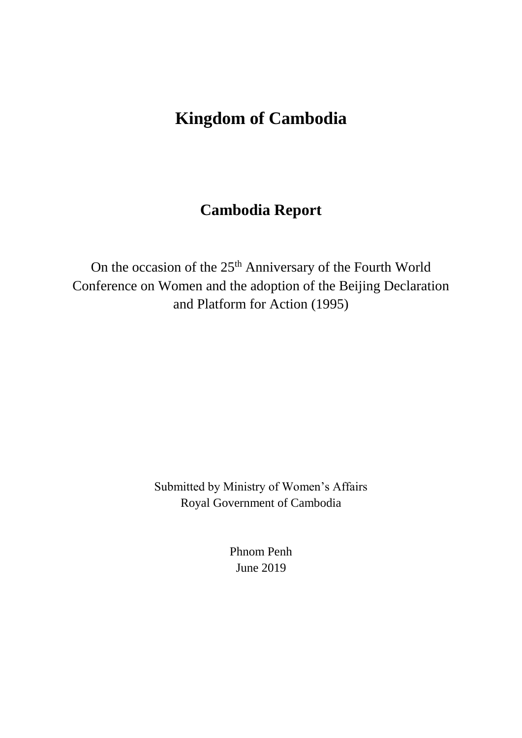# **Kingdom of Cambodia**

# **Cambodia Report**

On the occasion of the 25<sup>th</sup> Anniversary of the Fourth World Conference on Women and the adoption of the Beijing Declaration and Platform for Action (1995)

> Submitted by Ministry of Women's Affairs Royal Government of Cambodia

> > Phnom Penh June 2019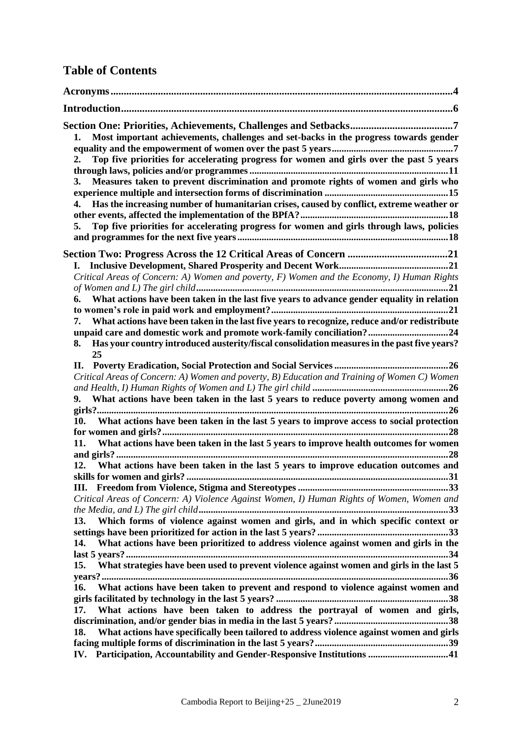# **Table of Contents**

| Most important achievements, challenges and set-backs in the progress towards gender<br>1.<br>Top five priorities for accelerating progress for women and girls over the past 5 years<br>2.<br>Measures taken to prevent discrimination and promote rights of women and girls who<br>3.<br>Has the increasing number of humanitarian crises, caused by conflict, extreme weather or<br>4.<br>Top five priorities for accelerating progress for women and girls through laws, policies<br>5. |
|---------------------------------------------------------------------------------------------------------------------------------------------------------------------------------------------------------------------------------------------------------------------------------------------------------------------------------------------------------------------------------------------------------------------------------------------------------------------------------------------|
|                                                                                                                                                                                                                                                                                                                                                                                                                                                                                             |
| L.<br>Critical Areas of Concern: A) Women and poverty, F) Women and the Economy, I) Human Rights                                                                                                                                                                                                                                                                                                                                                                                            |
| What actions have been taken in the last five years to advance gender equality in relation<br>6.                                                                                                                                                                                                                                                                                                                                                                                            |
|                                                                                                                                                                                                                                                                                                                                                                                                                                                                                             |
| 7. What actions have been taken in the last five years to recognize, reduce and/or redistribute                                                                                                                                                                                                                                                                                                                                                                                             |
| unpaid care and domestic work and promote work-family conciliation?24<br>Has your country introduced austerity/fiscal consolidation measures in the past five years?<br>8.<br>25                                                                                                                                                                                                                                                                                                            |
|                                                                                                                                                                                                                                                                                                                                                                                                                                                                                             |
| Critical Areas of Concern: A) Women and poverty, B) Education and Training of Women C) Women                                                                                                                                                                                                                                                                                                                                                                                                |
| 9. What actions have been taken in the last 5 years to reduce poverty among women and                                                                                                                                                                                                                                                                                                                                                                                                       |
|                                                                                                                                                                                                                                                                                                                                                                                                                                                                                             |
| 10. What actions have been taken in the last 5 years to improve access to social protection                                                                                                                                                                                                                                                                                                                                                                                                 |
| What actions have been taken in the last 5 years to improve health outcomes for women<br>11.                                                                                                                                                                                                                                                                                                                                                                                                |
|                                                                                                                                                                                                                                                                                                                                                                                                                                                                                             |
| 12. What actions have been taken in the last 5 years to improve education outcomes and                                                                                                                                                                                                                                                                                                                                                                                                      |
| 31                                                                                                                                                                                                                                                                                                                                                                                                                                                                                          |
| Critical Areas of Concern: A) Violence Against Women, I) Human Rights of Women, Women and                                                                                                                                                                                                                                                                                                                                                                                                   |
|                                                                                                                                                                                                                                                                                                                                                                                                                                                                                             |
| Which forms of violence against women and girls, and in which specific context or<br>13.                                                                                                                                                                                                                                                                                                                                                                                                    |
|                                                                                                                                                                                                                                                                                                                                                                                                                                                                                             |
| What actions have been prioritized to address violence against women and girls in the<br>14.                                                                                                                                                                                                                                                                                                                                                                                                |
| What strategies have been used to prevent violence against women and girls in the last 5<br>15.                                                                                                                                                                                                                                                                                                                                                                                             |
|                                                                                                                                                                                                                                                                                                                                                                                                                                                                                             |
| What actions have been taken to prevent and respond to violence against women and<br>16.                                                                                                                                                                                                                                                                                                                                                                                                    |
|                                                                                                                                                                                                                                                                                                                                                                                                                                                                                             |
| What actions have been taken to address the portrayal of women and girls,<br>17.                                                                                                                                                                                                                                                                                                                                                                                                            |
| What actions have specifically been tailored to address violence against women and girls<br>18.                                                                                                                                                                                                                                                                                                                                                                                             |
|                                                                                                                                                                                                                                                                                                                                                                                                                                                                                             |
| IV. Participation, Accountability and Gender-Responsive Institutions 41                                                                                                                                                                                                                                                                                                                                                                                                                     |
|                                                                                                                                                                                                                                                                                                                                                                                                                                                                                             |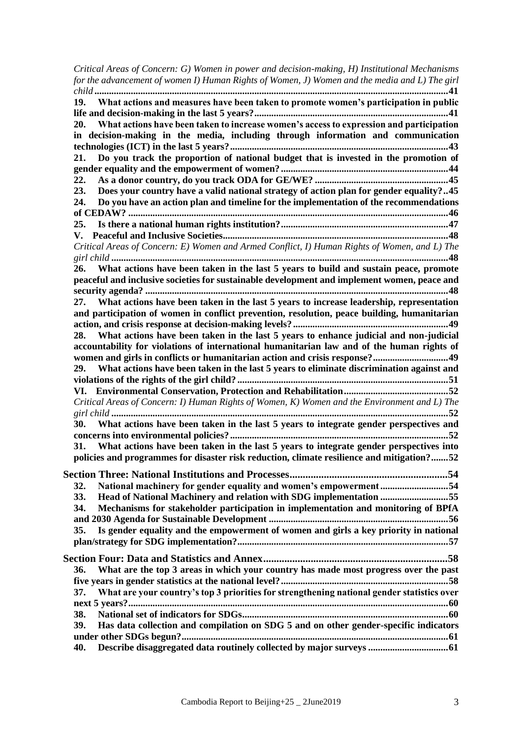| Critical Areas of Concern: G) Women in power and decision-making, H) Institutional Mechanisms     |  |
|---------------------------------------------------------------------------------------------------|--|
| for the advancement of women I) Human Rights of Women, J) Women and the media and L) The girl     |  |
|                                                                                                   |  |
| 19. What actions and measures have been taken to promote women's participation in public          |  |
|                                                                                                   |  |
| 20. What actions have been taken to increase women's access to expression and participation       |  |
| in decision-making in the media, including through information and communication                  |  |
|                                                                                                   |  |
|                                                                                                   |  |
| Do you track the proportion of national budget that is invested in the promotion of<br>21.        |  |
|                                                                                                   |  |
| 22.                                                                                               |  |
| Does your country have a valid national strategy of action plan for gender equality?45<br>23.     |  |
| Do you have an action plan and timeline for the implementation of the recommendations<br>24.      |  |
|                                                                                                   |  |
|                                                                                                   |  |
|                                                                                                   |  |
| Critical Areas of Concern: E) Women and Armed Conflict, I) Human Rights of Women, and L) The      |  |
|                                                                                                   |  |
| 26. What actions have been taken in the last 5 years to build and sustain peace, promote          |  |
| peaceful and inclusive societies for sustainable development and implement women, peace and       |  |
|                                                                                                   |  |
| 27. What actions have been taken in the last 5 years to increase leadership, representation       |  |
| and participation of women in conflict prevention, resolution, peace building, humanitarian       |  |
|                                                                                                   |  |
| 28. What actions have been taken in the last 5 years to enhance judicial and non-judicial         |  |
| accountability for violations of international humanitarian law and of the human rights of        |  |
| women and girls in conflicts or humanitarian action and crisis response?49                        |  |
| 29. What actions have been taken in the last 5 years to eliminate discrimination against and      |  |
|                                                                                                   |  |
|                                                                                                   |  |
|                                                                                                   |  |
| Critical Areas of Concern: I) Human Rights of Women, K) Women and the Environment and L) The      |  |
|                                                                                                   |  |
| 30. What actions have been taken in the last 5 years to integrate gender perspectives and         |  |
|                                                                                                   |  |
| 31. What actions have been taken in the last 5 years to integrate gender perspectives into        |  |
| policies and programmes for disaster risk reduction, climate resilience and mitigation?52         |  |
|                                                                                                   |  |
|                                                                                                   |  |
| National machinery for gender equality and women's empowerment54<br>32.                           |  |
| Head of National Machinery and relation with SDG implementation 55<br>33.                         |  |
| Mechanisms for stakeholder participation in implementation and monitoring of BPfA<br>34.          |  |
|                                                                                                   |  |
| Is gender equality and the empowerment of women and girls a key priority in national<br>35.       |  |
|                                                                                                   |  |
|                                                                                                   |  |
| What are the top 3 areas in which your country has made most progress over the past<br>36.        |  |
|                                                                                                   |  |
|                                                                                                   |  |
| What are your country's top 3 priorities for strengthening national gender statistics over<br>37. |  |
|                                                                                                   |  |
| 38.                                                                                               |  |
| Has data collection and compilation on SDG 5 and on other gender-specific indicators<br>39.       |  |
|                                                                                                   |  |
| Describe disaggregated data routinely collected by major surveys  61<br>40.                       |  |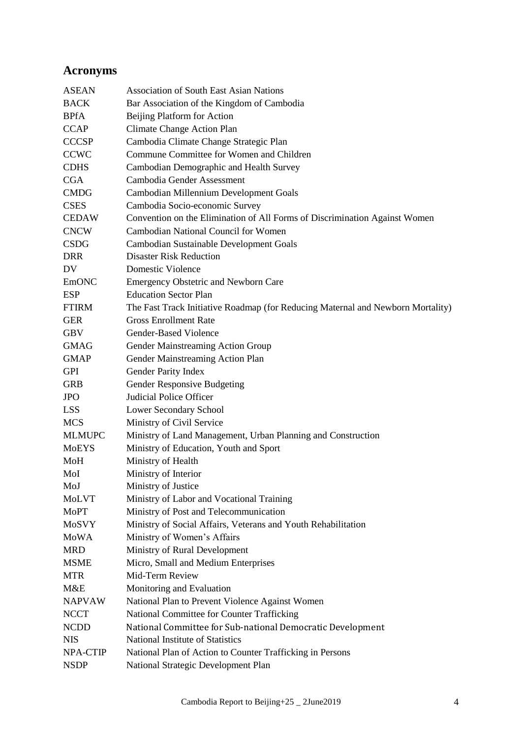# **Acronyms**

| <b>ASEAN</b>  | <b>Association of South East Asian Nations</b>                                  |
|---------------|---------------------------------------------------------------------------------|
| <b>BACK</b>   | Bar Association of the Kingdom of Cambodia                                      |
| <b>BPfA</b>   | Beijing Platform for Action                                                     |
| <b>CCAP</b>   | Climate Change Action Plan                                                      |
| <b>CCCSP</b>  | Cambodia Climate Change Strategic Plan                                          |
| <b>CCWC</b>   | Commune Committee for Women and Children                                        |
| <b>CDHS</b>   | Cambodian Demographic and Health Survey                                         |
| <b>CGA</b>    | Cambodia Gender Assessment                                                      |
| <b>CMDG</b>   | Cambodian Millennium Development Goals                                          |
| <b>CSES</b>   | Cambodia Socio-economic Survey                                                  |
| <b>CEDAW</b>  | Convention on the Elimination of All Forms of Discrimination Against Women      |
| <b>CNCW</b>   | Cambodian National Council for Women                                            |
| <b>CSDG</b>   | Cambodian Sustainable Development Goals                                         |
| <b>DRR</b>    | <b>Disaster Risk Reduction</b>                                                  |
| DV.           | Domestic Violence                                                               |
| <b>EmONC</b>  | <b>Emergency Obstetric and Newborn Care</b>                                     |
| <b>ESP</b>    | <b>Education Sector Plan</b>                                                    |
| <b>FTIRM</b>  | The Fast Track Initiative Roadmap (for Reducing Maternal and Newborn Mortality) |
| <b>GER</b>    | <b>Gross Enrollment Rate</b>                                                    |
| <b>GBV</b>    | <b>Gender-Based Violence</b>                                                    |
| <b>GMAG</b>   | Gender Mainstreaming Action Group                                               |
| <b>GMAP</b>   | Gender Mainstreaming Action Plan                                                |
| <b>GPI</b>    | Gender Parity Index                                                             |
| <b>GRB</b>    | Gender Responsive Budgeting                                                     |
| <b>JPO</b>    | <b>Judicial Police Officer</b>                                                  |
| <b>LSS</b>    | Lower Secondary School                                                          |
| <b>MCS</b>    | Ministry of Civil Service                                                       |
| <b>MLMUPC</b> | Ministry of Land Management, Urban Planning and Construction                    |
| <b>MoEYS</b>  | Ministry of Education, Youth and Sport                                          |
| MoH           | Ministry of Health                                                              |
| MoI           | Ministry of Interior                                                            |
| MoJ           | Ministry of Justice                                                             |
| <b>MoLVT</b>  | Ministry of Labor and Vocational Training                                       |
| <b>MoPT</b>   | Ministry of Post and Telecommunication                                          |
| MoSVY         | Ministry of Social Affairs, Veterans and Youth Rehabilitation                   |
| <b>MoWA</b>   | Ministry of Women's Affairs                                                     |
| <b>MRD</b>    | Ministry of Rural Development                                                   |
| <b>MSME</b>   | Micro, Small and Medium Enterprises                                             |
| <b>MTR</b>    | Mid-Term Review                                                                 |
| M&E           | Monitoring and Evaluation                                                       |
| <b>NAPVAW</b> | National Plan to Prevent Violence Against Women                                 |
| <b>NCCT</b>   | National Committee for Counter Trafficking                                      |
| <b>NCDD</b>   | National Committee for Sub-national Democratic Development                      |
| <b>NIS</b>    | National Institute of Statistics                                                |
| NPA-CTIP      | National Plan of Action to Counter Trafficking in Persons                       |
| <b>NSDP</b>   | National Strategic Development Plan                                             |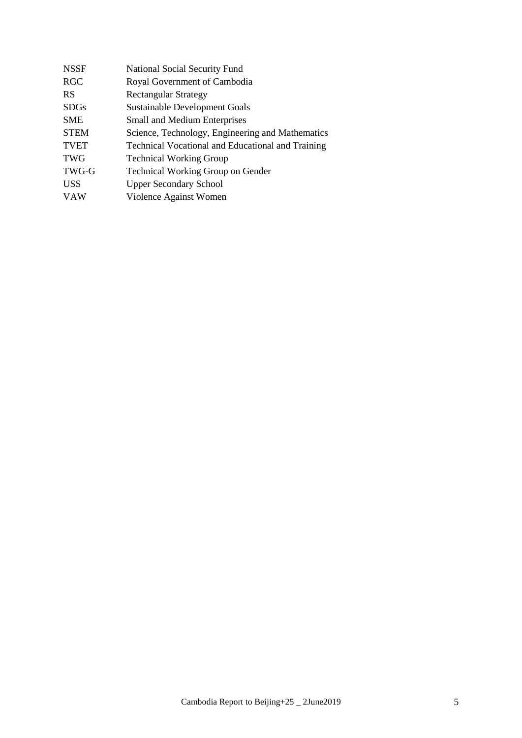| <b>NSSF</b> | <b>National Social Security Fund</b>                     |
|-------------|----------------------------------------------------------|
| <b>RGC</b>  | Royal Government of Cambodia                             |
| <b>RS</b>   | <b>Rectangular Strategy</b>                              |
| <b>SDGs</b> | Sustainable Development Goals                            |
| <b>SME</b>  | <b>Small and Medium Enterprises</b>                      |
| <b>STEM</b> | Science, Technology, Engineering and Mathematics         |
| <b>TVET</b> | <b>Technical Vocational and Educational and Training</b> |
| <b>TWG</b>  | <b>Technical Working Group</b>                           |
| TWG-G       | <b>Technical Working Group on Gender</b>                 |
| <b>USS</b>  | <b>Upper Secondary School</b>                            |
| <b>VAW</b>  | Violence Against Women                                   |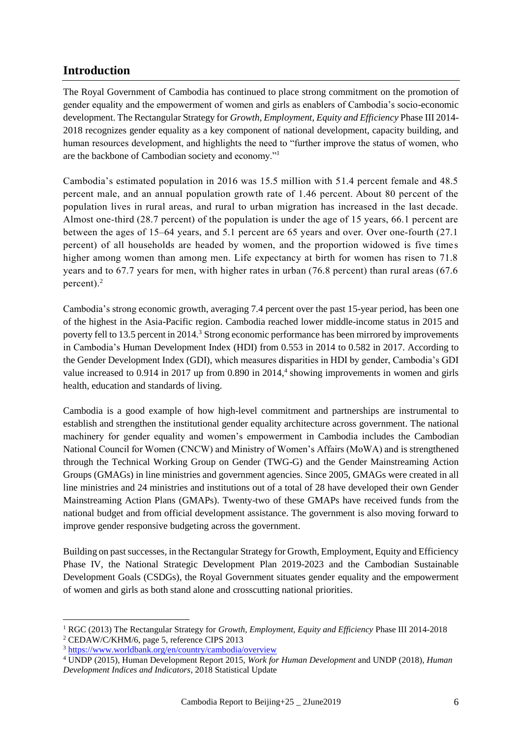# **Introduction**

The Royal Government of Cambodia has continued to place strong commitment on the promotion of gender equality and the empowerment of women and girls as enablers of Cambodia's socio-economic development. The Rectangular Strategy for *Growth, Employment, Equity and Efficiency* Phase III 2014- 2018 recognizes gender equality as a key component of national development, capacity building, and human resources development, and highlights the need to "further improve the status of women, who are the backbone of Cambodian society and economy."<sup>1</sup>

Cambodia's estimated population in 2016 was 15.5 million with 51.4 percent female and 48.5 percent male, and an annual population growth rate of 1.46 percent. About 80 percent of the population lives in rural areas, and rural to urban migration has increased in the last decade. Almost one-third (28.7 percent) of the population is under the age of 15 years, 66.1 percent are between the ages of 15–64 years, and 5.1 percent are 65 years and over. Over one-fourth (27.1 percent) of all households are headed by women, and the proportion widowed is five times higher among women than among men. Life expectancy at birth for women has risen to 71.8 years and to 67.7 years for men, with higher rates in urban (76.8 percent) than rural areas (67.6 percent). $^{2}$ 

Cambodia's strong economic growth, averaging 7.4 percent over the past 15-year period, has been one of the highest in the Asia-Pacific region. Cambodia reached lower middle-income status in 2015 and poverty fell to 13.5 percent in 2014.<sup>3</sup> Strong economic performance has been mirrored by improvements in Cambodia's Human Development Index (HDI) from 0.553 in 2014 to 0.582 in 2017. According to the Gender Development Index (GDI), which measures disparities in HDI by gender, Cambodia's GDI value increased to 0.914 in 2017 up from 0.890 in 2014,<sup>4</sup> showing improvements in women and girls health, education and standards of living.

Cambodia is a good example of how high-level commitment and partnerships are instrumental to establish and strengthen the institutional gender equality architecture across government. The national machinery for gender equality and women's empowerment in Cambodia includes the Cambodian National Council for Women (CNCW) and Ministry of Women's Affairs (MoWA) and is strengthened through the Technical Working Group on Gender (TWG-G) and the Gender Mainstreaming Action Groups (GMAGs) in line ministries and government agencies. Since 2005, GMAGs were created in all line ministries and 24 ministries and institutions out of a total of 28 have developed their own Gender Mainstreaming Action Plans (GMAPs). Twenty-two of these GMAPs have received funds from the national budget and from official development assistance. The government is also moving forward to improve gender responsive budgeting across the government.

Building on past successes, in the Rectangular Strategy for Growth, Employment, Equity and Efficiency Phase IV, the National Strategic Development Plan 2019-2023 and the Cambodian Sustainable Development Goals (CSDGs), the Royal Government situates gender equality and the empowerment of women and girls as both stand alone and crosscutting national priorities.

<sup>1</sup> RGC (2013) The Rectangular Strategy for *Growth, Employment, Equity and Efficiency* Phase III 2014-2018 <sup>2</sup> CEDAW/C/KHM/6, page 5, reference CIPS 2013

<sup>3</sup> <https://www.worldbank.org/en/country/cambodia/overview>

<sup>4</sup> UNDP (2015), Human Development Report 2015, *Work for Human Development* and UNDP (2018), *Human Development Indices and Indicators*, 2018 Statistical Update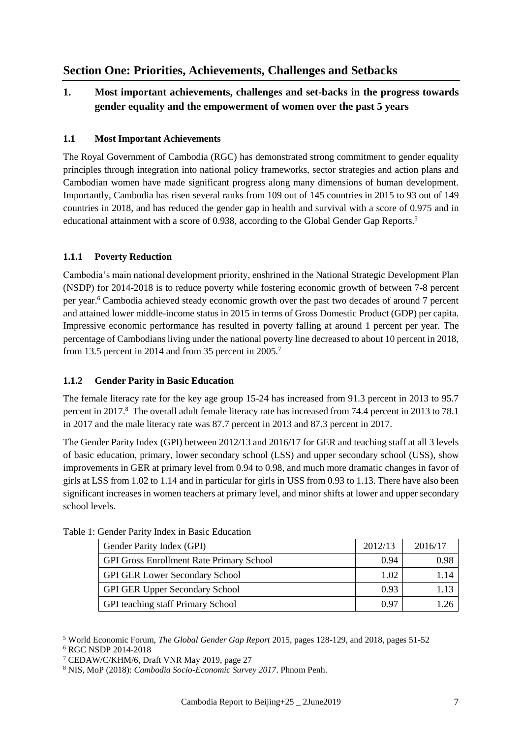# **Section One: Priorities, Achievements, Challenges and Setbacks**

## **1. Most important achievements, challenges and set-backs in the progress towards gender equality and the empowerment of women over the past 5 years**

## **1.1 Most Important Achievements**

The Royal Government of Cambodia (RGC) has demonstrated strong commitment to gender equality principles through integration into national policy frameworks, sector strategies and action plans and Cambodian women have made significant progress along many dimensions of human development. Importantly, Cambodia has risen several ranks from 109 out of 145 countries in 2015 to 93 out of 149 countries in 2018, and has reduced the gender gap in health and survival with a score of 0.975 and in educational attainment with a score of 0.938, according to the Global Gender Gap Reports.<sup>5</sup>

## **1.1.1 Poverty Reduction**

Cambodia's main national development priority, enshrined in the National Strategic Development Plan (NSDP) for 2014-2018 is to reduce poverty while fostering economic growth of between 7-8 percent per year.<sup>6</sup> Cambodia achieved steady economic growth over the past two decades of around 7 percent and attained lower middle-income status in 2015 in terms of Gross Domestic Product (GDP) per capita. Impressive economic performance has resulted in poverty falling at around 1 percent per year. The percentage of Cambodians living under the national poverty line decreased to about 10 percent in 2018, from 13.5 percent in 2014 and from 35 percent in 2005.<sup>7</sup>

## **1.1.2 Gender Parity in Basic Education**

The female literacy rate for the key age group 15-24 has increased from 91.3 percent in 2013 to 95.7 percent in 2017. <sup>8</sup> The overall adult female literacy rate has increased from 74.4 percent in 2013 to 78.1 in 2017 and the male literacy rate was 87.7 percent in 2013 and 87.3 percent in 2017.

The Gender Parity Index (GPI) between 2012/13 and 2016/17 for GER and teaching staff at all 3 levels of basic education, primary, lower secondary school (LSS) and upper secondary school (USS), show improvements in GER at primary level from 0.94 to 0.98, and much more dramatic changes in favor of girls at LSS from 1.02 to 1.14 and in particular for girls in USS from 0.93 to 1.13. There have also been significant increases in women teachers at primary level, and minor shifts at lower and upper secondary school levels.

| Gender Parity Index (GPI)                       | 2012/13 | 2016/17 |
|-------------------------------------------------|---------|---------|
| <b>GPI Gross Enrollment Rate Primary School</b> | 0.94    | 0.98    |
| <b>GPI GER Lower Secondary School</b>           | 1.02    | 1.14    |
| <b>GPI GER Upper Secondary School</b>           | 0.93    |         |
| <b>GPI</b> teaching staff Primary School        | 0.97    |         |

Table 1: Gender Parity Index in Basic Education

<sup>5</sup> World Economic Forum, *The Global Gender Gap Report* 2015, pages 128-129, and 2018, pages 51-52 <sup>6</sup> RGC NSDP 2014-2018

<sup>7</sup> CEDAW/C/KHM/6, Draft VNR May 2019, page 27

<sup>8</sup> NIS, MoP (2018): *Cambodia Socio-Economic Survey 2017*. Phnom Penh.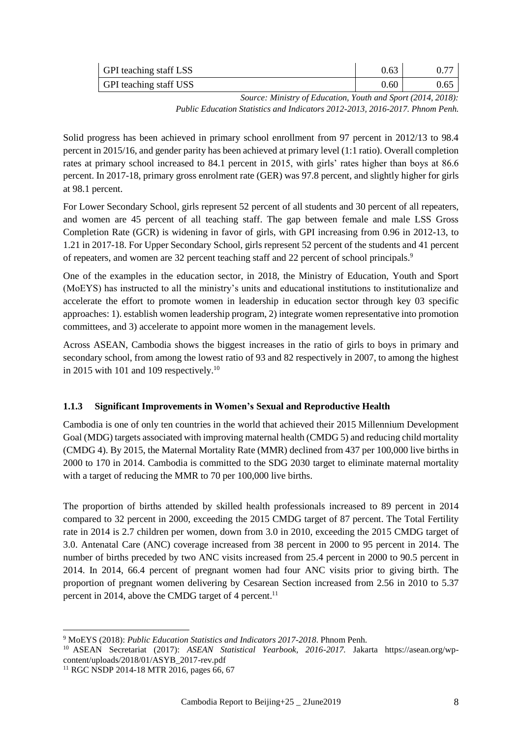| GPI teaching staff LSS | 0.63 |      |
|------------------------|------|------|
| GPI teaching staff USS | 0.60 | 0.65 |

*Source: Ministry of Education, Youth and Sport (2014, 2018):* 

*Public Education Statistics and Indicators 2012-2013, 2016-2017. Phnom Penh.*

Solid progress has been achieved in primary school enrollment from 97 percent in 2012/13 to 98.4 percent in 2015/16, and gender parity has been achieved at primary level (1:1 ratio). Overall completion rates at primary school increased to 84.1 percent in 2015, with girls' rates higher than boys at 86.6 percent. In 2017-18, primary gross enrolment rate (GER) was 97.8 percent, and slightly higher for girls at 98.1 percent.

For Lower Secondary School, girls represent 52 percent of all students and 30 percent of all repeaters, and women are 45 percent of all teaching staff. The gap between female and male LSS Gross Completion Rate (GCR) is widening in favor of girls, with GPI increasing from 0.96 in 2012-13, to 1.21 in 2017-18. For Upper Secondary School, girls represent 52 percent of the students and 41 percent of repeaters, and women are 32 percent teaching staff and 22 percent of school principals.<sup>9</sup>

One of the examples in the education sector, in 2018, the Ministry of Education, Youth and Sport (MoEYS) has instructed to all the ministry's units and educational institutions to institutionalize and accelerate the effort to promote women in leadership in education sector through key 03 specific approaches: 1). establish women leadership program, 2) integrate women representative into promotion committees, and 3) accelerate to appoint more women in the management levels.

Across ASEAN, Cambodia shows the biggest increases in the ratio of girls to boys in primary and secondary school, from among the lowest ratio of 93 and 82 respectively in 2007, to among the highest in 2015 with 101 and 109 respectively.<sup>10</sup>

## **1.1.3 Significant Improvements in Women's Sexual and Reproductive Health**

Cambodia is one of only ten countries in the world that achieved their 2015 Millennium Development Goal (MDG) targets associated with improving maternal health (CMDG 5) and reducing child mortality (CMDG 4). By 2015, the Maternal Mortality Rate (MMR) declined from 437 per 100,000 live births in 2000 to 170 in 2014. Cambodia is committed to the SDG 2030 target to eliminate maternal mortality with a target of reducing the MMR to 70 per 100,000 live births.

The proportion of births attended by skilled health professionals increased to 89 percent in 2014 compared to 32 percent in 2000, exceeding the 2015 CMDG target of 87 percent. The Total Fertility rate in 2014 is 2.7 children per women, down from 3.0 in 2010, exceeding the 2015 CMDG target of 3.0. Antenatal Care (ANC) coverage increased from 38 percent in 2000 to 95 percent in 2014. The number of births preceded by two ANC visits increased from 25.4 percent in 2000 to 90.5 percent in 2014. In 2014, 66.4 percent of pregnant women had four ANC visits prior to giving birth. The proportion of pregnant women delivering by Cesarean Section increased from 2.56 in 2010 to 5.37 percent in 2014, above the CMDG target of 4 percent.<sup>11</sup>

<sup>9</sup> MoEYS (2018): *Public Education Statistics and Indicators 2017-2018*. Phnom Penh.

<sup>10</sup> ASEAN Secretariat (2017): *ASEAN Statistical Yearbook, 2016-2017.* Jakarta https://asean.org/wpcontent/uploads/2018/01/ASYB\_2017-rev.pdf

<sup>&</sup>lt;sup>11</sup> RGC NSDP 2014-18 MTR 2016, pages 66, 67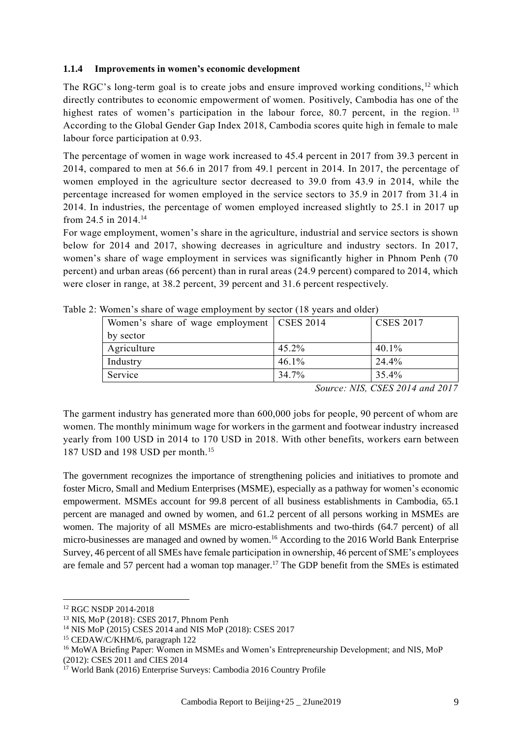#### **1.1.4 Improvements in women's economic development**

The RGC's long-term goal is to create jobs and ensure improved working conditions, <sup>12</sup> which directly contributes to economic empowerment of women. Positively, Cambodia has one of the highest rates of women's participation in the labour force,  $80.7$  percent, in the region. <sup>13</sup> According to the Global Gender Gap Index 2018, Cambodia scores quite high in female to male labour force participation at 0.93.

The percentage of women in wage work increased to 45.4 percent in 2017 from 39.3 percent in 2014, compared to men at 56.6 in 2017 from 49.1 percent in 2014. In 2017, the percentage of women employed in the agriculture sector decreased to 39.0 from 43.9 in 2014, while the percentage increased for women employed in the service sectors to 35.9 in 2017 from 31.4 in 2014. In industries, the percentage of women employed increased slightly to 25.1 in 2017 up from 24.5 in 2014.<sup>14</sup>

For wage employment, women's share in the agriculture, industrial and service sectors is shown below for 2014 and 2017, showing decreases in agriculture and industry sectors. In 2017, women's share of wage employment in services was significantly higher in Phnom Penh (70 percent) and urban areas (66 percent) than in rural areas (24.9 percent) compared to 2014, which were closer in range, at 38.2 percent, 39 percent and 31.6 percent respectively.

| Women's share of wage employment   CSES 2014 |       | <b>CSES 2017</b> |
|----------------------------------------------|-------|------------------|
| by sector                                    |       |                  |
| Agriculture                                  | 45.2% | 40.1%            |
| Industry                                     | 46.1% | 24.4%            |
| Service                                      | 34.7% | 35.4%            |

Table 2: Women's share of wage employment by sector (18 years and older)

*Source: NIS, CSES 2014 and 2017*

The garment industry has generated more than 600,000 jobs for people, 90 percent of whom are women. The monthly minimum wage for workers in the garment and footwear industry increased yearly from 100 USD in 2014 to 170 USD in 2018. With other benefits, workers earn between 187 USD and 198 USD per month.<sup>15</sup>

The government recognizes the importance of strengthening policies and initiatives to promote and foster Micro, Small and Medium Enterprises (MSME), especially as a pathway for women's economic empowerment. MSMEs account for 99.8 percent of all business establishments in Cambodia, 65.1 percent are managed and owned by women, and 61.2 percent of all persons working in MSMEs are women. The majority of all MSMEs are micro-establishments and two-thirds (64.7 percent) of all micro-businesses are managed and owned by women.<sup>16</sup> According to the 2016 World Bank Enterprise Survey, 46 percent of all SMEs have female participation in ownership, 46 percent of SME's employees are female and 57 percent had a woman top manager.<sup>17</sup> The GDP benefit from the SMEs is estimated

<sup>12</sup> RGC NSDP 2014-2018

<sup>13</sup> NIS, MoP (2018): CSES 2017, Phnom Penh

<sup>14</sup> NIS MoP (2015) CSES 2014 and NIS MoP (2018): CSES 2017

<sup>15</sup> CEDAW/C/KHM/6, paragraph 122

<sup>&</sup>lt;sup>16</sup> MoWA Briefing Paper: Women in MSMEs and Women's Entrepreneurship Development; and NIS, MoP (2012): CSES 2011 and CIES 2014

<sup>17</sup> World Bank (2016) Enterprise Surveys: Cambodia 2016 Country Profile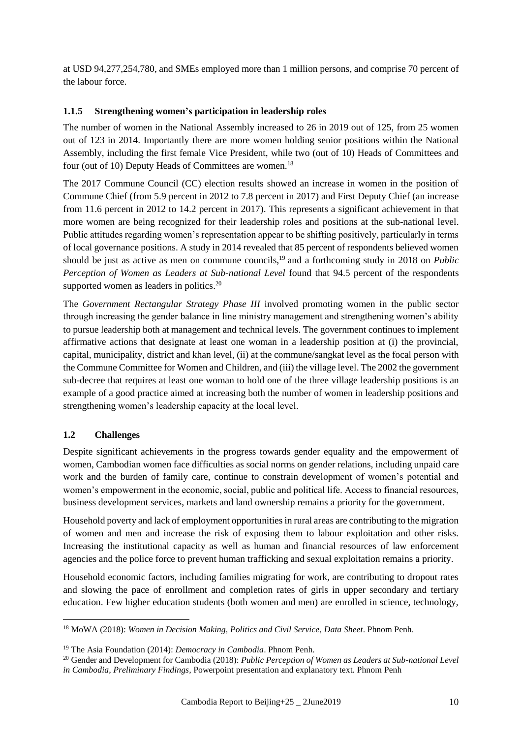at USD 94,277,254,780, and SMEs employed more than 1 million persons, and comprise 70 percent of the labour force.

#### **1.1.5 Strengthening women's participation in leadership roles**

The number of women in the National Assembly increased to 26 in 2019 out of 125, from 25 women out of 123 in 2014. Importantly there are more women holding senior positions within the National Assembly, including the first female Vice President, while two (out of 10) Heads of Committees and four (out of 10) Deputy Heads of Committees are women.<sup>18</sup>

The 2017 Commune Council (CC) election results showed an increase in women in the position of Commune Chief (from 5.9 percent in 2012 to 7.8 percent in 2017) and First Deputy Chief (an increase from 11.6 percent in 2012 to 14.2 percent in 2017). This represents a significant achievement in that more women are being recognized for their leadership roles and positions at the sub-national level. Public attitudes regarding women's representation appear to be shifting positively, particularly in terms of local governance positions. A study in 2014 revealed that 85 percent of respondents believed women should be just as active as men on commune councils, <sup>19</sup> and a forthcoming study in 2018 on *Public Perception of Women as Leaders at Sub-national Level* found that 94.5 percent of the respondents supported women as leaders in politics.<sup>20</sup>

The *Government Rectangular Strategy Phase III* involved promoting women in the public sector through increasing the gender balance in line ministry management and strengthening women's ability to pursue leadership both at management and technical levels. The government continues to implement affirmative actions that designate at least one woman in a leadership position at (i) the provincial, capital, municipality, district and khan level, (ii) at the commune/sangkat level as the focal person with the Commune Committee for Women and Children, and (iii) the village level. The 2002 the government sub-decree that requires at least one woman to hold one of the three village leadership positions is an example of a good practice aimed at increasing both the number of women in leadership positions and strengthening women's leadership capacity at the local level.

## **1.2 Challenges**

1

Despite significant achievements in the progress towards gender equality and the empowerment of women, Cambodian women face difficulties as social norms on gender relations, including unpaid care work and the burden of family care, continue to constrain development of women's potential and women's empowerment in the economic, social, public and political life. Access to financial resources, business development services, markets and land ownership remains a priority for the government.

Household poverty and lack of employment opportunities in rural areas are contributing to the migration of women and men and increase the risk of exposing them to labour exploitation and other risks. Increasing the institutional capacity as well as human and financial resources of law enforcement agencies and the police force to prevent human trafficking and sexual exploitation remains a priority.

Household economic factors, including families migrating for work, are contributing to dropout rates and slowing the pace of enrollment and completion rates of girls in upper secondary and tertiary education. Few higher education students (both women and men) are enrolled in science, technology,

<sup>18</sup> MoWA (2018): *Women in Decision Making, Politics and Civil Service, Data Sheet*. Phnom Penh.

<sup>19</sup> The Asia Foundation (2014): *Democracy in Cambodia*. Phnom Penh.

<sup>20</sup> Gender and Development for Cambodia (2018): *Public Perception of Women as Leaders at Sub-national Level in Cambodia, Preliminary Findings,* Powerpoint presentation and explanatory text. Phnom Penh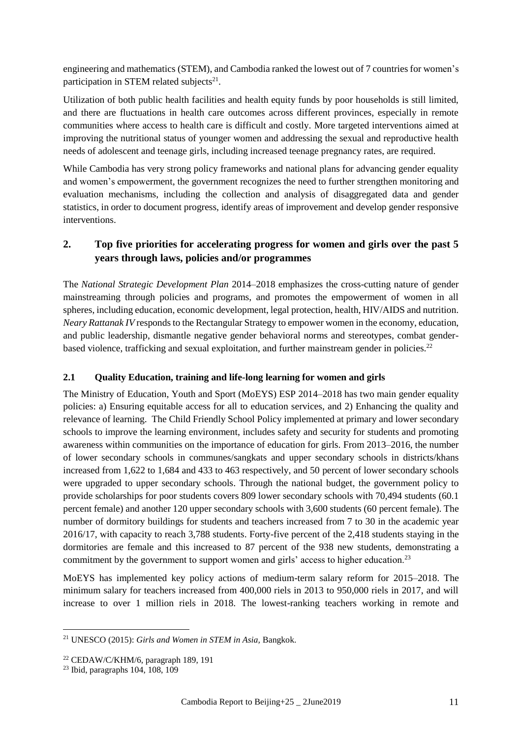engineering and mathematics (STEM), and Cambodia ranked the lowest out of 7 countries for women's participation in STEM related subjects<sup>21</sup>.

Utilization of both public health facilities and health equity funds by poor households is still limited, and there are fluctuations in health care outcomes across different provinces, especially in remote communities where access to health care is difficult and costly. More targeted interventions aimed at improving the nutritional status of younger women and addressing the sexual and reproductive health needs of adolescent and teenage girls, including increased teenage pregnancy rates, are required.

While Cambodia has very strong policy frameworks and national plans for advancing gender equality and women's empowerment, the government recognizes the need to further strengthen monitoring and evaluation mechanisms, including the collection and analysis of disaggregated data and gender statistics, in order to document progress, identify areas of improvement and develop gender responsive interventions.

## **2. Top five priorities for accelerating progress for women and girls over the past 5 years through laws, policies and/or programmes**

The *National Strategic Development Plan* 2014–2018 emphasizes the cross-cutting nature of gender mainstreaming through policies and programs, and promotes the empowerment of women in all spheres, including education, economic development, legal protection, health, HIV/AIDS and nutrition. *Neary Rattanak IV* responds to the Rectangular Strategy to empower women in the economy, education, and public leadership, dismantle negative gender behavioral norms and stereotypes, combat genderbased violence, trafficking and sexual exploitation, and further mainstream gender in policies.<sup>22</sup>

## **2.1 Quality Education, training and life-long learning for women and girls**

The Ministry of Education, Youth and Sport (MoEYS) ESP 2014–2018 has two main gender equality policies: a) Ensuring equitable access for all to education services, and 2) Enhancing the quality and relevance of learning. The Child Friendly School Policy implemented at primary and lower secondary schools to improve the learning environment, includes safety and security for students and promoting awareness within communities on the importance of education for girls. From 2013–2016, the number of lower secondary schools in communes/sangkats and upper secondary schools in districts/khans increased from 1,622 to 1,684 and 433 to 463 respectively, and 50 percent of lower secondary schools were upgraded to upper secondary schools. Through the national budget, the government policy to provide scholarships for poor students covers 809 lower secondary schools with 70,494 students (60.1 percent female) and another 120 upper secondary schools with 3,600 students (60 percent female). The number of dormitory buildings for students and teachers increased from 7 to 30 in the academic year 2016/17, with capacity to reach 3,788 students. Forty-five percent of the 2,418 students staying in the dormitories are female and this increased to 87 percent of the 938 new students, demonstrating a commitment by the government to support women and girls' access to higher education.<sup>23</sup>

MoEYS has implemented key policy actions of medium-term salary reform for 2015–2018. The minimum salary for teachers increased from 400,000 riels in 2013 to 950,000 riels in 2017, and will increase to over 1 million riels in 2018. The lowest-ranking teachers working in remote and

<sup>21</sup> UNESCO (2015): *Girls and Women in STEM in Asia,* Bangkok.

 $22$  CEDAW/C/KHM/6, paragraph 189, 191

<sup>23</sup> Ibid, paragraphs 104, 108, 109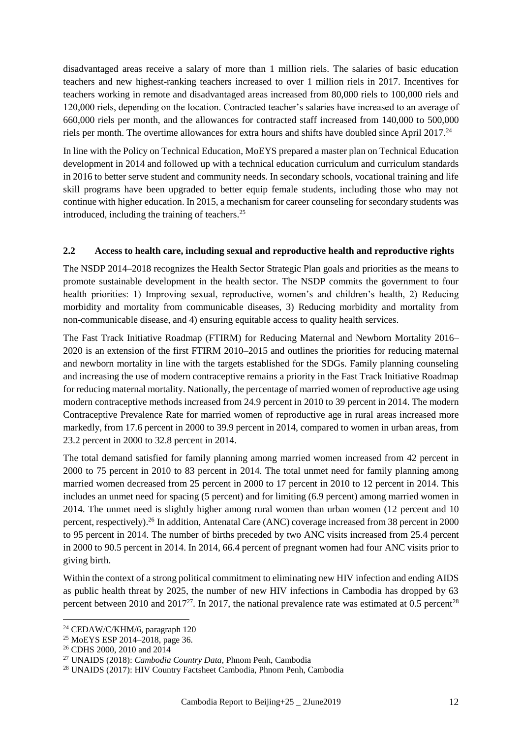disadvantaged areas receive a salary of more than 1 million riels. The salaries of basic education teachers and new highest-ranking teachers increased to over 1 million riels in 2017. Incentives for teachers working in remote and disadvantaged areas increased from 80,000 riels to 100,000 riels and 120,000 riels, depending on the location. Contracted teacher's salaries have increased to an average of 660,000 riels per month, and the allowances for contracted staff increased from 140,000 to 500,000 riels per month. The overtime allowances for extra hours and shifts have doubled since April 2017.<sup>24</sup>

In line with the Policy on Technical Education, MoEYS prepared a master plan on Technical Education development in 2014 and followed up with a technical education curriculum and curriculum standards in 2016 to better serve student and community needs. In secondary schools, vocational training and life skill programs have been upgraded to better equip female students, including those who may not continue with higher education. In 2015, a mechanism for career counseling for secondary students was introduced, including the training of teachers.<sup>25</sup>

#### **2.2 Access to health care, including sexual and reproductive health and reproductive rights**

The NSDP 2014–2018 recognizes the Health Sector Strategic Plan goals and priorities as the means to promote sustainable development in the health sector. The NSDP commits the government to four health priorities: 1) Improving sexual, reproductive, women's and children's health, 2) Reducing morbidity and mortality from communicable diseases, 3) Reducing morbidity and mortality from non-communicable disease, and 4) ensuring equitable access to quality health services.

The Fast Track Initiative Roadmap (FTIRM) for Reducing Maternal and Newborn Mortality 2016– 2020 is an extension of the first FTIRM 2010–2015 and outlines the priorities for reducing maternal and newborn mortality in line with the targets established for the SDGs. Family planning counseling and increasing the use of modern contraceptive remains a priority in the Fast Track Initiative Roadmap for reducing maternal mortality. Nationally, the percentage of married women of reproductive age using modern contraceptive methods increased from 24.9 percent in 2010 to 39 percent in 2014. The modern Contraceptive Prevalence Rate for married women of reproductive age in rural areas increased more markedly, from 17.6 percent in 2000 to 39.9 percent in 2014, compared to women in urban areas, from 23.2 percent in 2000 to 32.8 percent in 2014.

The total demand satisfied for family planning among married women increased from 42 percent in 2000 to 75 percent in 2010 to 83 percent in 2014. The total unmet need for family planning among married women decreased from 25 percent in 2000 to 17 percent in 2010 to 12 percent in 2014. This includes an unmet need for spacing (5 percent) and for limiting (6.9 percent) among married women in 2014. The unmet need is slightly higher among rural women than urban women (12 percent and 10 percent, respectively).<sup>26</sup> In addition, Antenatal Care (ANC) coverage increased from 38 percent in 2000 to 95 percent in 2014. The number of births preceded by two ANC visits increased from 25.4 percent in 2000 to 90.5 percent in 2014. In 2014, 66.4 percent of pregnant women had four ANC visits prior to giving birth.

Within the context of a strong political commitment to eliminating new HIV infection and ending AIDS as public health threat by 2025, the number of new HIV infections in Cambodia has dropped by 63 percent between 2010 and 2017<sup>27</sup>. In 2017, the national prevalence rate was estimated at 0.5 percent<sup>28</sup>

<sup>&</sup>lt;u>.</u> <sup>24</sup> CEDAW/C/KHM/6, paragraph 120

<sup>25</sup> MoEYS ESP 2014–2018, page 36.

<sup>26</sup> CDHS 2000, 2010 and 2014

<sup>27</sup> UNAIDS (2018): *Cambodia Country Data*, Phnom Penh, Cambodia

<sup>28</sup> UNAIDS (2017): HIV Country Factsheet Cambodia, Phnom Penh, Cambodia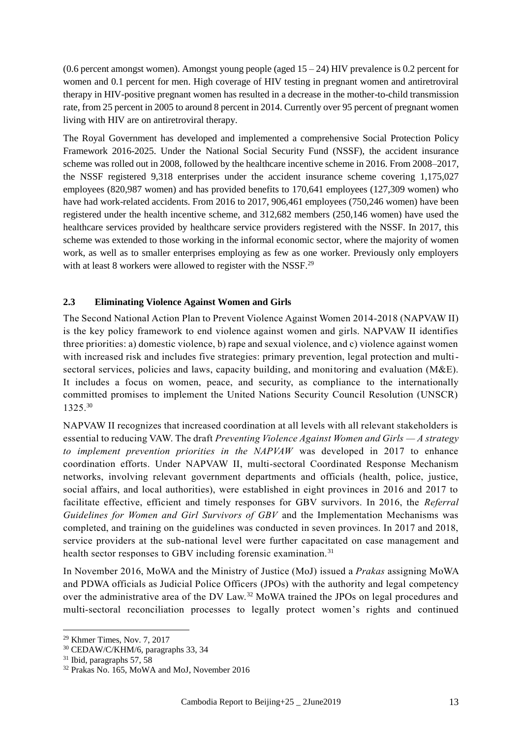$(0.6$  percent amongst women). Amongst young people (aged  $15 - 24$ ) HIV prevalence is 0.2 percent for women and 0.1 percent for men. High coverage of HIV testing in pregnant women and antiretroviral therapy in HIV-positive pregnant women has resulted in a decrease in the mother-to-child transmission rate, from 25 percent in 2005 to around 8 percent in 2014. Currently over 95 percent of pregnant women living with HIV are on antiretroviral therapy.

The Royal Government has developed and implemented a comprehensive Social Protection Policy Framework 2016-2025. Under the National Social Security Fund (NSSF), the accident insurance scheme was rolled out in 2008, followed by the healthcare incentive scheme in 2016. From 2008–2017, the NSSF registered 9,318 enterprises under the accident insurance scheme covering 1,175,027 employees (820,987 women) and has provided benefits to 170,641 employees (127,309 women) who have had work-related accidents. From 2016 to 2017, 906,461 employees (750,246 women) have been registered under the health incentive scheme, and 312,682 members (250,146 women) have used the healthcare services provided by healthcare service providers registered with the NSSF. In 2017, this scheme was extended to those working in the informal economic sector, where the majority of women work, as well as to smaller enterprises employing as few as one worker. Previously only employers with at least 8 workers were allowed to register with the NSSF.<sup>29</sup>

#### **2.3 Eliminating Violence Against Women and Girls**

The Second National Action Plan to Prevent Violence Against Women 2014-2018 (NAPVAW II) is the key policy framework to end violence against women and girls. NAPVAW II identifies three priorities: a) domestic violence, b) rape and sexual violence, and c) violence against women with increased risk and includes five strategies: primary prevention, legal protection and multisectoral services, policies and laws, capacity building, and monitoring and evaluation (M&E). It includes a focus on women, peace, and security, as compliance to the internationally committed promises to implement the United Nations Security Council Resolution (UNSCR) 1325. 30

NAPVAW II recognizes that increased coordination at all levels with all relevant stakeholders is essential to reducing VAW. The draft *Preventing Violence Against Women and Girls — A strategy to implement prevention priorities in the NAPVAW* was developed in 2017 to enhance coordination efforts. Under NAPVAW II, multi-sectoral Coordinated Response Mechanism networks, involving relevant government departments and officials (health, police, justice, social affairs, and local authorities), were established in eight provinces in 2016 and 2017 to facilitate effective, efficient and timely responses for GBV survivors. In 2016, the *Referral Guidelines for Women and Girl Survivors of GBV* and the Implementation Mechanisms was completed, and training on the guidelines was conducted in seven provinces. In 2017 and 2018, service providers at the sub-national level were further capacitated on case management and health sector responses to GBV including forensic examination.<sup>31</sup>

In November 2016, MoWA and the Ministry of Justice (MoJ) issued a *Prakas* assigning MoWA and PDWA officials as Judicial Police Officers (JPOs) with the authority and legal competency over the administrative area of the DV Law.<sup>32</sup> MoWA trained the JPOs on legal procedures and multi-sectoral reconciliation processes to legally protect women's rights and continued

<sup>29</sup> Khmer Times, Nov. 7, 2017

<sup>30</sup> CEDAW/C/KHM/6, paragraphs 33, 34

 $31$  Ibid, paragraphs 57, 58

<sup>32</sup> Prakas No. 165, MoWA and MoJ, November 2016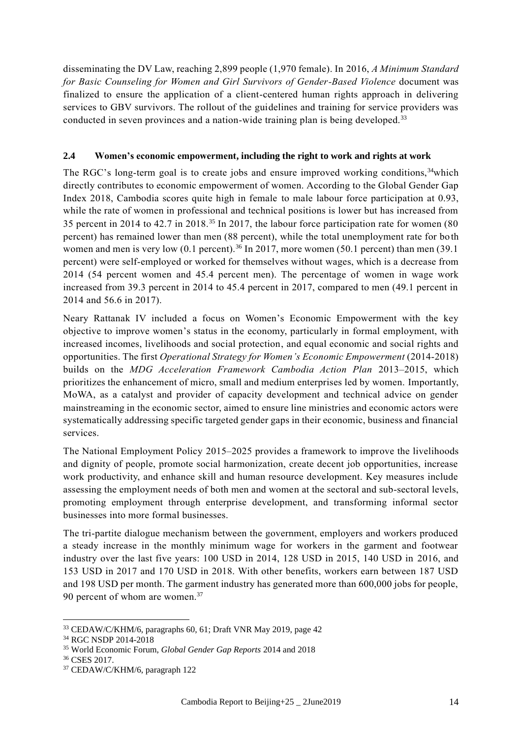disseminating the DV Law, reaching 2,899 people (1,970 female). In 2016, *A Minimum Standard for Basic Counseling for Women and Girl Survivors of Gender-Based Violence* document was finalized to ensure the application of a client-centered human rights approach in delivering services to GBV survivors. The rollout of the guidelines and training for service providers was conducted in seven provinces and a nation-wide training plan is being developed.<sup>33</sup>

## **2.4 Women's economic empowerment, including the right to work and rights at work**

The RGC's long-term goal is to create jobs and ensure improved working conditions,<sup>34</sup>which directly contributes to economic empowerment of women. According to the Global Gender Gap Index 2018, Cambodia scores quite high in female to male labour force participation at 0.93, while the rate of women in professional and technical positions is lower but has increased from 35 percent in 2014 to 42.7 in 2018.<sup>35</sup> In 2017, the labour force participation rate for women (80 percent) has remained lower than men (88 percent), while the total unemployment rate for both women and men is very low  $(0.1 \text{ percent})$ .<sup>36</sup> In 2017, more women (50.1 percent) than men (39.1) percent) were self-employed or worked for themselves without wages, which is a decrease from 2014 (54 percent women and 45.4 percent men). The percentage of women in wage work increased from 39.3 percent in 2014 to 45.4 percent in 2017, compared to men (49.1 percent in 2014 and 56.6 in 2017).

Neary Rattanak IV included a focus on Women's Economic Empowerment with the key objective to improve women's status in the economy, particularly in formal employment, with increased incomes, livelihoods and social protection, and equal economic and social rights and opportunities. The first *Operational Strategy for Women's Economic Empowerment* (2014-2018) builds on the *MDG Acceleration Framework Cambodia Action Plan* 2013–2015, which prioritizes the enhancement of micro, small and medium enterprises led by women. Importantly, MoWA, as a catalyst and provider of capacity development and technical advice on gender mainstreaming in the economic sector, aimed to ensure line ministries and economic actors were systematically addressing specific targeted gender gaps in their economic, business and financial services.

The National Employment Policy 2015–2025 provides a framework to improve the livelihoods and dignity of people, promote social harmonization, create decent job opportunities, increase work productivity, and enhance skill and human resource development. Key measures include assessing the employment needs of both men and women at the sectoral and sub-sectoral levels, promoting employment through enterprise development, and transforming informal sector businesses into more formal businesses.

The tri-partite dialogue mechanism between the government, employers and workers produced a steady increase in the monthly minimum wage for workers in the garment and footwear industry over the last five years: 100 USD in 2014, 128 USD in 2015, 140 USD in 2016, and 153 USD in 2017 and 170 USD in 2018. With other benefits, workers earn between 187 USD and 198 USD per month. The garment industry has generated more than 600,000 jobs for people, 90 percent of whom are women.<sup>37</sup>

<sup>33</sup> CEDAW/C/KHM/6, paragraphs 60, 61; Draft VNR May 2019, page 42

<sup>34</sup> RGC NSDP 2014-2018

<sup>35</sup> World Economic Forum, *Global Gender Gap Reports* 2014 and 2018

<sup>36</sup> CSES 2017.

<sup>37</sup> CEDAW/C/KHM/6, paragraph 122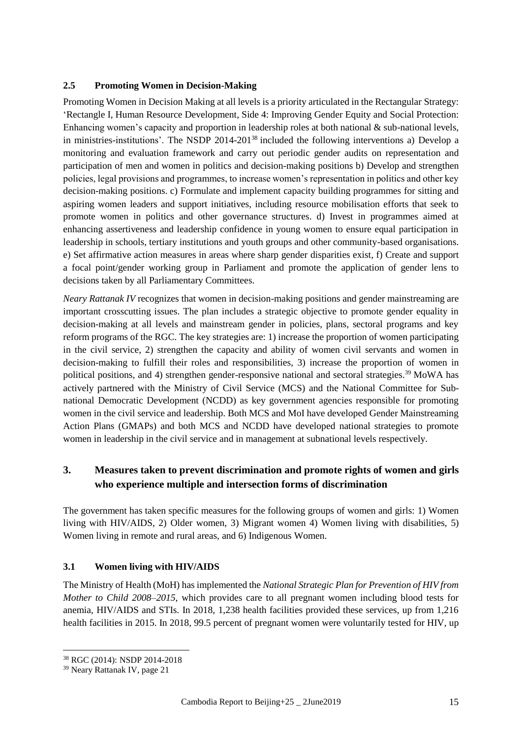#### **2.5 Promoting Women in Decision-Making**

Promoting Women in Decision Making at all levels is a priority articulated in the Rectangular Strategy: 'Rectangle I, Human Resource Development, Side 4: Improving Gender Equity and Social Protection: Enhancing women's capacity and proportion in leadership roles at both national & sub-national levels, in ministries-institutions'. The NSDP 2014-201<sup>38</sup> included the following interventions a) Develop a monitoring and evaluation framework and carry out periodic gender audits on representation and participation of men and women in politics and decision-making positions b) Develop and strengthen policies, legal provisions and programmes, to increase women's representation in politics and other key decision-making positions. c) Formulate and implement capacity building programmes for sitting and aspiring women leaders and support initiatives, including resource mobilisation efforts that seek to promote women in politics and other governance structures. d) Invest in programmes aimed at enhancing assertiveness and leadership confidence in young women to ensure equal participation in leadership in schools, tertiary institutions and youth groups and other community-based organisations. e) Set affirmative action measures in areas where sharp gender disparities exist, f) Create and support a focal point/gender working group in Parliament and promote the application of gender lens to decisions taken by all Parliamentary Committees.

*Neary Rattanak IV* recognizes that women in decision-making positions and gender mainstreaming are important crosscutting issues. The plan includes a strategic objective to promote gender equality in decision-making at all levels and mainstream gender in policies, plans, sectoral programs and key reform programs of the RGC. The key strategies are: 1) increase the proportion of women participating in the civil service, 2) strengthen the capacity and ability of women civil servants and women in decision-making to fulfill their roles and responsibilities, 3) increase the proportion of women in political positions, and 4) strengthen gender-responsive national and sectoral strategies.<sup>39</sup> MoWA has actively partnered with the Ministry of Civil Service (MCS) and the National Committee for Subnational Democratic Development (NCDD) as key government agencies responsible for promoting women in the civil service and leadership. Both MCS and MoI have developed Gender Mainstreaming Action Plans (GMAPs) and both MCS and NCDD have developed national strategies to promote women in leadership in the civil service and in management at subnational levels respectively.

## **3. Measures taken to prevent discrimination and promote rights of women and girls who experience multiple and intersection forms of discrimination**

The government has taken specific measures for the following groups of women and girls: 1) Women living with HIV/AIDS, 2) Older women, 3) Migrant women 4) Women living with disabilities, 5) Women living in remote and rural areas, and 6) Indigenous Women.

## **3.1 Women living with HIV/AIDS**

The Ministry of Health (MoH) has implemented the *National Strategic Plan for Prevention of HIV from Mother to Child 2008–2015*, which provides care to all pregnant women including blood tests for anemia, HIV/AIDS and STIs. In 2018, 1,238 health facilities provided these services, up from 1,216 health facilities in 2015. In 2018, 99.5 percent of pregnant women were voluntarily tested for HIV, up

<sup>38</sup> RGC (2014): NSDP 2014-2018

<sup>39</sup> Neary Rattanak IV, page 21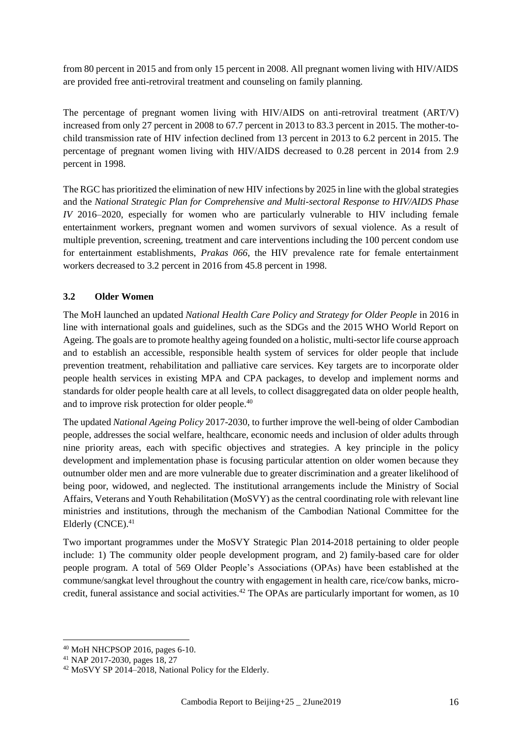from 80 percent in 2015 and from only 15 percent in 2008. All pregnant women living with HIV/AIDS are provided free anti-retroviral treatment and counseling on family planning.

The percentage of pregnant women living with HIV/AIDS on anti-retroviral treatment (ART/V) increased from only 27 percent in 2008 to 67.7 percent in 2013 to 83.3 percent in 2015. The mother-tochild transmission rate of HIV infection declined from 13 percent in 2013 to 6.2 percent in 2015. The percentage of pregnant women living with HIV/AIDS decreased to 0.28 percent in 2014 from 2.9 percent in 1998.

The RGC has prioritized the elimination of new HIV infections by 2025 in line with the global strategies and the *National Strategic Plan for Comprehensive and Multi-sectoral Response to HIV/AIDS Phase IV* 2016–2020, especially for women who are particularly vulnerable to HIV including female entertainment workers, pregnant women and women survivors of sexual violence. As a result of multiple prevention, screening, treatment and care interventions including the 100 percent condom use for entertainment establishments, *Prakas 066*, the HIV prevalence rate for female entertainment workers decreased to 3.2 percent in 2016 from 45.8 percent in 1998.

## **3.2 Older Women**

The MoH launched an updated *National Health Care Policy and Strategy for Older People* in 2016 in line with international goals and guidelines, such as the SDGs and the 2015 WHO World Report on Ageing. The goals are to promote healthy ageing founded on a holistic, multi-sector life course approach and to establish an accessible, responsible health system of services for older people that include prevention treatment, rehabilitation and palliative care services. Key targets are to incorporate older people health services in existing MPA and CPA packages, to develop and implement norms and standards for older people health care at all levels, to collect disaggregated data on older people health, and to improve risk protection for older people.<sup>40</sup>

The updated *National Ageing Policy* 2017-2030, to further improve the well-being of older Cambodian people, addresses the social welfare, healthcare, economic needs and inclusion of older adults through nine priority areas, each with specific objectives and strategies. A key principle in the policy development and implementation phase is focusing particular attention on older women because they outnumber older men and are more vulnerable due to greater discrimination and a greater likelihood of being poor, widowed, and neglected. The institutional arrangements include the Ministry of Social Affairs, Veterans and Youth Rehabilitation (MoSVY) as the central coordinating role with relevant line ministries and institutions, through the mechanism of the Cambodian National Committee for the Elderly  $(CNCE)^{41}$ 

Two important programmes under the MoSVY Strategic Plan 2014-2018 pertaining to older people include: 1) The community older people development program, and 2) family-based care for older people program. A total of 569 Older People's Associations (OPAs) have been established at the commune/sangkat level throughout the country with engagement in health care, rice/cow banks, microcredit, funeral assistance and social activities.<sup>42</sup> The OPAs are particularly important for women, as 10

<sup>1</sup> <sup>40</sup> MoH NHCPSOP 2016, pages 6-10.

<sup>41</sup> NAP 2017-2030, pages 18, 27

<sup>42</sup> MoSVY SP 2014–2018, National Policy for the Elderly.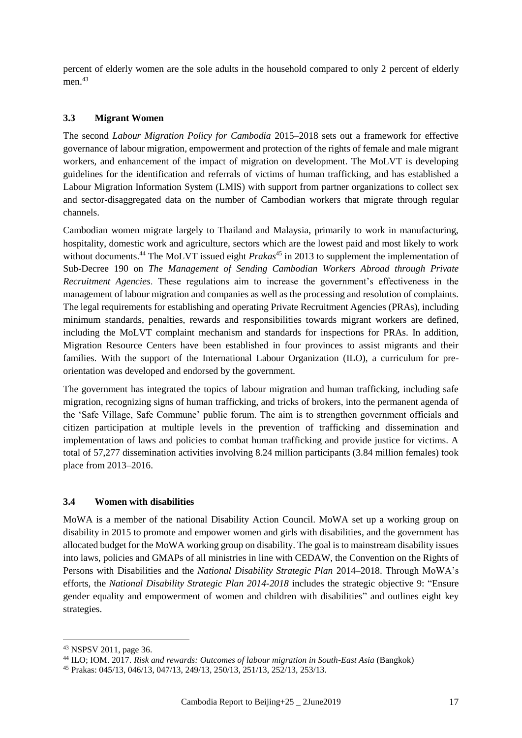percent of elderly women are the sole adults in the household compared to only 2 percent of elderly men.<sup>43</sup>

#### **3.3 Migrant Women**

The second *Labour Migration Policy for Cambodia* 2015–2018 sets out a framework for effective governance of labour migration, empowerment and protection of the rights of female and male migrant workers, and enhancement of the impact of migration on development. The MoLVT is developing guidelines for the identification and referrals of victims of human trafficking, and has established a Labour Migration Information System (LMIS) with support from partner organizations to collect sex and sector-disaggregated data on the number of Cambodian workers that migrate through regular channels.

Cambodian women migrate largely to Thailand and Malaysia, primarily to work in manufacturing, hospitality, domestic work and agriculture, sectors which are the lowest paid and most likely to work without documents.<sup>44</sup> The MoLVT issued eight *Prakas*<sup>45</sup> in 2013 to supplement the implementation of Sub-Decree 190 on *The Management of Sending Cambodian Workers Abroad through Private Recruitment Agencies*. These regulations aim to increase the government's effectiveness in the management of labour migration and companies as well as the processing and resolution of complaints. The legal requirements for establishing and operating Private Recruitment Agencies (PRAs), including minimum standards, penalties, rewards and responsibilities towards migrant workers are defined, including the MoLVT complaint mechanism and standards for inspections for PRAs. In addition, Migration Resource Centers have been established in four provinces to assist migrants and their families. With the support of the International Labour Organization (ILO), a curriculum for preorientation was developed and endorsed by the government.

The government has integrated the topics of labour migration and human trafficking, including safe migration, recognizing signs of human trafficking, and tricks of brokers, into the permanent agenda of the 'Safe Village, Safe Commune' public forum. The aim is to strengthen government officials and citizen participation at multiple levels in the prevention of trafficking and dissemination and implementation of laws and policies to combat human trafficking and provide justice for victims. A total of 57,277 dissemination activities involving 8.24 million participants (3.84 million females) took place from 2013–2016.

#### **3.4 Women with disabilities**

MoWA is a member of the national Disability Action Council. MoWA set up a working group on disability in 2015 to promote and empower women and girls with disabilities, and the government has allocated budget for the MoWA working group on disability. The goal is to mainstream disability issues into laws, policies and GMAPs of all ministries in line with CEDAW, the Convention on the Rights of Persons with Disabilities and the *National Disability Strategic Plan* 2014–2018. Through MoWA's efforts, the *National Disability Strategic Plan 2014-2018* includes the strategic objective 9: "Ensure gender equality and empowerment of women and children with disabilities" and outlines eight key strategies.

<sup>43</sup> NSPSV 2011, page 36.

<sup>44</sup> ILO; IOM. 2017. *Risk and rewards: Outcomes of labour migration in South-East Asia* (Bangkok)

<sup>45</sup> Prakas: 045/13, 046/13, 047/13, 249/13, 250/13, 251/13, 252/13, 253/13.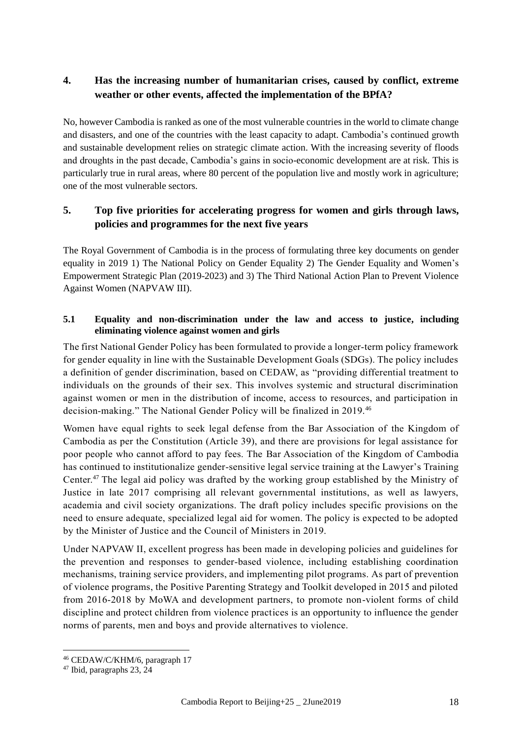## **4. Has the increasing number of humanitarian crises, caused by conflict, extreme weather or other events, affected the implementation of the BPfA?**

No, however Cambodia is ranked as one of the most vulnerable countries in the world to climate change and disasters, and one of the countries with the least capacity to adapt. Cambodia's continued growth and sustainable development relies on strategic climate action. With the increasing severity of floods and droughts in the past decade, Cambodia's gains in socio-economic development are at risk. This is particularly true in rural areas, where 80 percent of the population live and mostly work in agriculture; one of the most vulnerable sectors.

## **5. Top five priorities for accelerating progress for women and girls through laws, policies and programmes for the next five years**

The Royal Government of Cambodia is in the process of formulating three key documents on gender equality in 2019 1) The National Policy on Gender Equality 2) The Gender Equality and Women's Empowerment Strategic Plan (2019-2023) and 3) The Third National Action Plan to Prevent Violence Against Women (NAPVAW III).

## **5.1 Equality and non-discrimination under the law and access to justice, including eliminating violence against women and girls**

The first National Gender Policy has been formulated to provide a longer-term policy framework for gender equality in line with the Sustainable Development Goals (SDGs). The policy includes a definition of gender discrimination, based on CEDAW, as "providing differential treatment to individuals on the grounds of their sex. This involves systemic and structural discrimination against women or men in the distribution of income, access to resources, and participation in decision-making." The National Gender Policy will be finalized in 2019.<sup>46</sup>

Women have equal rights to seek legal defense from the Bar Association of the Kingdom of Cambodia as per the Constitution (Article 39), and there are provisions for legal assistance for poor people who cannot afford to pay fees. The Bar Association of the Kingdom of Cambodia has continued to institutionalize gender-sensitive legal service training at the Lawyer's Training Center. <sup>47</sup> The legal aid policy was drafted by the working group established by the Ministry of Justice in late 2017 comprising all relevant governmental institutions, as well as lawyers, academia and civil society organizations. The draft policy includes specific provisions on the need to ensure adequate, specialized legal aid for women. The policy is expected to be adopted by the Minister of Justice and the Council of Ministers in 2019.

Under NAPVAW II, excellent progress has been made in developing policies and guidelines for the prevention and responses to gender-based violence, including establishing coordination mechanisms, training service providers, and implementing pilot programs. As part of prevention of violence programs, the Positive Parenting Strategy and Toolkit developed in 2015 and piloted from 2016-2018 by MoWA and development partners, to promote non-violent forms of child discipline and protect children from violence practices is an opportunity to influence the gender norms of parents, men and boys and provide alternatives to violence.

<sup>46</sup> CEDAW/C/KHM/6, paragraph 17

 $47$  Ibid, paragraphs 23, 24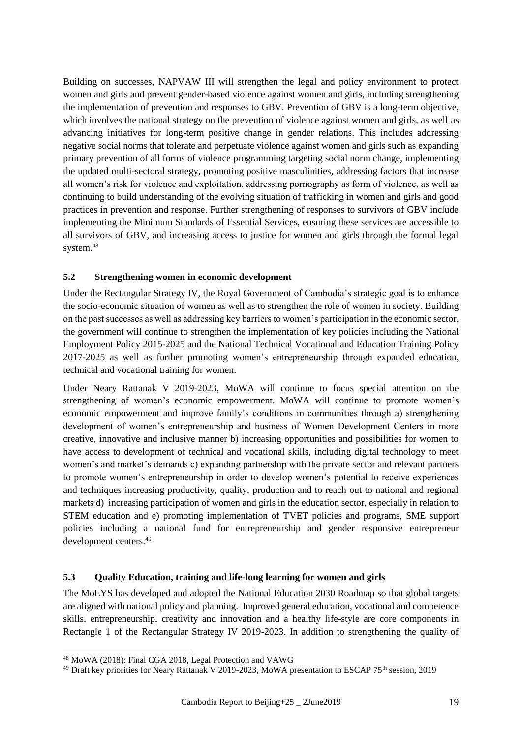Building on successes, NAPVAW III will strengthen the legal and policy environment to protect women and girls and prevent gender-based violence against women and girls, including strengthening the implementation of prevention and responses to GBV. Prevention of GBV is a long-term objective, which involves the national strategy on the prevention of violence against women and girls, as well as advancing initiatives for long-term positive change in gender relations. This includes addressing negative social norms that tolerate and perpetuate violence against women and girls such as expanding primary prevention of all forms of violence programming targeting social norm change, implementing the updated multi-sectoral strategy, promoting positive masculinities, addressing factors that increase all women's risk for violence and exploitation, addressing pornography as form of violence, as well as continuing to build understanding of the evolving situation of trafficking in women and girls and good practices in prevention and response. Further strengthening of responses to survivors of GBV include implementing the Minimum Standards of Essential Services, ensuring these services are accessible to all survivors of GBV, and increasing access to justice for women and girls through the formal legal system.<sup>48</sup>

#### **5.2 Strengthening women in economic development**

Under the Rectangular Strategy IV, the Royal Government of Cambodia's strategic goal is to enhance the socio-economic situation of women as well as to strengthen the role of women in society. Building on the past successes as well as addressing key barriers to women's participation in the economic sector, the government will continue to strengthen the implementation of key policies including the National Employment Policy 2015-2025 and the National Technical Vocational and Education Training Policy 2017-2025 as well as further promoting women's entrepreneurship through expanded education, technical and vocational training for women.

Under Neary Rattanak V 2019-2023, MoWA will continue to focus special attention on the strengthening of women's economic empowerment. MoWA will continue to promote women's economic empowerment and improve family's conditions in communities through a) strengthening development of women's entrepreneurship and business of Women Development Centers in more creative, innovative and inclusive manner b) increasing opportunities and possibilities for women to have access to development of technical and vocational skills, including digital technology to meet women's and market's demands c) expanding partnership with the private sector and relevant partners to promote women's entrepreneurship in order to develop women's potential to receive experiences and techniques increasing productivity, quality, production and to reach out to national and regional markets d) increasing participation of women and girls in the education sector, especially in relation to STEM education and e) promoting implementation of TVET policies and programs, SME support policies including a national fund for entrepreneurship and gender responsive entrepreneur development centers.<sup>49</sup>

#### **5.3 Quality Education, training and life-long learning for women and girls**

The MoEYS has developed and adopted the National Education 2030 Roadmap so that global targets are aligned with national policy and planning. Improved general education, vocational and competence skills, entrepreneurship, creativity and innovation and a healthy life-style are core components in Rectangle 1 of the Rectangular Strategy IV 2019-2023. In addition to strengthening the quality of

<sup>48</sup> MoWA (2018): Final CGA 2018, Legal Protection and VAWG

<sup>49</sup> Draft key priorities for Neary Rattanak V 2019-2023, MoWA presentation to ESCAP 75th session, 2019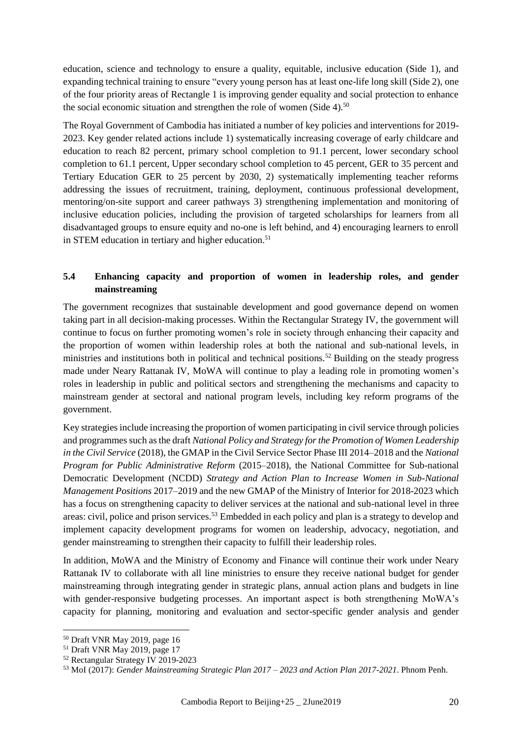education, science and technology to ensure a quality, equitable, inclusive education (Side 1), and expanding technical training to ensure "every young person has at least one-life long skill (Side 2), one of the four priority areas of Rectangle 1 is improving gender equality and social protection to enhance the social economic situation and strengthen the role of women (Side 4).<sup>50</sup>

The Royal Government of Cambodia has initiated a number of key policies and interventions for 2019- 2023. Key gender related actions include 1) systematically increasing coverage of early childcare and education to reach 82 percent, primary school completion to 91.1 percent, lower secondary school completion to 61.1 percent, Upper secondary school completion to 45 percent, GER to 35 percent and Tertiary Education GER to 25 percent by 2030, 2) systematically implementing teacher reforms addressing the issues of recruitment, training, deployment, continuous professional development, mentoring/on-site support and career pathways 3) strengthening implementation and monitoring of inclusive education policies, including the provision of targeted scholarships for learners from all disadvantaged groups to ensure equity and no-one is left behind, and 4) encouraging learners to enroll in STEM education in tertiary and higher education.<sup>51</sup>

## **5.4 Enhancing capacity and proportion of women in leadership roles, and gender mainstreaming**

The government recognizes that sustainable development and good governance depend on women taking part in all decision-making processes. Within the Rectangular Strategy IV, the government will continue to focus on further promoting women's role in society through enhancing their capacity and the proportion of women within leadership roles at both the national and sub-national levels, in ministries and institutions both in political and technical positions.<sup>52</sup> Building on the steady progress made under Neary Rattanak IV, MoWA will continue to play a leading role in promoting women's roles in leadership in public and political sectors and strengthening the mechanisms and capacity to mainstream gender at sectoral and national program levels, including key reform programs of the government.

Key strategies include increasing the proportion of women participating in civil service through policies and programmes such as the draft *National Policy and Strategy for the Promotion of Women Leadership in the Civil Service* (2018), the GMAP in the Civil Service Sector Phase III 2014–2018 and the *National Program for Public Administrative Reform* (2015–2018), the National Committee for Sub-national Democratic Development (NCDD) *Strategy and Action Plan to Increase Women in Sub-National Management Positions* 2017–2019 and the new GMAP of the Ministry of Interior for 2018-2023 which has a focus on strengthening capacity to deliver services at the national and sub-national level in three areas: civil, police and prison services.<sup>53</sup> Embedded in each policy and plan is a strategy to develop and implement capacity development programs for women on leadership, advocacy, negotiation, and gender mainstreaming to strengthen their capacity to fulfill their leadership roles.

In addition, MoWA and the Ministry of Economy and Finance will continue their work under Neary Rattanak IV to collaborate with all line ministries to ensure they receive national budget for gender mainstreaming through integrating gender in strategic plans, annual action plans and budgets in line with gender-responsive budgeting processes. An important aspect is both strengthening MoWA's capacity for planning, monitoring and evaluation and sector-specific gender analysis and gender

<sup>50</sup> Draft VNR May 2019, page 16

<sup>51</sup> Draft VNR May 2019, page 17

<sup>52</sup> Rectangular Strategy IV 2019-2023

<sup>53</sup> MoI (2017): *Gender Mainstreaming Strategic Plan 2017 – 2023 and Action Plan 2017-2021*. Phnom Penh.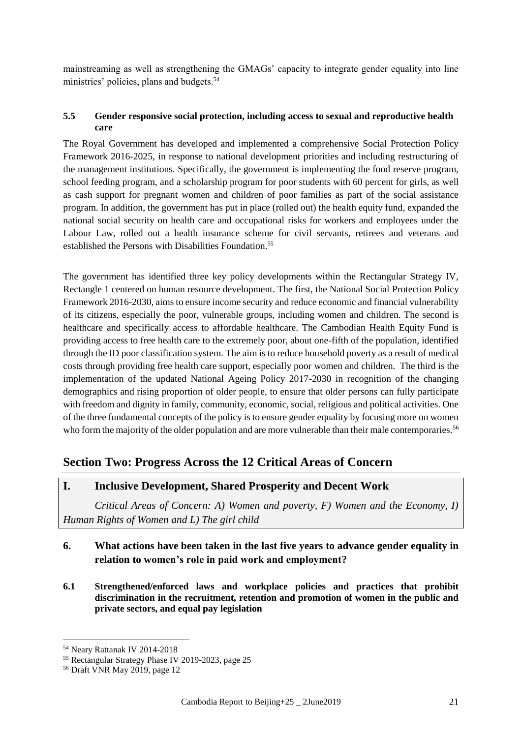mainstreaming as well as strengthening the GMAGs' capacity to integrate gender equality into line ministries' policies, plans and budgets.<sup>54</sup>

#### **5.5 Gender responsive social protection, including access to sexual and reproductive health care**

The Royal Government has developed and implemented a comprehensive Social Protection Policy Framework 2016-2025, in response to national development priorities and including restructuring of the management institutions. Specifically, the government is implementing the food reserve program, school feeding program, and a scholarship program for poor students with 60 percent for girls, as well as cash support for pregnant women and children of poor families as part of the social assistance program. In addition, the government has put in place (rolled out) the health equity fund, expanded the national social security on health care and occupational risks for workers and employees under the Labour Law, rolled out a health insurance scheme for civil servants, retirees and veterans and established the Persons with Disabilities Foundation.<sup>55</sup>

The government has identified three key policy developments within the Rectangular Strategy IV, Rectangle 1 centered on human resource development. The first, the National Social Protection Policy Framework 2016-2030, aims to ensure income security and reduce economic and financial vulnerability of its citizens, especially the poor, vulnerable groups, including women and children. The second is healthcare and specifically access to affordable healthcare. The Cambodian Health Equity Fund is providing access to free health care to the extremely poor, about one-fifth of the population, identified through the ID poor classification system. The aim is to reduce household poverty as a result of medical costs through providing free health care support, especially poor women and children. The third is the implementation of the updated National Ageing Policy 2017-2030 in recognition of the changing demographics and rising proportion of older people, to ensure that older persons can fully participate with freedom and dignity in family, community, economic, social, religious and political activities. One of the three fundamental concepts of the policy is to ensure gender equality by focusing more on women who form the majority of the older population and are more vulnerable than their male contemporaries.<sup>56</sup>

# **Section Two: Progress Across the 12 Critical Areas of Concern**

## **I. Inclusive Development, Shared Prosperity and Decent Work**

*Critical Areas of Concern: A) Women and poverty, F) Women and the Economy, I) Human Rights of Women and L) The girl child*

## **6. What actions have been taken in the last five years to advance gender equality in relation to women's role in paid work and employment?**

**6.1 Strengthened/enforced laws and workplace policies and practices that prohibit discrimination in the recruitment, retention and promotion of women in the public and private sectors, and equal pay legislation**

<sup>54</sup> Neary Rattanak IV 2014-2018

<sup>55</sup> Rectangular Strategy Phase IV 2019-2023, page 25

<sup>56</sup> Draft VNR May 2019, page 12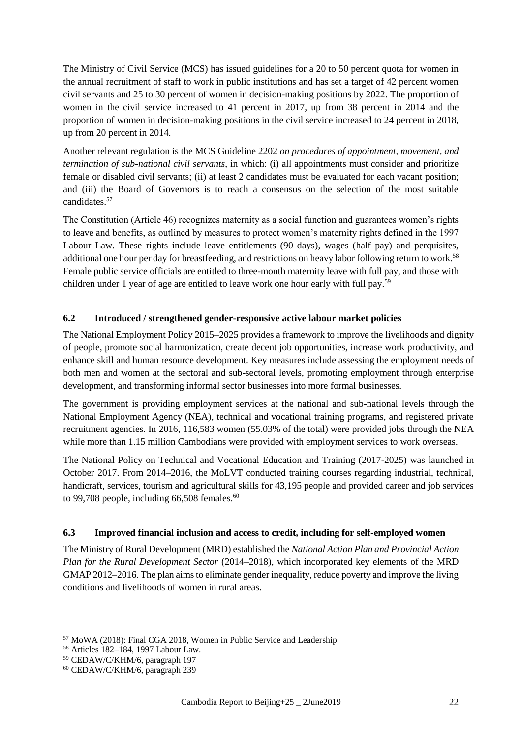The Ministry of Civil Service (MCS) has issued guidelines for a 20 to 50 percent quota for women in the annual recruitment of staff to work in public institutions and has set a target of 42 percent women civil servants and 25 to 30 percent of women in decision-making positions by 2022. The proportion of women in the civil service increased to 41 percent in 2017, up from 38 percent in 2014 and the proportion of women in decision-making positions in the civil service increased to 24 percent in 2018, up from 20 percent in 2014.

Another relevant regulation is the MCS Guideline 2202 *on procedures of appointment, movement, and termination of sub-national civil servants*, in which: (i) all appointments must consider and prioritize female or disabled civil servants; (ii) at least 2 candidates must be evaluated for each vacant position; and (iii) the Board of Governors is to reach a consensus on the selection of the most suitable candidates.<sup>57</sup>

The Constitution (Article 46) recognizes maternity as a social function and guarantees women's rights to leave and benefits, as outlined by measures to protect women's maternity rights defined in the 1997 Labour Law. These rights include leave entitlements (90 days), wages (half pay) and perquisites, additional one hour per day for breastfeeding, and restrictions on heavy labor following return to work.<sup>58</sup> Female public service officials are entitled to three-month maternity leave with full pay, and those with children under 1 year of age are entitled to leave work one hour early with full pay.<sup>59</sup>

#### **6.2 Introduced / strengthened gender-responsive active labour market policies**

The National Employment Policy 2015–2025 provides a framework to improve the livelihoods and dignity of people, promote social harmonization, create decent job opportunities, increase work productivity, and enhance skill and human resource development. Key measures include assessing the employment needs of both men and women at the sectoral and sub-sectoral levels, promoting employment through enterprise development, and transforming informal sector businesses into more formal businesses.

The government is providing employment services at the national and sub-national levels through the National Employment Agency (NEA), technical and vocational training programs, and registered private recruitment agencies. In 2016, 116,583 women (55.03% of the total) were provided jobs through the NEA while more than 1.15 million Cambodians were provided with employment services to work overseas.

The National Policy on Technical and Vocational Education and Training (2017-2025) was launched in October 2017. From 2014–2016, the MoLVT conducted training courses regarding industrial, technical, handicraft, services, tourism and agricultural skills for 43,195 people and provided career and job services to 99,708 people, including  $66,508$  females.<sup>60</sup>

#### **6.3 Improved financial inclusion and access to credit, including for self-employed women**

The Ministry of Rural Development (MRD) established the *National Action Plan and Provincial Action Plan for the Rural Development Sector* (2014–2018), which incorporated key elements of the MRD GMAP 2012–2016. The plan aims to eliminate gender inequality, reduce poverty and improve the living conditions and livelihoods of women in rural areas.

<sup>57</sup> MoWA (2018): Final CGA 2018, Women in Public Service and Leadership

<sup>58</sup> Articles 182–184, 1997 Labour Law.

<sup>59</sup> CEDAW/C/KHM/6, paragraph 197

<sup>60</sup> CEDAW/C/KHM/6, paragraph 239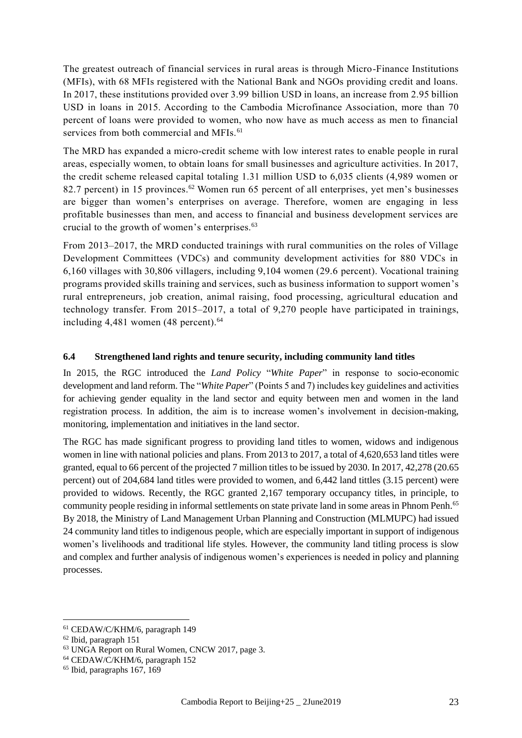The greatest outreach of financial services in rural areas is through Micro-Finance Institutions (MFIs), with 68 MFIs registered with the National Bank and NGOs providing credit and loans. In 2017, these institutions provided over 3.99 billion USD in loans, an increase from 2.95 billion USD in loans in 2015. According to the Cambodia Microfinance Association, more than 70 percent of loans were provided to women, who now have as much access as men to financial services from both commercial and MFIs.<sup>61</sup>

The MRD has expanded a micro-credit scheme with low interest rates to enable people in rural areas, especially women, to obtain loans for small businesses and agriculture activities. In 2017, the credit scheme released capital totaling 1.31 million USD to 6,035 clients (4,989 women or 82.7 percent) in 15 provinces.<sup>62</sup> Women run 65 percent of all enterprises, yet men's businesses are bigger than women's enterprises on average. Therefore, women are engaging in less profitable businesses than men, and access to financial and business development services are crucial to the growth of women's enterprises.<sup>63</sup>

From 2013–2017, the MRD conducted trainings with rural communities on the roles of Village Development Committees (VDCs) and community development activities for 880 VDCs in 6,160 villages with 30,806 villagers, including 9,104 women (29.6 percent). Vocational training programs provided skills training and services, such as business information to support women's rural entrepreneurs, job creation, animal raising, food processing, agricultural education and technology transfer. From 2015–2017, a total of 9,270 people have participated in trainings, including  $4,481$  women  $(48$  percent).<sup>64</sup>

#### **6.4 Strengthened land rights and tenure security, including community land titles**

In 2015, the RGC introduced the *Land Policy* "*White Paper*" in response to socio-economic development and land reform. The "*White Paper*" (Points 5 and 7) includes key guidelines and activities for achieving gender equality in the land sector and equity between men and women in the land registration process. In addition, the aim is to increase women's involvement in decision-making, monitoring, implementation and initiatives in the land sector.

The RGC has made significant progress to providing land titles to women, widows and indigenous women in line with national policies and plans. From 2013 to 2017, a total of 4,620,653 land titles were granted, equal to 66 percent of the projected 7 million titles to be issued by 2030. In 2017, 42,278 (20.65 percent) out of 204,684 land titles were provided to women, and 6,442 land tittles (3.15 percent) were provided to widows. Recently, the RGC granted 2,167 temporary occupancy titles, in principle, to community people residing in informal settlements on state private land in some areas in Phnom Penh.<sup>65</sup> By 2018, the Ministry of Land Management Urban Planning and Construction (MLMUPC) had issued 24 community land titles to indigenous people, which are especially important in support of indigenous women's livelihoods and traditional life styles. However, the community land titling process is slow and complex and further analysis of indigenous women's experiences is needed in policy and planning processes.

<sup>61</sup> CEDAW/C/KHM/6, paragraph 149

<sup>62</sup> Ibid, paragraph 151

<sup>63</sup> UNGA Report on Rural Women, CNCW 2017, page 3.

<sup>64</sup> CEDAW/C/KHM/6, paragraph 152

 $65$  Ibid, paragraphs 167, 169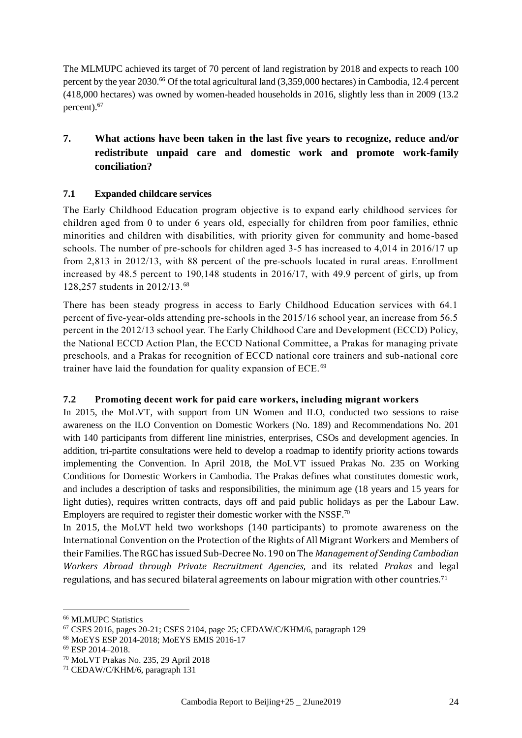The MLMUPC achieved its target of 70 percent of land registration by 2018 and expects to reach 100 percent by the year 2030.<sup>66</sup> Of the total agricultural land (3,359,000 hectares) in Cambodia, 12.4 percent (418,000 hectares) was owned by women-headed households in 2016, slightly less than in 2009 (13.2 percent).<sup>67</sup>

# **7. What actions have been taken in the last five years to recognize, reduce and/or redistribute unpaid care and domestic work and promote work-family conciliation?**

## **7.1 Expanded childcare services**

The Early Childhood Education program objective is to expand early childhood services for children aged from 0 to under 6 years old, especially for children from poor families, ethnic minorities and children with disabilities, with priority given for community and home-based schools. The number of pre-schools for children aged 3-5 has increased to 4,014 in 2016/17 up from 2,813 in 2012/13, with 88 percent of the pre-schools located in rural areas. Enrollment increased by 48.5 percent to 190,148 students in 2016/17, with 49.9 percent of girls, up from 128,257 students in 2012/13.<sup>68</sup>

There has been steady progress in access to Early Childhood Education services with 64.1 percent of five-year-olds attending pre-schools in the 2015/16 school year, an increase from 56.5 percent in the 2012/13 school year. The Early Childhood Care and Development (ECCD) Policy, the National ECCD Action Plan, the ECCD National Committee, a Prakas for managing private preschools, and a Prakas for recognition of ECCD national core trainers and sub-national core trainer have laid the foundation for quality expansion of ECE.<sup>69</sup>

#### **7.2 Promoting decent work for paid care workers, including migrant workers**

In 2015, the MoLVT, with support from UN Women and ILO, conducted two sessions to raise awareness on the ILO Convention on Domestic Workers (No. 189) and Recommendations No. 201 with 140 participants from different line ministries, enterprises, CSOs and development agencies. In addition, tri-partite consultations were held to develop a roadmap to identify priority actions towards implementing the Convention. In April 2018, the MoLVT issued Prakas No. 235 on Working Conditions for Domestic Workers in Cambodia. The Prakas defines what constitutes domestic work, and includes a description of tasks and responsibilities, the minimum age (18 years and 15 years for light duties), requires written contracts, days off and paid public holidays as per the Labour Law. Employers are required to register their domestic worker with the NSSF.<sup>70</sup>

In 2015, the MoLVT held two workshops (140 participants) to promote awareness on the International Convention on the Protection of the Rights of All Migrant Workers and Members of their Families. The RGC has issued Sub-Decree No. 190 on The *Management of Sending Cambodian Workers Abroad through Private Recruitment Agencies*, and its related *Prakas* and legal regulations, and has secured bilateral agreements on labour migration with other countries.<sup>71</sup>

<sup>66</sup> MLMUPC Statistics

<sup>67</sup> CSES 2016, pages 20-21; CSES 2104, page 25; CEDAW/C/KHM/6, paragraph 129

<sup>68</sup> MoEYS ESP 2014-2018; MoEYS EMIS 2016-17

<sup>69</sup> ESP 2014–2018.

<sup>70</sup> MoLVT Prakas No. 235, 29 April 2018

<sup>71</sup> CEDAW/C/KHM/6, paragraph 131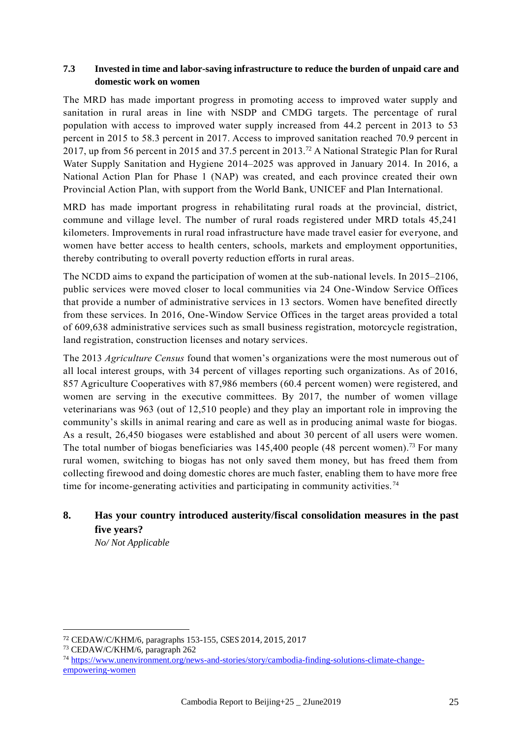#### **7.3 Invested in time and labor-saving infrastructure to reduce the burden of unpaid care and domestic work on women**

The MRD has made important progress in promoting access to improved water supply and sanitation in rural areas in line with NSDP and CMDG targets. The percentage of rural population with access to improved water supply increased from 44.2 percent in 2013 to 53 percent in 2015 to 58.3 percent in 2017. Access to improved sanitation reached 70.9 percent in 2017, up from 56 percent in 2015 and 37.5 percent in 2013.<sup>72</sup> A National Strategic Plan for Rural Water Supply Sanitation and Hygiene 2014–2025 was approved in January 2014. In 2016, a National Action Plan for Phase 1 (NAP) was created, and each province created their own Provincial Action Plan, with support from the World Bank, UNICEF and Plan International.

MRD has made important progress in rehabilitating rural roads at the provincial, district, commune and village level. The number of rural roads registered under MRD totals 45,241 kilometers. Improvements in rural road infrastructure have made travel easier for everyone, and women have better access to health centers, schools, markets and employment opportunities, thereby contributing to overall poverty reduction efforts in rural areas.

The NCDD aims to expand the participation of women at the sub-national levels. In 2015–2106, public services were moved closer to local communities via 24 One-Window Service Offices that provide a number of administrative services in 13 sectors. Women have benefited directly from these services. In 2016, One-Window Service Offices in the target areas provided a total of 609,638 administrative services such as small business registration, motorcycle registration, land registration, construction licenses and notary services.

The 2013 *Agriculture Census* found that women's organizations were the most numerous out of all local interest groups, with 34 percent of villages reporting such organizations. As of 2016, 857 Agriculture Cooperatives with 87,986 members (60.4 percent women) were registered, and women are serving in the executive committees. By 2017, the number of women village veterinarians was 963 (out of 12,510 people) and they play an important role in improving the community's skills in animal rearing and care as well as in producing animal waste for biogas. As a result, 26,450 biogases were established and about 30 percent of all users were women. The total number of biogas beneficiaries was  $145,400$  people (48 percent women).<sup>73</sup> For many rural women, switching to biogas has not only saved them money, but has freed them from collecting firewood and doing domestic chores are much faster, enabling them to have more free time for income-generating activities and participating in community activities.<sup>74</sup>

# **8. Has your country introduced austerity/fiscal consolidation measures in the past five years?**

*No/ Not Applicable*

<sup>72</sup> CEDAW/C/KHM/6, paragraphs 153-155, CSES 2014, 2015, 2017

<sup>73</sup> CEDAW/C/KHM/6, paragraph 262

<sup>74</sup> [https://www.unenvironment.org/news-and-stories/story/cambodia-finding-solutions-climate-change](https://www.unenvironment.org/news-and-stories/story/cambodia-finding-solutions-climate-change-empowering-women)[empowering-women](https://www.unenvironment.org/news-and-stories/story/cambodia-finding-solutions-climate-change-empowering-women)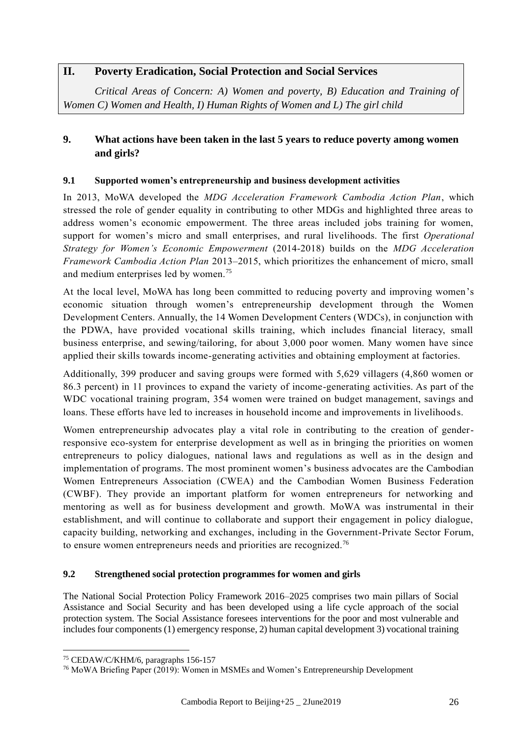## **II. Poverty Eradication, Social Protection and Social Services**

*Critical Areas of Concern: A) Women and poverty, B) Education and Training of Women C) Women and Health, I) Human Rights of Women and L) The girl child*

## **9. What actions have been taken in the last 5 years to reduce poverty among women and girls?**

#### **9.1 Supported women's entrepreneurship and business development activities**

In 2013, MoWA developed the *MDG Acceleration Framework Cambodia Action Plan*, which stressed the role of gender equality in contributing to other MDGs and highlighted three areas to address women's economic empowerment. The three areas included jobs training for women, support for women's micro and small enterprises, and rural livelihoods. The first *Operational Strategy for Women's Economic Empowerment* (2014-2018) builds on the *MDG Acceleration Framework Cambodia Action Plan* 2013–2015, which prioritizes the enhancement of micro, small and medium enterprises led by women.<sup>75</sup>

At the local level, MoWA has long been committed to reducing poverty and improving women's economic situation through women's entrepreneurship development through the Women Development Centers. Annually, the 14 Women Development Centers (WDCs), in conjunction with the PDWA, have provided vocational skills training, which includes financial literacy, small business enterprise, and sewing/tailoring, for about 3,000 poor women. Many women have since applied their skills towards income-generating activities and obtaining employment at factories.

Additionally, 399 producer and saving groups were formed with 5,629 villagers (4,860 women or 86.3 percent) in 11 provinces to expand the variety of income-generating activities. As part of the WDC vocational training program, 354 women were trained on budget management, savings and loans. These efforts have led to increases in household income and improvements in livelihoods.

Women entrepreneurship advocates play a vital role in contributing to the creation of genderresponsive eco-system for enterprise development as well as in bringing the priorities on women entrepreneurs to policy dialogues, national laws and regulations as well as in the design and implementation of programs. The most prominent women's business advocates are the Cambodian Women Entrepreneurs Association (CWEA) and the Cambodian Women Business Federation (CWBF). They provide an important platform for women entrepreneurs for networking and mentoring as well as for business development and growth. MoWA was instrumental in their establishment, and will continue to collaborate and support their engagement in policy dialogue, capacity building, networking and exchanges, including in the Government-Private Sector Forum, to ensure women entrepreneurs needs and priorities are recognized.<sup>76</sup>

#### **9.2 Strengthened social protection programmes for women and girls**

The National Social Protection Policy Framework 2016–2025 comprises two main pillars of Social Assistance and Social Security and has been developed using a life cycle approach of the social protection system. The Social Assistance foresees interventions for the poor and most vulnerable and includes four components (1) emergency response, 2) human capital development 3) vocational training

<sup>75</sup> CEDAW/C/KHM/6, paragraphs 156-157

<sup>76</sup> MoWA Briefing Paper (2019): Women in MSMEs and Women's Entrepreneurship Development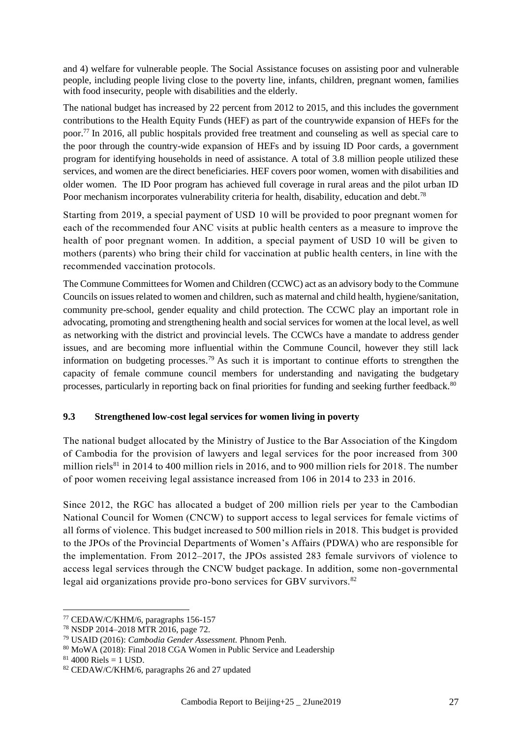and 4) welfare for vulnerable people. The Social Assistance focuses on assisting poor and vulnerable people, including people living close to the poverty line, infants, children, pregnant women, families with food insecurity, people with disabilities and the elderly.

The national budget has increased by 22 percent from 2012 to 2015, and this includes the government contributions to the Health Equity Funds (HEF) as part of the countrywide expansion of HEFs for the poor.<sup>77</sup> In 2016, all public hospitals provided free treatment and counseling as well as special care to the poor through the country-wide expansion of HEFs and by issuing ID Poor cards, a government program for identifying households in need of assistance. A total of 3.8 million people utilized these services, and women are the direct beneficiaries. HEF covers poor women, women with disabilities and older women. The ID Poor program has achieved full coverage in rural areas and the pilot urban ID Poor mechanism incorporates vulnerability criteria for health, disability, education and debt.<sup>78</sup>

Starting from 2019, a special payment of USD 10 will be provided to poor pregnant women for each of the recommended four ANC visits at public health centers as a measure to improve the health of poor pregnant women. In addition, a special payment of USD 10 will be given to mothers (parents) who bring their child for vaccination at public health centers, in line with the recommended vaccination protocols.

The Commune Committees for Women and Children (CCWC) act as an advisory body to the Commune Councils on issues related to women and children, such as maternal and child health, hygiene/sanitation, community pre-school, gender equality and child protection. The CCWC play an important role in advocating, promoting and strengthening health and social services for women at the local level, as well as networking with the district and provincial levels. The CCWCs have a mandate to address gender issues, and are becoming more influential within the Commune Council, however they still lack information on budgeting processes.<sup>79</sup> As such it is important to continue efforts to strengthen the capacity of female commune council members for understanding and navigating the budgetary processes, particularly in reporting back on final priorities for funding and seeking further feedback.<sup>80</sup>

#### **9.3 Strengthened low-cost legal services for women living in poverty**

The national budget allocated by the Ministry of Justice to the Bar Association of the Kingdom of Cambodia for the provision of lawyers and legal services for the poor increased from 300 million riels $^{81}$  in 2014 to 400 million riels in 2016, and to 900 million riels for 2018. The number of poor women receiving legal assistance increased from 106 in 2014 to 233 in 2016.

Since 2012, the RGC has allocated a budget of 200 million riels per year to the Cambodian National Council for Women (CNCW) to support access to legal services for female victims of all forms of violence. This budget increased to 500 million riels in 2018. This budget is provided to the JPOs of the Provincial Departments of Women's Affairs (PDWA) who are responsible for the implementation. From 2012–2017, the JPOs assisted 283 female survivors of violence to access legal services through the CNCW budget package. In addition, some non-governmental legal aid organizations provide pro-bono services for GBV survivors.<sup>82</sup>

<sup>77</sup> CEDAW/C/KHM/6, paragraphs 156-157

<sup>78</sup> NSDP 2014–2018 MTR 2016, page 72.

<sup>79</sup> USAID (2016): *Cambodia Gender Assessment.* Phnom Penh.

<sup>80</sup> MoWA (2018): Final 2018 CGA Women in Public Service and Leadership

 $81\,4000\$  Riels = 1 USD.

<sup>82</sup> CEDAW/C/KHM/6, paragraphs 26 and 27 updated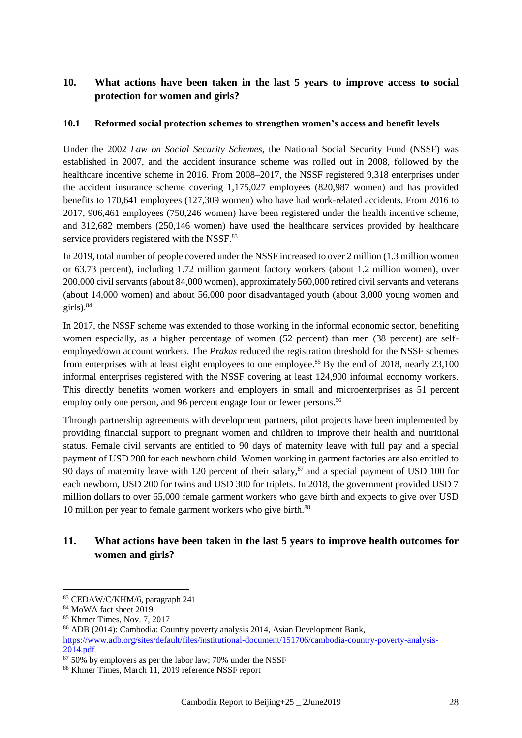## **10. What actions have been taken in the last 5 years to improve access to social protection for women and girls?**

#### **10.1 Reformed social protection schemes to strengthen women's access and benefit levels**

Under the 2002 *Law on Social Security Schemes*, the National Social Security Fund (NSSF) was established in 2007, and the accident insurance scheme was rolled out in 2008, followed by the healthcare incentive scheme in 2016. From 2008–2017, the NSSF registered 9,318 enterprises under the accident insurance scheme covering 1,175,027 employees (820,987 women) and has provided benefits to 170,641 employees (127,309 women) who have had work-related accidents. From 2016 to 2017, 906,461 employees (750,246 women) have been registered under the health incentive scheme, and 312,682 members (250,146 women) have used the healthcare services provided by healthcare service providers registered with the NSSF.<sup>83</sup>

In 2019, total number of people covered under the NSSF increased to over 2 million (1.3 million women or 63.73 percent), including 1.72 million garment factory workers (about 1.2 million women), over 200,000 civil servants (about 84,000 women), approximately 560,000 retired civil servants and veterans (about 14,000 women) and about 56,000 poor disadvantaged youth (about 3,000 young women and girls). $84$ 

In 2017, the NSSF scheme was extended to those working in the informal economic sector, benefiting women especially, as a higher percentage of women (52 percent) than men (38 percent) are selfemployed/own account workers. The *Prakas* reduced the registration threshold for the NSSF schemes from enterprises with at least eight employees to one employee.<sup>85</sup> By the end of 2018, nearly 23,100 informal enterprises registered with the NSSF covering at least 124,900 informal economy workers. This directly benefits women workers and employers in small and microenterprises as 51 percent employ only one person, and 96 percent engage four or fewer persons.<sup>86</sup>

Through partnership agreements with development partners, pilot projects have been implemented by providing financial support to pregnant women and children to improve their health and nutritional status. Female civil servants are entitled to 90 days of maternity leave with full pay and a special payment of USD 200 for each newborn child. Women working in garment factories are also entitled to 90 days of maternity leave with 120 percent of their salary,<sup>87</sup> and a special payment of USD 100 for each newborn, USD 200 for twins and USD 300 for triplets. In 2018, the government provided USD 7 million dollars to over 65,000 female garment workers who gave birth and expects to give over USD 10 million per year to female garment workers who give birth.<sup>88</sup>

## **11. What actions have been taken in the last 5 years to improve health outcomes for women and girls?**

<sup>83</sup> CEDAW/C/KHM/6, paragraph 241

<sup>84</sup> MoWA fact sheet 2019

<sup>85</sup> Khmer Times, Nov. 7, 2017

<sup>86</sup> ADB (2014): Cambodia: Country poverty analysis 2014, Asian Development Bank, [https://www.adb.org/sites/default/files/institutional-document/151706/cambodia-country-poverty-analysis-](https://www.adb.org/sites/default/files/institutional-document/151706/cambodia-country-poverty-analysis-2014.pdf)[2014.pdf](https://www.adb.org/sites/default/files/institutional-document/151706/cambodia-country-poverty-analysis-2014.pdf)

 $\frac{1}{87,50\%}$  by employers as per the labor law; 70% under the NSSF

<sup>88</sup> Khmer Times, March 11, 2019 reference NSSF report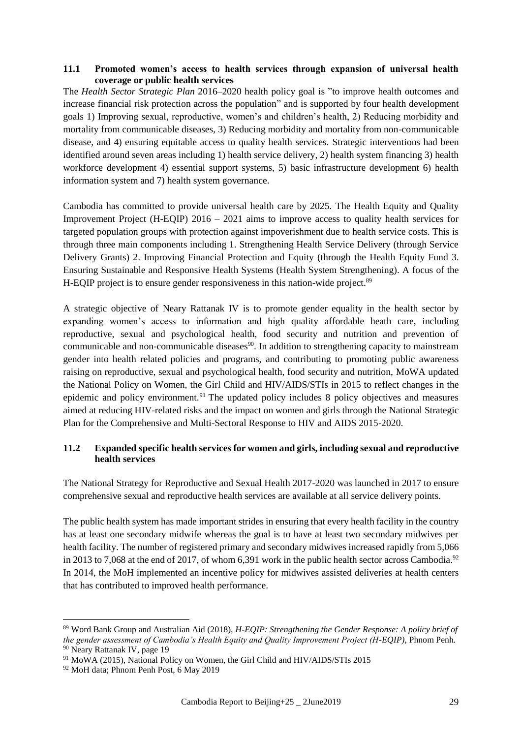#### **11.1 Promoted women's access to health services through expansion of universal health coverage or public health services**

The *Health Sector Strategic Plan* 2016–2020 health policy goal is "to improve health outcomes and increase financial risk protection across the population" and is supported by four health development goals 1) Improving sexual, reproductive, women's and children's health, 2) Reducing morbidity and mortality from communicable diseases, 3) Reducing morbidity and mortality from non-communicable disease, and 4) ensuring equitable access to quality health services. Strategic interventions had been identified around seven areas including 1) health service delivery, 2) health system financing 3) health workforce development 4) essential support systems, 5) basic infrastructure development 6) health information system and 7) health system governance.

Cambodia has committed to provide universal health care by 2025. The Health Equity and Quality Improvement Project (H-EQIP) 2016 – 2021 aims to improve access to quality health services for targeted population groups with protection against impoverishment due to health service costs. This is through three main components including 1. Strengthening Health Service Delivery (through Service Delivery Grants) 2. Improving Financial Protection and Equity (through the Health Equity Fund 3. Ensuring Sustainable and Responsive Health Systems (Health System Strengthening). A focus of the H-EQIP project is to ensure gender responsiveness in this nation-wide project.<sup>89</sup>

A strategic objective of Neary Rattanak IV is to promote gender equality in the health sector by expanding women's access to information and high quality affordable heath care, including reproductive, sexual and psychological health, food security and nutrition and prevention of communicable and non-communicable diseases<sup>90</sup>. In addition to strengthening capacity to mainstream gender into health related policies and programs, and contributing to promoting public awareness raising on reproductive, sexual and psychological health, food security and nutrition, MoWA updated the National Policy on Women, the Girl Child and HIV/AIDS/STIs in 2015 to reflect changes in the epidemic and policy environment.<sup>91</sup> The updated policy includes 8 policy objectives and measures aimed at reducing HIV-related risks and the impact on women and girls through the National Strategic Plan for the Comprehensive and Multi-Sectoral Response to HIV and AIDS 2015-2020.

#### **11.2 Expanded specific health services for women and girls, including sexual and reproductive health services**

The National Strategy for Reproductive and Sexual Health 2017-2020 was launched in 2017 to ensure comprehensive sexual and reproductive health services are available at all service delivery points.

The public health system has made important strides in ensuring that every health facility in the country has at least one secondary midwife whereas the goal is to have at least two secondary midwives per health facility. The number of registered primary and secondary midwives increased rapidly from 5,066 in 2013 to 7,068 at the end of 2017, of whom 6,391 work in the public health sector across Cambodia.<sup>92</sup> In 2014, the MoH implemented an incentive policy for midwives assisted deliveries at health centers that has contributed to improved health performance.

<sup>89</sup> Word Bank Group and Australian Aid (2018), *H-EQIP: Strengthening the Gender Response: A policy brief of the gender assessment of Cambodia's Health Equity and Quality Improvement Project (H-EQIP),* Phnom Penh. <sup>90</sup> Neary Rattanak IV, page 19

<sup>&</sup>lt;sup>91</sup> MoWA (2015), National Policy on Women, the Girl Child and HIV/AIDS/STIs 2015

<sup>92</sup> MoH data; Phnom Penh Post, 6 May 2019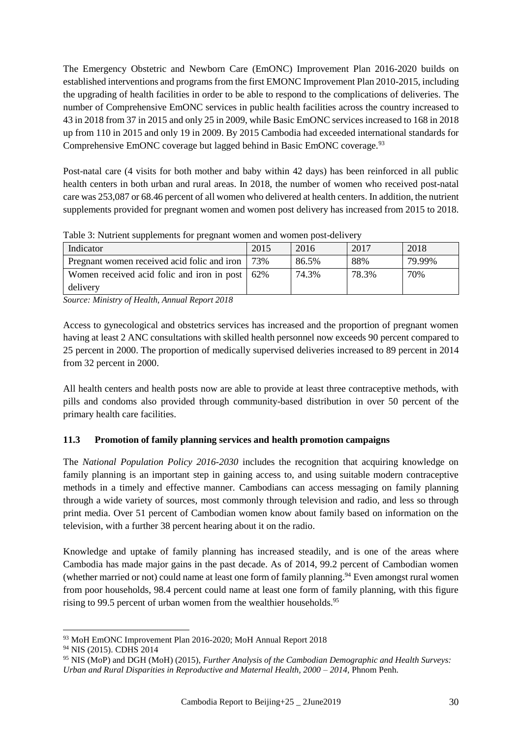The Emergency Obstetric and Newborn Care (EmONC) Improvement Plan 2016-2020 builds on established interventions and programs from the first EMONC Improvement Plan 2010-2015, including the upgrading of health facilities in order to be able to respond to the complications of deliveries. The number of Comprehensive EmONC services in public health facilities across the country increased to 43 in 2018 from 37 in 2015 and only 25 in 2009, while Basic EmONC services increased to 168 in 2018 up from 110 in 2015 and only 19 in 2009. By 2015 Cambodia had exceeded international standards for Comprehensive EmONC coverage but lagged behind in Basic EmONC coverage.<sup>93</sup>

Post-natal care (4 visits for both mother and baby within 42 days) has been reinforced in all public health centers in both urban and rural areas. In 2018, the number of women who received post-natal care was 253,087 or 68.46 percent of all women who delivered at health centers. In addition, the nutrient supplements provided for pregnant women and women post delivery has increased from 2015 to 2018.

| Indicator                                        | 2015 | 2016  | 2017  | 2018   |
|--------------------------------------------------|------|-------|-------|--------|
| Pregnant women received acid folic and iron      | 73%  | 86.5% | 88%   | 79.99% |
| Women received acid folic and iron in post   62% |      | 74.3% | 78.3% | 70%    |
| delivery                                         |      |       |       |        |

Table 3: Nutrient supplements for pregnant women and women post-delivery

*Source: Ministry of Health, Annual Report 2018*

Access to gynecological and obstetrics services has increased and the proportion of pregnant women having at least 2 ANC consultations with skilled health personnel now exceeds 90 percent compared to 25 percent in 2000. The proportion of medically supervised deliveries increased to 89 percent in 2014 from 32 percent in 2000.

All health centers and health posts now are able to provide at least three contraceptive methods, with pills and condoms also provided through community-based distribution in over 50 percent of the primary health care facilities.

#### **11.3 Promotion of family planning services and health promotion campaigns**

The *National Population Policy 2016-2030* includes the recognition that acquiring knowledge on family planning is an important step in gaining access to, and using suitable modern contraceptive methods in a timely and effective manner. Cambodians can access messaging on family planning through a wide variety of sources, most commonly through television and radio, and less so through print media. Over 51 percent of Cambodian women know about family based on information on the television, with a further 38 percent hearing about it on the radio.

Knowledge and uptake of family planning has increased steadily, and is one of the areas where Cambodia has made major gains in the past decade. As of 2014, 99.2 percent of Cambodian women (whether married or not) could name at least one form of family planning. <sup>94</sup> Even amongst rural women from poor households, 98.4 percent could name at least one form of family planning, with this figure rising to 99.5 percent of urban women from the wealthier households.<sup>95</sup>

<sup>93</sup> MoH EmONC Improvement Plan 2016-2020; MoH Annual Report 2018

<sup>94</sup> NIS (2015). CDHS 2014

<sup>95</sup> NIS (MoP) and DGH (MoH) (2015), *Further Analysis of the Cambodian Demographic and Health Surveys: Urban and Rural Disparities in Reproductive and Maternal Health, 2000 – 2014,* Phnom Penh.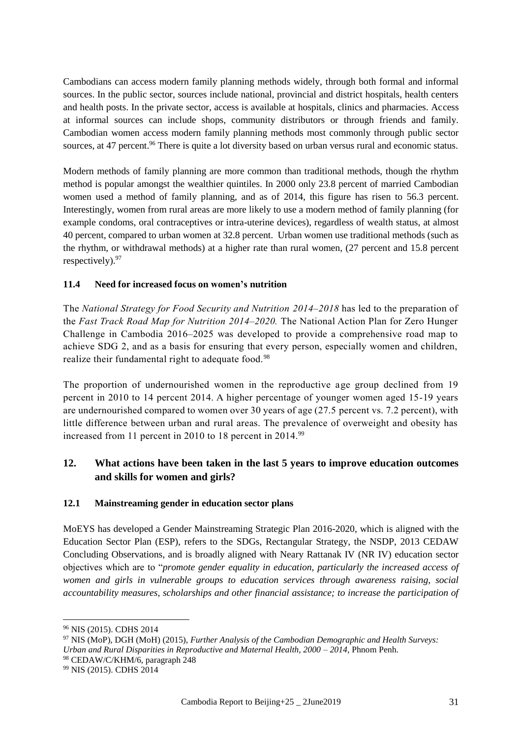Cambodians can access modern family planning methods widely, through both formal and informal sources. In the public sector, sources include national, provincial and district hospitals, health centers and health posts. In the private sector, access is available at hospitals, clinics and pharmacies. Access at informal sources can include shops, community distributors or through friends and family. Cambodian women access modern family planning methods most commonly through public sector sources, at 47 percent.<sup>96</sup> There is quite a lot diversity based on urban versus rural and economic status.

Modern methods of family planning are more common than traditional methods, though the rhythm method is popular amongst the wealthier quintiles. In 2000 only 23.8 percent of married Cambodian women used a method of family planning, and as of 2014, this figure has risen to 56.3 percent. Interestingly, women from rural areas are more likely to use a modern method of family planning (for example condoms, oral contraceptives or intra-uterine devices), regardless of wealth status, at almost 40 percent, compared to urban women at 32.8 percent. Urban women use traditional methods (such as the rhythm, or withdrawal methods) at a higher rate than rural women, (27 percent and 15.8 percent respectively). 97

## **11.4 Need for increased focus on women's nutrition**

The *National Strategy for Food Security and Nutrition 2014–2018* has led to the preparation of the *Fast Track Road Map for Nutrition 2014–2020.* The National Action Plan for Zero Hunger Challenge in Cambodia 2016–2025 was developed to provide a comprehensive road map to achieve SDG 2, and as a basis for ensuring that every person, especially women and children, realize their fundamental right to adequate food.<sup>98</sup>

The proportion of undernourished women in the reproductive age group declined from 19 percent in 2010 to 14 percent 2014. A higher percentage of younger women aged 15-19 years are undernourished compared to women over 30 years of age (27.5 percent vs. 7.2 percent), with little difference between urban and rural areas. The prevalence of overweight and obesity has increased from 11 percent in 2010 to 18 percent in 2014.<sup>99</sup>

## **12. What actions have been taken in the last 5 years to improve education outcomes and skills for women and girls?**

#### **12.1 Mainstreaming gender in education sector plans**

MoEYS has developed a Gender Mainstreaming Strategic Plan 2016-2020, which is aligned with the Education Sector Plan (ESP), refers to the SDGs, Rectangular Strategy, the NSDP, 2013 CEDAW Concluding Observations, and is broadly aligned with Neary Rattanak IV (NR IV) education sector objectives which are to "*promote gender equality in education, particularly the increased access of women and girls in vulnerable groups to education services through awareness raising, social accountability measures, scholarships and other financial assistance; to increase the participation of* 

<sup>96</sup> NIS (2015). CDHS 2014

<sup>97</sup> NIS (MoP), DGH (MoH) (2015), *Further Analysis of the Cambodian Demographic and Health Surveys: Urban and Rural Disparities in Reproductive and Maternal Health, 2000 – 2014,* Phnom Penh.

<sup>98</sup> CEDAW/C/KHM/6, paragraph 248

<sup>99</sup> NIS (2015). CDHS 2014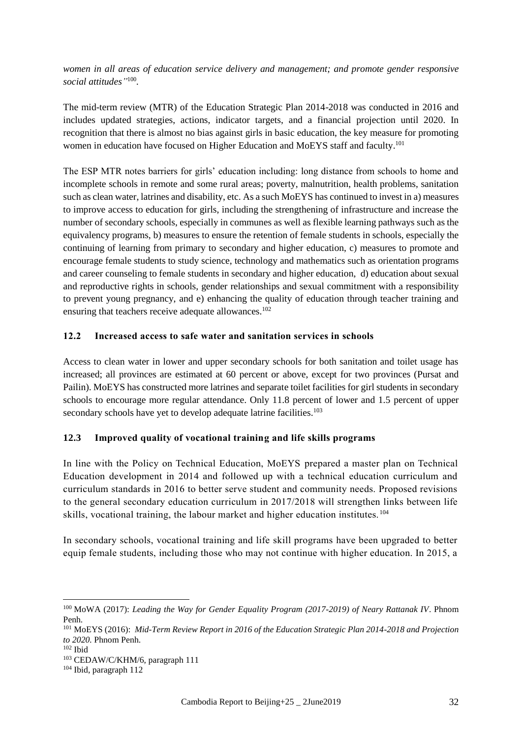*women in all areas of education service delivery and management; and promote gender responsive social attitudes"* 100 *.*

The mid-term review (MTR) of the Education Strategic Plan 2014-2018 was conducted in 2016 and includes updated strategies, actions, indicator targets, and a financial projection until 2020. In recognition that there is almost no bias against girls in basic education, the key measure for promoting women in education have focused on Higher Education and MoEYS staff and faculty.<sup>101</sup>

The ESP MTR notes barriers for girls' education including: long distance from schools to home and incomplete schools in remote and some rural areas; poverty, malnutrition, health problems, sanitation such as clean water, latrines and disability, etc. As a such MoEYS has continued to invest in a) measures to improve access to education for girls, including the strengthening of infrastructure and increase the number of secondary schools, especially in communes as well as flexible learning pathways such as the equivalency programs, b) measures to ensure the retention of female students in schools, especially the continuing of learning from primary to secondary and higher education, c) measures to promote and encourage female students to study science, technology and mathematics such as orientation programs and career counseling to female students in secondary and higher education, d) education about sexual and reproductive rights in schools, gender relationships and sexual commitment with a responsibility to prevent young pregnancy, and e) enhancing the quality of education through teacher training and ensuring that teachers receive adequate allowances.<sup>102</sup>

#### **12.2 Increased access to safe water and sanitation services in schools**

Access to clean water in lower and upper secondary schools for both sanitation and toilet usage has increased; all provinces are estimated at 60 percent or above, except for two provinces (Pursat and Pailin). MoEYS has constructed more latrines and separate toilet facilities for girl students in secondary schools to encourage more regular attendance. Only 11.8 percent of lower and 1.5 percent of upper secondary schools have yet to develop adequate latrine facilities.<sup>103</sup>

#### **12.3 Improved quality of vocational training and life skills programs**

In line with the Policy on Technical Education, MoEYS prepared a master plan on Technical Education development in 2014 and followed up with a technical education curriculum and curriculum standards in 2016 to better serve student and community needs. Proposed revisions to the general secondary education curriculum in 2017/2018 will strengthen links between life skills, vocational training, the labour market and higher education institutes. <sup>104</sup>

In secondary schools, vocational training and life skill programs have been upgraded to better equip female students, including those who may not continue with higher education. In 2015, a

<sup>100</sup> MoWA (2017): *Leading the Way for Gender Equality Program (2017-2019) of Neary Rattanak IV*. Phnom Penh.

<sup>101</sup> MoEYS (2016): *Mid-Term Review Report in 2016 of the Education Strategic Plan 2014-2018 and Projection to 2020.* Phnom Penh.

 $102$  Ibid

<sup>103</sup> CEDAW/C/KHM/6, paragraph 111

<sup>104</sup> Ibid, paragraph 112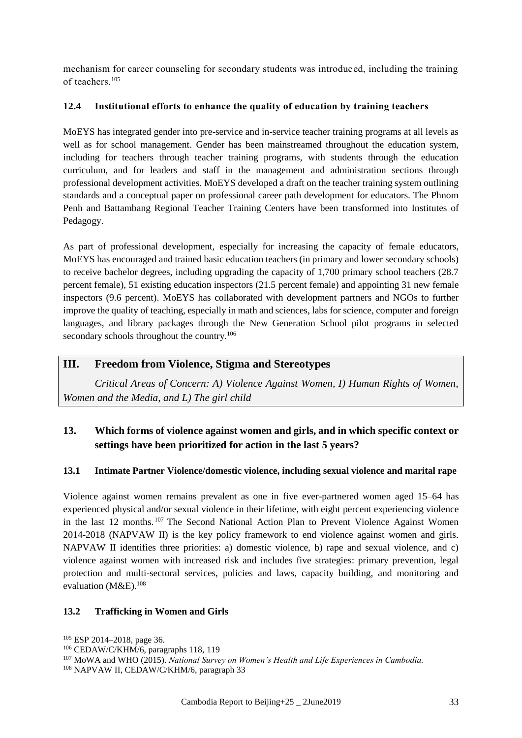mechanism for career counseling for secondary students was introduced, including the training of teachers.<sup>105</sup>

#### **12.4 Institutional efforts to enhance the quality of education by training teachers**

MoEYS has integrated gender into pre-service and in-service teacher training programs at all levels as well as for school management. Gender has been mainstreamed throughout the education system, including for teachers through teacher training programs, with students through the education curriculum, and for leaders and staff in the management and administration sections through professional development activities. MoEYS developed a draft on the teacher training system outlining standards and a conceptual paper on professional career path development for educators. The Phnom Penh and Battambang Regional Teacher Training Centers have been transformed into Institutes of Pedagogy.

As part of professional development, especially for increasing the capacity of female educators, MoEYS has encouraged and trained basic education teachers (in primary and lower secondary schools) to receive bachelor degrees, including upgrading the capacity of 1,700 primary school teachers (28.7 percent female), 51 existing education inspectors (21.5 percent female) and appointing 31 new female inspectors (9.6 percent). MoEYS has collaborated with development partners and NGOs to further improve the quality of teaching, especially in math and sciences, labs for science, computer and foreign languages, and library packages through the New Generation School pilot programs in selected secondary schools throughout the country.<sup>106</sup>

## **III. Freedom from Violence, Stigma and Stereotypes**

*Critical Areas of Concern: A) Violence Against Women, I) Human Rights of Women, Women and the Media, and L) The girl child*

## **13. Which forms of violence against women and girls, and in which specific context or settings have been prioritized for action in the last 5 years?**

#### **13.1 Intimate Partner Violence/domestic violence, including sexual violence and marital rape**

Violence against women remains prevalent as one in five ever-partnered women aged 15–64 has experienced physical and/or sexual violence in their lifetime, with eight percent experiencing violence in the last 12 months.<sup>107</sup> The Second National Action Plan to Prevent Violence Against Women 2014-2018 (NAPVAW II) is the key policy framework to end violence against women and girls. NAPVAW II identifies three priorities: a) domestic violence, b) rape and sexual violence, and c) violence against women with increased risk and includes five strategies: primary prevention, legal protection and multi-sectoral services, policies and laws, capacity building, and monitoring and evaluation (M&E). $^{108}$ 

#### **13.2 Trafficking in Women and Girls**

<sup>105</sup> ESP 2014–2018, page 36.

<sup>106</sup> CEDAW/C/KHM/6, paragraphs 118, 119

<sup>107</sup> MoWA and WHO (2015). *National Survey on Women's Health and Life Experiences in Cambodia.*

<sup>108</sup> NAPVAW II, CEDAW/C/KHM/6, paragraph 33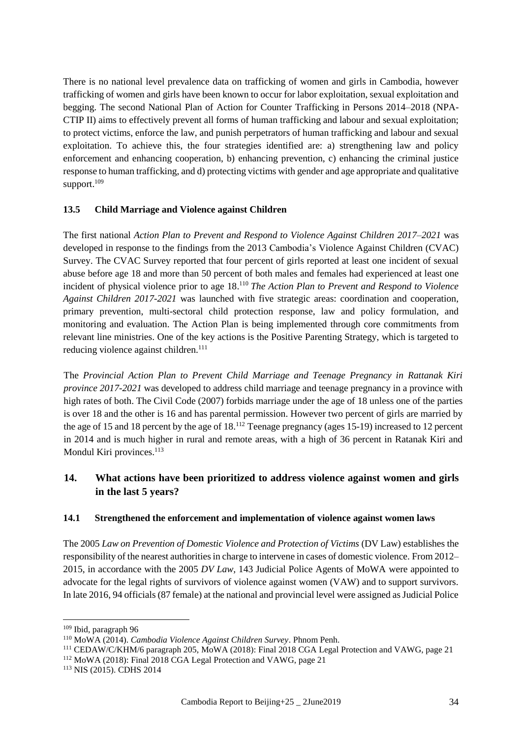There is no national level prevalence data on trafficking of women and girls in Cambodia, however trafficking of women and girls have been known to occur for labor exploitation, sexual exploitation and begging. The second National Plan of Action for Counter Trafficking in Persons 2014–2018 (NPA-CTIP II) aims to effectively prevent all forms of human trafficking and labour and sexual exploitation; to protect victims, enforce the law, and punish perpetrators of human trafficking and labour and sexual exploitation. To achieve this, the four strategies identified are: a) strengthening law and policy enforcement and enhancing cooperation, b) enhancing prevention, c) enhancing the criminal justice response to human trafficking, and d) protecting victims with gender and age appropriate and qualitative support.<sup>109</sup>

#### **13.5 Child Marriage and Violence against Children**

The first national *Action Plan to Prevent and Respond to Violence Against Children 2017–2021* was developed in response to the findings from the 2013 Cambodia's Violence Against Children (CVAC) Survey. The CVAC Survey reported that four percent of girls reported at least one incident of sexual abuse before age 18 and more than 50 percent of both males and females had experienced at least one incident of physical violence prior to age 18. <sup>110</sup> *The Action Plan to Prevent and Respond to Violence Against Children 2017-2021* was launched with five strategic areas: coordination and cooperation, primary prevention, multi-sectoral child protection response, law and policy formulation, and monitoring and evaluation. The Action Plan is being implemented through core commitments from relevant line ministries. One of the key actions is the Positive Parenting Strategy, which is targeted to reducing violence against children.<sup>111</sup>

The *Provincial Action Plan to Prevent Child Marriage and Teenage Pregnancy in Rattanak Kiri province 2017-2021* was developed to address child marriage and teenage pregnancy in a province with high rates of both. The Civil Code (2007) forbids marriage under the age of 18 unless one of the parties is over 18 and the other is 16 and has parental permission. However two percent of girls are married by the age of 15 and 18 percent by the age of 18.<sup>112</sup> Teenage pregnancy (ages 15-19) increased to 12 percent in 2014 and is much higher in rural and remote areas, with a high of 36 percent in Ratanak Kiri and Mondul Kiri provinces.<sup>113</sup>

## **14. What actions have been prioritized to address violence against women and girls in the last 5 years?**

#### **14.1 Strengthened the enforcement and implementation of violence against women laws**

The 2005 *Law on Prevention of Domestic Violence and Protection of Victims* (DV Law) establishes the responsibility of the nearest authorities in charge to intervene in cases of domestic violence. From 2012– 2015, in accordance with the 2005 *DV Law,* 143 Judicial Police Agents of MoWA were appointed to advocate for the legal rights of survivors of violence against women (VAW) and to support survivors. In late 2016, 94 officials (87 female) at the national and provincial level were assigned as Judicial Police

<sup>109</sup> Ibid, paragraph 96

<sup>110</sup> MoWA (2014). *Cambodia Violence Against Children Survey*. Phnom Penh.

<sup>111</sup> CEDAW/C/KHM/6 paragraph 205, MoWA (2018): Final 2018 CGA Legal Protection and VAWG, page 21

<sup>112</sup> MoWA (2018): Final 2018 CGA Legal Protection and VAWG, page 21

<sup>113</sup> NIS (2015). CDHS 2014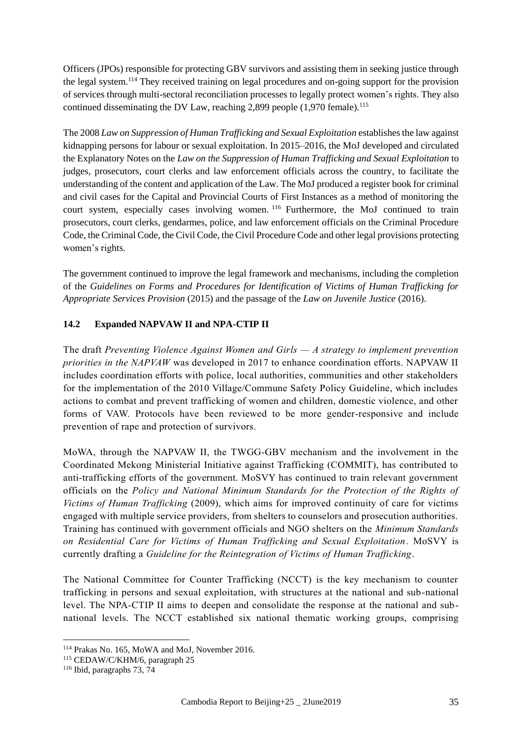Officers (JPOs) responsible for protecting GBV survivors and assisting them in seeking justice through the legal system.<sup>114</sup> They received training on legal procedures and on-going support for the provision of services through multi-sectoral reconciliation processes to legally protect women's rights. They also continued disseminating the DV Law, reaching  $2,899$  people  $(1,970)$  female).<sup>115</sup>

The 2008 *Law on Suppression of Human Trafficking and Sexual Exploitation* establishes the law against kidnapping persons for labour or sexual exploitation. In 2015–2016, the MoJ developed and circulated the Explanatory Notes on the *Law on the Suppression of Human Trafficking and Sexual Exploitation* to judges, prosecutors, court clerks and law enforcement officials across the country, to facilitate the understanding of the content and application of the Law. The MoJ produced a register book for criminal and civil cases for the Capital and Provincial Courts of First Instances as a method of monitoring the court system, especially cases involving women. <sup>116</sup> Furthermore, the MoJ continued to train prosecutors, court clerks, gendarmes, police, and law enforcement officials on the Criminal Procedure Code, the Criminal Code, the Civil Code, the Civil Procedure Code and other legal provisions protecting women's rights.

The government continued to improve the legal framework and mechanisms, including the completion of the *Guidelines on Forms and Procedures for Identification of Victims of Human Trafficking for Appropriate Services Provision* (2015) and the passage of the *Law on Juvenile Justice* (2016).

## **14.2 Expanded NAPVAW II and NPA-CTIP II**

The draft *Preventing Violence Against Women and Girls — A strategy to implement prevention priorities in the NAPVAW* was developed in 2017 to enhance coordination efforts. NAPVAW II includes coordination efforts with police, local authorities, communities and other stakeholders for the implementation of the 2010 Village/Commune Safety Policy Guideline, which includes actions to combat and prevent trafficking of women and children, domestic violence, and other forms of VAW. Protocols have been reviewed to be more gender-responsive and include prevention of rape and protection of survivors.

MoWA, through the NAPVAW II, the TWGG-GBV mechanism and the involvement in the Coordinated Mekong Ministerial Initiative against Trafficking (COMMIT), has contributed to anti-trafficking efforts of the government. MoSVY has continued to train relevant government officials on the *Policy and National Minimum Standards for the Protection of the Rights of Victims of Human Trafficking* (2009), which aims for improved continuity of care for victims engaged with multiple service providers, from shelters to counselors and prosecution authorities. Training has continued with government officials and NGO shelters on the *Minimum Standards on Residential Care for Victims of Human Trafficking and Sexual Exploitation*. MoSVY is currently drafting a *Guideline for the Reintegration of Victims of Human Trafficking*.

The National Committee for Counter Trafficking (NCCT) is the key mechanism to counter trafficking in persons and sexual exploitation, with structures at the national and sub-national level. The NPA-CTIP II aims to deepen and consolidate the response at the national and subnational levels. The NCCT established six national thematic working groups, comprising

<sup>114</sup> Prakas No. 165, MoWA and MoJ, November 2016.

<sup>115</sup> CEDAW/C/KHM/6, paragraph 25

<sup>116</sup> Ibid, paragraphs 73, 74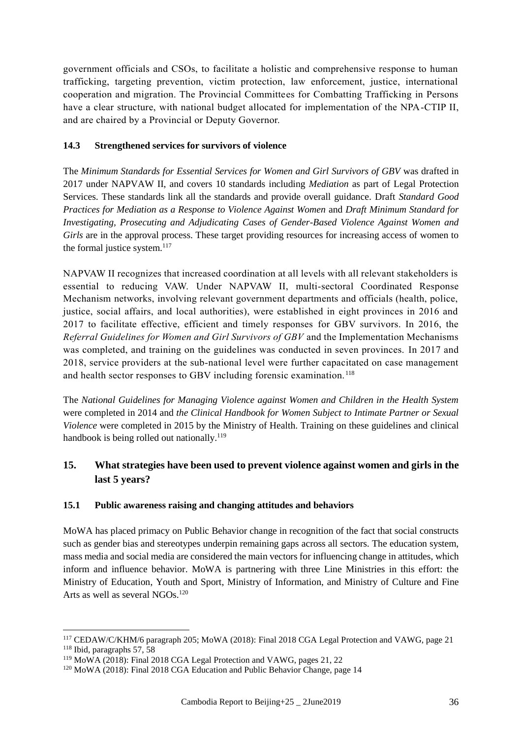government officials and CSOs, to facilitate a holistic and comprehensive response to human trafficking, targeting prevention, victim protection, law enforcement, justice, international cooperation and migration. The Provincial Committees for Combatting Trafficking in Persons have a clear structure, with national budget allocated for implementation of the NPA-CTIP II, and are chaired by a Provincial or Deputy Governor.

#### **14.3 Strengthened services for survivors of violence**

The *Minimum Standards for Essential Services for Women and Girl Survivors of GBV* was drafted in 2017 under NAPVAW II, and covers 10 standards including *Mediation* as part of Legal Protection Services. These standards link all the standards and provide overall guidance. Draft *Standard Good Practices for Mediation as a Response to Violence Against Women* and *Draft Minimum Standard for Investigating, Prosecuting and Adjudicating Cases of Gender-Based Violence Against Women and Girls* are in the approval process. These target providing resources for increasing access of women to the formal justice system. $117$ 

NAPVAW II recognizes that increased coordination at all levels with all relevant stakeholders is essential to reducing VAW. Under NAPVAW II, multi-sectoral Coordinated Response Mechanism networks, involving relevant government departments and officials (health, police, justice, social affairs, and local authorities), were established in eight provinces in 2016 and 2017 to facilitate effective, efficient and timely responses for GBV survivors. In 2016, the *Referral Guidelines for Women and Girl Survivors of GBV* and the Implementation Mechanisms was completed, and training on the guidelines was conducted in seven provinces. In 2017 and 2018, service providers at the sub-national level were further capacitated on case management and health sector responses to GBV including forensic examination.<sup>118</sup>

The *National Guidelines for Managing Violence against Women and Children in the Health System*  were completed in 2014 and *the Clinical Handbook for Women Subject to Intimate Partner or Sexual Violence* were completed in 2015 by the Ministry of Health. Training on these guidelines and clinical handbook is being rolled out nationally.<sup>119</sup>

## **15. What strategies have been used to prevent violence against women and girls in the last 5 years?**

## **15.1 Public awareness raising and changing attitudes and behaviors**

MoWA has placed primacy on Public Behavior change in recognition of the fact that social constructs such as gender bias and stereotypes underpin remaining gaps across all sectors. The education system, mass media and social media are considered the main vectors for influencing change in attitudes, which inform and influence behavior. MoWA is partnering with three Line Ministries in this effort: the Ministry of Education, Youth and Sport, Ministry of Information, and Ministry of Culture and Fine Arts as well as several NGOs.<sup>120</sup>

<sup>117</sup> CEDAW/C/KHM/6 paragraph 205; MoWA (2018): Final 2018 CGA Legal Protection and VAWG, page 21 <sup>118</sup> Ibid, paragraphs 57, 58

<sup>119</sup> MoWA (2018): Final 2018 CGA Legal Protection and VAWG, pages 21, 22

<sup>120</sup> MoWA (2018): Final 2018 CGA Education and Public Behavior Change, page 14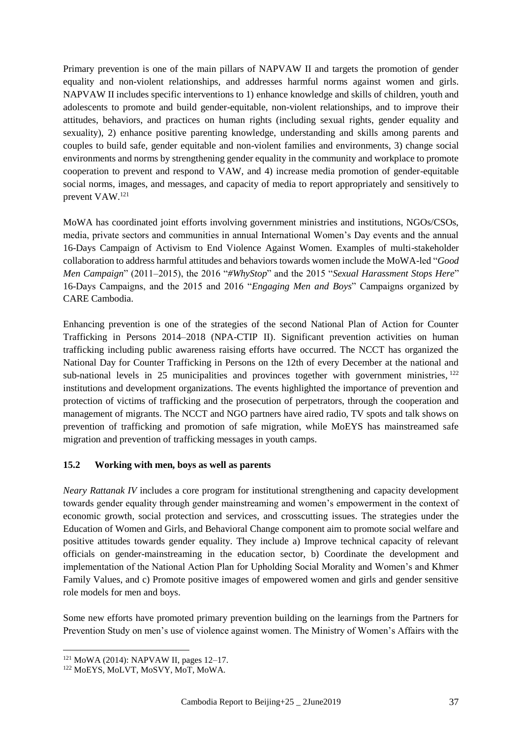Primary prevention is one of the main pillars of NAPVAW II and targets the promotion of gender equality and non-violent relationships, and addresses harmful norms against women and girls. NAPVAW II includes specific interventions to 1) enhance knowledge and skills of children, youth and adolescents to promote and build gender-equitable, non-violent relationships, and to improve their attitudes, behaviors, and practices on human rights (including sexual rights, gender equality and sexuality), 2) enhance positive parenting knowledge, understanding and skills among parents and couples to build safe, gender equitable and non-violent families and environments, 3) change social environments and norms by strengthening gender equality in the community and workplace to promote cooperation to prevent and respond to VAW, and 4) increase media promotion of gender-equitable social norms, images, and messages, and capacity of media to report appropriately and sensitively to prevent VAW.<sup>121</sup>

MoWA has coordinated joint efforts involving government ministries and institutions, NGOs/CSOs, media, private sectors and communities in annual International Women's Day events and the annual 16-Days Campaign of Activism to End Violence Against Women. Examples of multi-stakeholder collaboration to address harmful attitudes and behaviors towards women include the MoWA-led "*Good Men Campaign*" (2011–2015), the 2016 "*#WhyStop*" and the 2015 "*Sexual Harassment Stops Here*" 16-Days Campaigns, and the 2015 and 2016 "*Engaging Men and Boys*" Campaigns organized by CARE Cambodia.

Enhancing prevention is one of the strategies of the second National Plan of Action for Counter Trafficking in Persons 2014–2018 (NPA-CTIP II). Significant prevention activities on human trafficking including public awareness raising efforts have occurred. The NCCT has organized the National Day for Counter Trafficking in Persons on the 12th of every December at the national and sub-national levels in  $25$  municipalities and provinces together with government ministries,  $122$ institutions and development organizations. The events highlighted the importance of prevention and protection of victims of trafficking and the prosecution of perpetrators, through the cooperation and management of migrants. The NCCT and NGO partners have aired radio, TV spots and talk shows on prevention of trafficking and promotion of safe migration, while MoEYS has mainstreamed safe migration and prevention of trafficking messages in youth camps.

#### **15.2 Working with men, boys as well as parents**

*Neary Rattanak IV* includes a core program for institutional strengthening and capacity development towards gender equality through gender mainstreaming and women's empowerment in the context of economic growth, social protection and services, and crosscutting issues. The strategies under the Education of Women and Girls, and Behavioral Change component aim to promote social welfare and positive attitudes towards gender equality. They include a) Improve technical capacity of relevant officials on gender-mainstreaming in the education sector, b) Coordinate the development and implementation of the National Action Plan for Upholding Social Morality and Women's and Khmer Family Values, and c) Promote positive images of empowered women and girls and gender sensitive role models for men and boys.

Some new efforts have promoted primary prevention building on the learnings from the Partners for Prevention Study on men's use of violence against women. The Ministry of Women's Affairs with the

<sup>121</sup> MoWA (2014): NAPVAW II, pages 12–17.

<sup>122</sup> MoEYS, MoLVT, MoSVY, MoT, MoWA.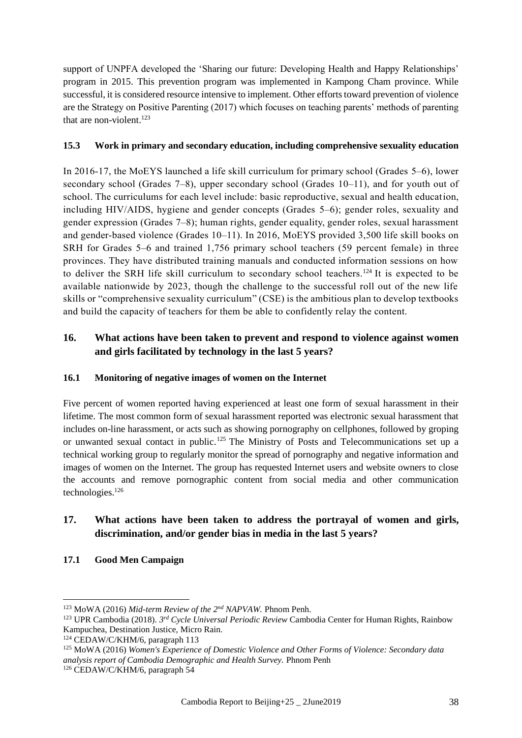support of UNPFA developed the 'Sharing our future: Developing Health and Happy Relationships' program in 2015. This prevention program was implemented in Kampong Cham province. While successful, it is considered resource intensive to implement. Other efforts toward prevention of violence are the Strategy on Positive Parenting (2017) which focuses on teaching parents' methods of parenting that are non-violent.<sup>123</sup>

#### **15.3 Work in primary and secondary education, including comprehensive sexuality education**

In 2016-17, the MoEYS launched a life skill curriculum for primary school (Grades 5–6), lower secondary school (Grades  $7-8$ ), upper secondary school (Grades  $10-11$ ), and for youth out of school. The curriculums for each level include: basic reproductive, sexual and health education, including HIV/AIDS, hygiene and gender concepts (Grades 5–6); gender roles, sexuality and gender expression (Grades 7–8); human rights, gender equality, gender roles, sexual harassment and gender-based violence (Grades 10–11). In 2016, MoEYS provided 3,500 life skill books on SRH for Grades 5–6 and trained 1,756 primary school teachers (59 percent female) in three provinces. They have distributed training manuals and conducted information sessions on how to deliver the SRH life skill curriculum to secondary school teachers.<sup>124</sup> It is expected to be available nationwide by 2023, though the challenge to the successful roll out of the new life skills or "comprehensive sexuality curriculum" (CSE) is the ambitious plan to develop textbooks and build the capacity of teachers for them be able to confidently relay the content.

## **16. What actions have been taken to prevent and respond to violence against women and girls facilitated by technology in the last 5 years?**

## **16.1 Monitoring of negative images of women on the Internet**

Five percent of women reported having experienced at least one form of sexual harassment in their lifetime. The most common form of sexual harassment reported was electronic sexual harassment that includes on-line harassment, or acts such as showing pornography on cellphones, followed by groping or unwanted sexual contact in public.<sup>125</sup> The Ministry of Posts and Telecommunications set up a technical working group to regularly monitor the spread of pornography and negative information and images of women on the Internet. The group has requested Internet users and website owners to close the accounts and remove pornographic content from social media and other communication technologies.<sup>126</sup>

## **17. What actions have been taken to address the portrayal of women and girls, discrimination, and/or gender bias in media in the last 5 years?**

**17.1 Good Men Campaign**

<sup>123</sup> MoWA (2016) *Mid-term Review of the 2nd NAPVAW.* Phnom Penh.

<sup>123</sup> UPR Cambodia (2018). *3 rd Cycle Universal Periodic Review* Cambodia Center for Human Rights, Rainbow Kampuchea, Destination Justice, Micro Rain.

<sup>124</sup> CEDAW/C/KHM/6, paragraph 113

<sup>125</sup> MoWA (2016) *Women's Experience of Domestic Violence and Other Forms of Violence: Secondary data analysis report of Cambodia Demographic and Health Survey.* Phnom Penh

<sup>126</sup> CEDAW/C/KHM/6, paragraph 54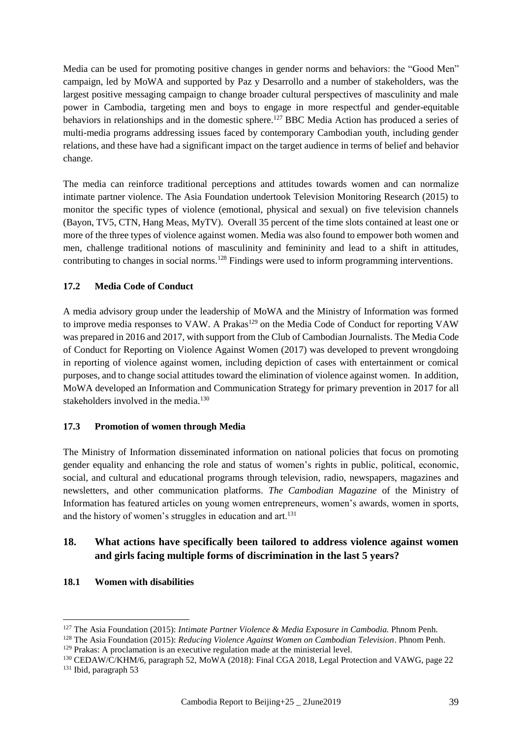Media can be used for promoting positive changes in gender norms and behaviors: the "Good Men" campaign, led by MoWA and supported by Paz y Desarrollo and a number of stakeholders, was the largest positive messaging campaign to change broader cultural perspectives of masculinity and male power in Cambodia, targeting men and boys to engage in more respectful and gender-equitable behaviors in relationships and in the domestic sphere.<sup>127</sup> BBC Media Action has produced a series of multi-media programs addressing issues faced by contemporary Cambodian youth, including gender relations, and these have had a significant impact on the target audience in terms of belief and behavior change.

The media can reinforce traditional perceptions and attitudes towards women and can normalize intimate partner violence. The Asia Foundation undertook Television Monitoring Research (2015) to monitor the specific types of violence (emotional, physical and sexual) on five television channels (Bayon, TV5, CTN, Hang Meas, MyTV). Overall 35 percent of the time slots contained at least one or more of the three types of violence against women. Media was also found to empower both women and men, challenge traditional notions of masculinity and femininity and lead to a shift in attitudes, contributing to changes in social norms.<sup>128</sup> Findings were used to inform programming interventions.

#### **17.2 Media Code of Conduct**

A media advisory group under the leadership of MoWA and the Ministry of Information was formed to improve media responses to VAW. A Prakas<sup>129</sup> on the Media Code of Conduct for reporting VAW was prepared in 2016 and 2017, with support from the Club of Cambodian Journalists. The Media Code of Conduct for Reporting on Violence Against Women (2017) was developed to prevent wrongdoing in reporting of violence against women, including depiction of cases with entertainment or comical purposes, and to change social attitudes toward the elimination of violence against women. In addition, MoWA developed an Information and Communication Strategy for primary prevention in 2017 for all stakeholders involved in the media.<sup>130</sup>

#### **17.3 Promotion of women through Media**

The Ministry of Information disseminated information on national policies that focus on promoting gender equality and enhancing the role and status of women's rights in public, political, economic, social, and cultural and educational programs through television, radio, newspapers, magazines and newsletters, and other communication platforms. *The Cambodian Magazine* of the Ministry of Information has featured articles on young women entrepreneurs, women's awards, women in sports, and the history of women's struggles in education and art.<sup>131</sup>

## **18. What actions have specifically been tailored to address violence against women and girls facing multiple forms of discrimination in the last 5 years?**

#### **18.1 Women with disabilities**

<sup>127</sup> The Asia Foundation (2015): *Intimate Partner Violence & Media Exposure in Cambodia.* Phnom Penh.

<sup>128</sup> The Asia Foundation (2015): *Reducing Violence Against Women on Cambodian Television*. Phnom Penh. <sup>129</sup> Prakas: A proclamation is an executive regulation made at the ministerial level.

<sup>130</sup> CEDAW/C/KHM/6, paragraph 52, MoWA (2018): Final CGA 2018, Legal Protection and VAWG, page 22 <sup>131</sup> Ibid, paragraph 53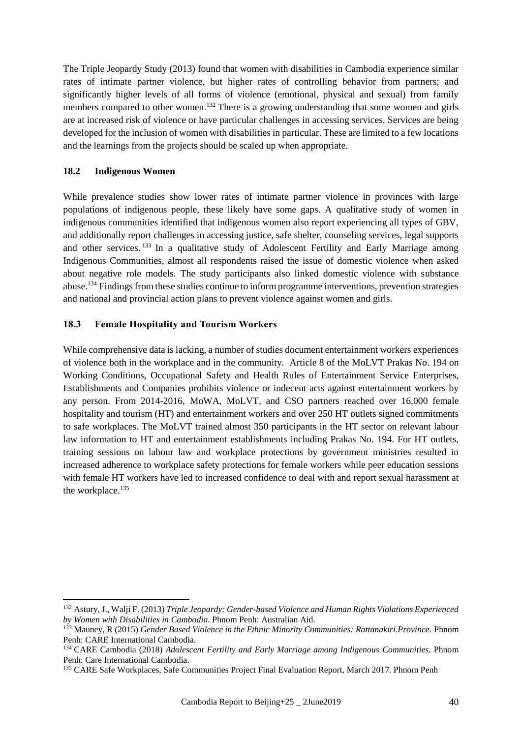The Triple Jeopardy Study (2013) found that women with disabilities in Cambodia experience similar rates of intimate partner violence, but higher rates of controlling behavior from partners; and significantly higher levels of all forms of violence (emotional, physical and sexual) from family members compared to other women.<sup>132</sup> There is a growing understanding that some women and girls are at increased risk of violence or have particular challenges in accessing services. Services are being developed for the inclusion of women with disabilities in particular. These are limited to a few locations and the learnings from the projects should be scaled up when appropriate.

#### **18.2 Indigenous Women**

1

While prevalence studies show lower rates of intimate partner violence in provinces with large populations of indigenous people, these likely have some gaps. A qualitative study of women in indigenous communities identified that indigenous women also report experiencing all types of GBV, and additionally report challenges in accessing justice, safe shelter, counseling services, legal supports and other services.<sup>133</sup> In a qualitative study of Adolescent Fertility and Early Marriage among Indigenous Communities, almost all respondents raised the issue of domestic violence when asked about negative role models. The study participants also linked domestic violence with substance abuse. <sup>134</sup> Findings from these studies continue to inform programme interventions, prevention strategies and national and provincial action plans to prevent violence against women and girls.

#### **18.3 Female Hospitality and Tourism Workers**

While comprehensive data is lacking, a number of studies document entertainment workers experiences of violence both in the workplace and in the community. Article 8 of the MoLVT Prakas No. 194 on Working Conditions, Occupational Safety and Health Rules of Entertainment Service Enterprises, Establishments and Companies prohibits violence or indecent acts against entertainment workers by any person. From 2014-2016, MoWA, MoLVT, and CSO partners reached over 16,000 female hospitality and tourism (HT) and entertainment workers and over 250 HT outlets signed commitments to safe workplaces. The MoLVT trained almost 350 participants in the HT sector on relevant labour law information to HT and entertainment establishments including Prakas No. 194. For HT outlets, training sessions on labour law and workplace protections by government ministries resulted in increased adherence to workplace safety protections for female workers while peer education sessions with female HT workers have led to increased confidence to deal with and report sexual harassment at the workplace.<sup>135</sup>

<sup>132</sup> Astury, J., Walji F. (2013) *Triple Jeopardy: Gender-based Violence and Human Rights Violations Experienced by Women with Disabilities in Cambodia.* Phnom Penh: Australian Aid.

<sup>&</sup>lt;sup>133</sup> Mauney, R (2015) *Gender Based Violence in the Ethnic Minority Communities: Rattanakiri.Province. Phnom* Penh: CARE International Cambodia.

<sup>134</sup> CARE Cambodia (2018) *Adolescent Fertility and Early Marriage among Indigenous Communities.* Phnom Penh: Care International Cambodia.

<sup>&</sup>lt;sup>135</sup> CARE Safe Workplaces, Safe Communities Project Final Evaluation Report, March 2017. Phnom Penh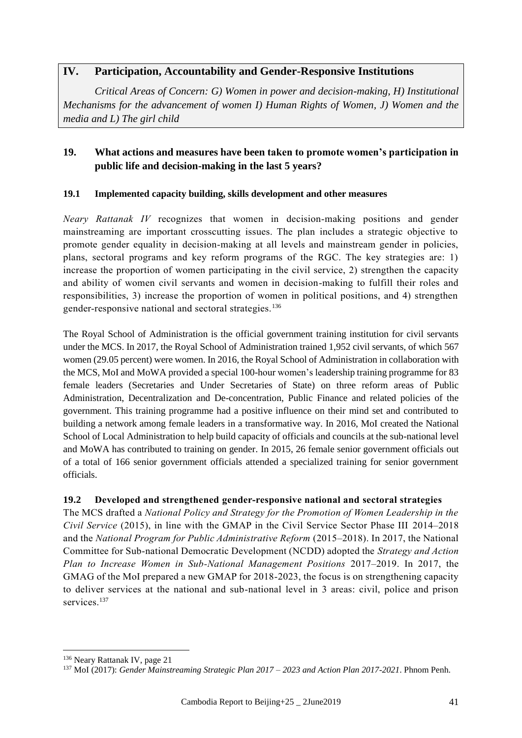## **IV. Participation, Accountability and Gender-Responsive Institutions**

*Critical Areas of Concern: G) Women in power and decision-making, H) Institutional Mechanisms for the advancement of women I) Human Rights of Women, J) Women and the media and L) The girl child*

## **19. What actions and measures have been taken to promote women's participation in public life and decision-making in the last 5 years?**

#### **19.1 Implemented capacity building, skills development and other measures**

*Neary Rattanak IV* recognizes that women in decision-making positions and gender mainstreaming are important crosscutting issues. The plan includes a strategic objective to promote gender equality in decision-making at all levels and mainstream gender in policies, plans, sectoral programs and key reform programs of the RGC. The key strategies are: 1) increase the proportion of women participating in the civil service, 2) strengthen the capacity and ability of women civil servants and women in decision-making to fulfill their roles and responsibilities, 3) increase the proportion of women in political positions, and 4) strengthen gender-responsive national and sectoral strategies.<sup>136</sup>

The Royal School of Administration is the official government training institution for civil servants under the MCS. In 2017, the Royal School of Administration trained 1,952 civil servants, of which 567 women (29.05 percent) were women. In 2016, the Royal School of Administration in collaboration with the MCS, MoI and MoWA provided a special 100-hour women's leadership training programme for 83 female leaders (Secretaries and Under Secretaries of State) on three reform areas of Public Administration, Decentralization and De-concentration, Public Finance and related policies of the government. This training programme had a positive influence on their mind set and contributed to building a network among female leaders in a transformative way. In 2016, MoI created the National School of Local Administration to help build capacity of officials and councils at the sub-national level and MoWA has contributed to training on gender. In 2015, 26 female senior government officials out of a total of 166 senior government officials attended a specialized training for senior government officials.

## **19.2 Developed and strengthened gender-responsive national and sectoral strategies**

The MCS drafted a *National Policy and Strategy for the Promotion of Women Leadership in the Civil Service* (2015), in line with the GMAP in the Civil Service Sector Phase III 2014–2018 and the *National Program for Public Administrative Reform* (2015–2018). In 2017, the National Committee for Sub-national Democratic Development (NCDD) adopted the *Strategy and Action Plan to Increase Women in Sub-National Management Positions* 2017–2019. In 2017, the GMAG of the MoI prepared a new GMAP for 2018-2023, the focus is on strengthening capacity to deliver services at the national and sub-national level in 3 areas: civil, police and prison services.<sup>137</sup>

<sup>136</sup> Neary Rattanak IV, page 21

<sup>137</sup> MoI (2017): *Gender Mainstreaming Strategic Plan 2017 – 2023 and Action Plan 2017-2021*. Phnom Penh.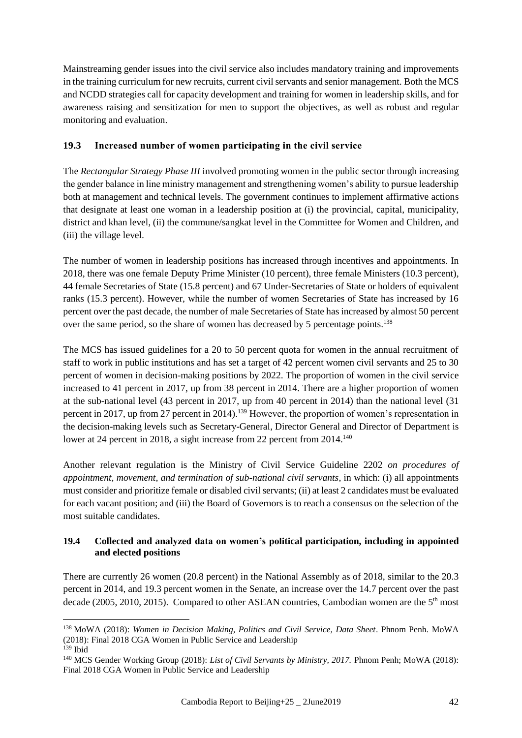Mainstreaming gender issues into the civil service also includes mandatory training and improvements in the training curriculum for new recruits, current civil servants and senior management. Both the MCS and NCDD strategies call for capacity development and training for women in leadership skills, and for awareness raising and sensitization for men to support the objectives, as well as robust and regular monitoring and evaluation.

## **19.3 Increased number of women participating in the civil service**

The *Rectangular Strategy Phase III* involved promoting women in the public sector through increasing the gender balance in line ministry management and strengthening women's ability to pursue leadership both at management and technical levels. The government continues to implement affirmative actions that designate at least one woman in a leadership position at (i) the provincial, capital, municipality, district and khan level, (ii) the commune/sangkat level in the Committee for Women and Children, and (iii) the village level.

The number of women in leadership positions has increased through incentives and appointments. In 2018, there was one female Deputy Prime Minister (10 percent), three female Ministers (10.3 percent), 44 female Secretaries of State (15.8 percent) and 67 Under-Secretaries of State or holders of equivalent ranks (15.3 percent). However, while the number of women Secretaries of State has increased by 16 percent over the past decade, the number of male Secretaries of State has increased by almost 50 percent over the same period, so the share of women has decreased by 5 percentage points.<sup>138</sup>

The MCS has issued guidelines for a 20 to 50 percent quota for women in the annual recruitment of staff to work in public institutions and has set a target of 42 percent women civil servants and 25 to 30 percent of women in decision-making positions by 2022. The proportion of women in the civil service increased to 41 percent in 2017, up from 38 percent in 2014. There are a higher proportion of women at the sub-national level (43 percent in 2017, up from 40 percent in 2014) than the national level (31 percent in 2017, up from 27 percent in 2014).<sup>139</sup> However, the proportion of women's representation in the decision-making levels such as Secretary-General, Director General and Director of Department is lower at 24 percent in 2018, a sight increase from 22 percent from 2014.<sup>140</sup>

Another relevant regulation is the Ministry of Civil Service Guideline 2202 *on procedures of appointment, movement, and termination of sub-national civil servants*, in which: (i) all appointments must consider and prioritize female or disabled civil servants; (ii) at least 2 candidates must be evaluated for each vacant position; and (iii) the Board of Governors is to reach a consensus on the selection of the most suitable candidates.

#### **19.4 Collected and analyzed data on women's political participation, including in appointed and elected positions**

There are currently 26 women (20.8 percent) in the National Assembly as of 2018, similar to the 20.3 percent in 2014, and 19.3 percent women in the Senate, an increase over the 14.7 percent over the past decade (2005, 2010, 2015). Compared to other ASEAN countries, Cambodian women are the 5<sup>th</sup> most

<sup>138</sup> MoWA (2018): *Women in Decision Making, Politics and Civil Service, Data Sheet*. Phnom Penh. MoWA (2018): Final 2018 CGA Women in Public Service and Leadership

<sup>139</sup> Ibid

<sup>140</sup> MCS Gender Working Group (2018): *List of Civil Servants by Ministry, 2017.* Phnom Penh; MoWA (2018): Final 2018 CGA Women in Public Service and Leadership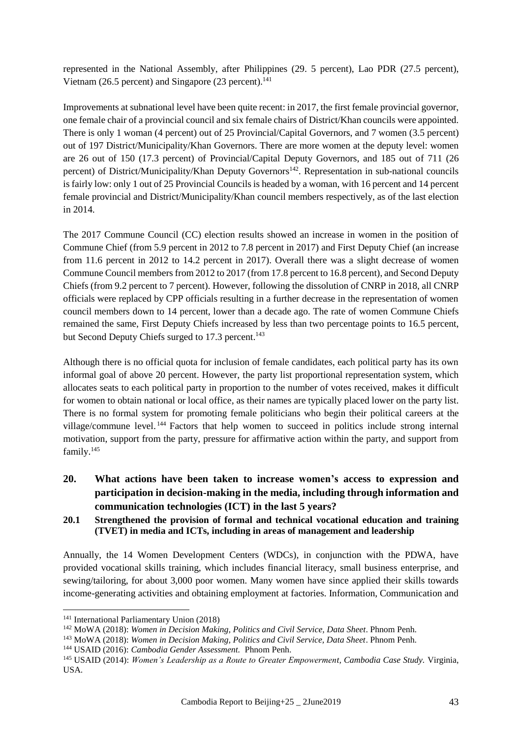represented in the National Assembly, after Philippines (29. 5 percent), Lao PDR (27.5 percent), Vietnam (26.5 percent) and Singapore (23 percent).<sup>141</sup>

Improvements at subnational level have been quite recent: in 2017, the first female provincial governor, one female chair of a provincial council and six female chairs of District/Khan councils were appointed. There is only 1 woman (4 percent) out of 25 Provincial/Capital Governors, and 7 women (3.5 percent) out of 197 District/Municipality/Khan Governors. There are more women at the deputy level: women are 26 out of 150 (17.3 percent) of Provincial/Capital Deputy Governors, and 185 out of 711 (26 percent) of District/Municipality/Khan Deputy Governors<sup>142</sup>. Representation in sub-national councils is fairly low: only 1 out of 25 Provincial Councils is headed by a woman, with 16 percent and 14 percent female provincial and District/Municipality/Khan council members respectively, as of the last election in 2014.

The 2017 Commune Council (CC) election results showed an increase in women in the position of Commune Chief (from 5.9 percent in 2012 to 7.8 percent in 2017) and First Deputy Chief (an increase from 11.6 percent in 2012 to 14.2 percent in 2017). Overall there was a slight decrease of women Commune Council members from 2012 to 2017 (from 17.8 percent to 16.8 percent), and Second Deputy Chiefs (from 9.2 percent to 7 percent). However, following the dissolution of CNRP in 2018, all CNRP officials were replaced by CPP officials resulting in a further decrease in the representation of women council members down to 14 percent, lower than a decade ago. The rate of women Commune Chiefs remained the same, First Deputy Chiefs increased by less than two percentage points to 16.5 percent, but Second Deputy Chiefs surged to 17.3 percent.<sup>143</sup>

Although there is no official quota for inclusion of female candidates, each political party has its own informal goal of above 20 percent. However, the party list proportional representation system, which allocates seats to each political party in proportion to the number of votes received, makes it difficult for women to obtain national or local office, as their names are typically placed lower on the party list. There is no formal system for promoting female politicians who begin their political careers at the village/commune level.<sup>144</sup> Factors that help women to succeed in politics include strong internal motivation, support from the party, pressure for affirmative action within the party, and support from family. 145

- **20. What actions have been taken to increase women's access to expression and participation in decision-making in the media, including through information and communication technologies (ICT) in the last 5 years?**
- **20.1 Strengthened the provision of formal and technical vocational education and training (TVET) in media and ICTs, including in areas of management and leadership**

Annually, the 14 Women Development Centers (WDCs), in conjunction with the PDWA, have provided vocational skills training, which includes financial literacy, small business enterprise, and sewing/tailoring, for about 3,000 poor women. Many women have since applied their skills towards income-generating activities and obtaining employment at factories. Information, Communication and

<sup>141</sup> International Parliamentary Union (2018)

<sup>142</sup> MoWA (2018): *Women in Decision Making, Politics and Civil Service, Data Sheet*. Phnom Penh.

<sup>143</sup> MoWA (2018): *Women in Decision Making, Politics and Civil Service, Data Sheet*. Phnom Penh.

<sup>144</sup> USAID (2016): *Cambodia Gender Assessment.* Phnom Penh.

<sup>145</sup> USAID (2014): *Women's Leadership as a Route to Greater Empowerment, Cambodia Case Study.* Virginia, USA.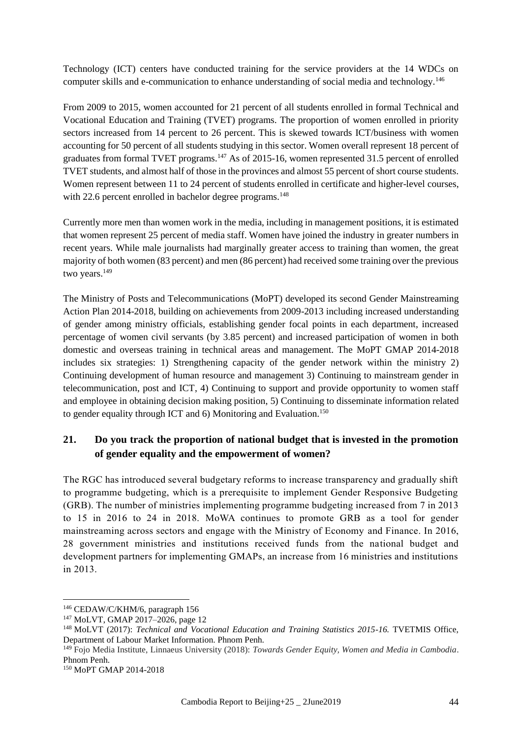Technology (ICT) centers have conducted training for the service providers at the 14 WDCs on computer skills and e-communication to enhance understanding of social media and technology.<sup>146</sup>

From 2009 to 2015, women accounted for 21 percent of all students enrolled in formal Technical and Vocational Education and Training (TVET) programs. The proportion of women enrolled in priority sectors increased from 14 percent to 26 percent. This is skewed towards ICT/business with women accounting for 50 percent of all students studying in this sector. Women overall represent 18 percent of graduates from formal TVET programs.<sup>147</sup> As of 2015-16, women represented 31.5 percent of enrolled TVET students, and almost half of those in the provinces and almost 55 percent of short course students. Women represent between 11 to 24 percent of students enrolled in certificate and higher-level courses, with 22.6 percent enrolled in bachelor degree programs.<sup>148</sup>

Currently more men than women work in the media, including in management positions, it is estimated that women represent 25 percent of media staff. Women have joined the industry in greater numbers in recent years. While male journalists had marginally greater access to training than women, the great majority of both women (83 percent) and men (86 percent) had received some training over the previous two years.<sup>149</sup>

The Ministry of Posts and Telecommunications (MoPT) developed its second Gender Mainstreaming Action Plan 2014-2018, building on achievements from 2009-2013 including increased understanding of gender among ministry officials, establishing gender focal points in each department, increased percentage of women civil servants (by 3.85 percent) and increased participation of women in both domestic and overseas training in technical areas and management. The MoPT GMAP 2014-2018 includes six strategies: 1) Strengthening capacity of the gender network within the ministry 2) Continuing development of human resource and management 3) Continuing to mainstream gender in telecommunication, post and ICT, 4) Continuing to support and provide opportunity to women staff and employee in obtaining decision making position, 5) Continuing to disseminate information related to gender equality through ICT and 6) Monitoring and Evaluation.<sup>150</sup>

## **21. Do you track the proportion of national budget that is invested in the promotion of gender equality and the empowerment of women?**

The RGC has introduced several budgetary reforms to increase transparency and gradually shift to programme budgeting, which is a prerequisite to implement Gender Responsive Budgeting (GRB). The number of ministries implementing programme budgeting increased from 7 in 2013 to 15 in 2016 to 24 in 2018. MoWA continues to promote GRB as a tool for gender mainstreaming across sectors and engage with the Ministry of Economy and Finance. In 2016, 28 government ministries and institutions received funds from the national budget and development partners for implementing GMAPs, an increase from 16 ministries and institutions in 2013.

<sup>146</sup> CEDAW/C/KHM/6, paragraph 156

<sup>147</sup> MoLVT, GMAP 2017–2026, page 12

<sup>148</sup> MoLVT (2017): *Technical and Vocational Education and Training Statistics 2015-16.* TVETMIS Office, Department of Labour Market Information. Phnom Penh.

<sup>149</sup> Fojo Media Institute, Linnaeus University (2018): *Towards Gender Equity, Women and Media in Cambodia*. Phnom Penh.

<sup>150</sup> MoPT GMAP 2014-2018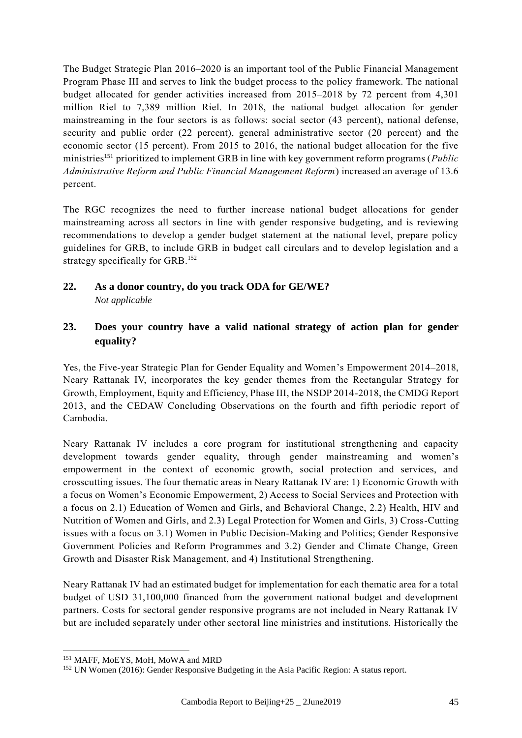The Budget Strategic Plan 2016–2020 is an important tool of the Public Financial Management Program Phase III and serves to link the budget process to the policy framework. The national budget allocated for gender activities increased from 2015–2018 by 72 percent from 4,301 million Riel to 7,389 million Riel. In 2018, the national budget allocation for gender mainstreaming in the four sectors is as follows: social sector (43 percent), national defense, security and public order (22 percent), general administrative sector (20 percent) and the economic sector (15 percent). From 2015 to 2016, the national budget allocation for the five ministries<sup>151</sup> prioritized to implement GRB in line with key government reform programs (*Public Administrative Reform and Public Financial Management Reform*) increased an average of 13.6 percent.

The RGC recognizes the need to further increase national budget allocations for gender mainstreaming across all sectors in line with gender responsive budgeting, and is reviewing recommendations to develop a gender budget statement at the national level, prepare policy guidelines for GRB, to include GRB in budget call circulars and to develop legislation and a strategy specifically for GRB.<sup>152</sup>

## **22. As a donor country, do you track ODA for GE/WE?**  *Not applicable*

## **23. Does your country have a valid national strategy of action plan for gender equality?**

Yes, the Five-year Strategic Plan for Gender Equality and Women's Empowerment 2014–2018, Neary Rattanak IV, incorporates the key gender themes from the Rectangular Strategy for Growth, Employment, Equity and Efficiency, Phase III, the NSDP 2014-2018, the CMDG Report 2013, and the CEDAW Concluding Observations on the fourth and fifth periodic report of Cambodia.

Neary Rattanak IV includes a core program for institutional strengthening and capacity development towards gender equality, through gender mainstreaming and women's empowerment in the context of economic growth, social protection and services, and crosscutting issues. The four thematic areas in Neary Rattanak IV are: 1) Economic Growth with a focus on Women's Economic Empowerment, 2) Access to Social Services and Protection with a focus on 2.1) Education of Women and Girls, and Behavioral Change, 2.2) Health, HIV and Nutrition of Women and Girls, and 2.3) Legal Protection for Women and Girls, 3) Cross-Cutting issues with a focus on 3.1) Women in Public Decision-Making and Politics; Gender Responsive Government Policies and Reform Programmes and 3.2) Gender and Climate Change, Green Growth and Disaster Risk Management, and 4) Institutional Strengthening.

Neary Rattanak IV had an estimated budget for implementation for each thematic area for a total budget of USD 31,100,000 financed from the government national budget and development partners. Costs for sectoral gender responsive programs are not included in Neary Rattanak IV but are included separately under other sectoral line ministries and institutions. Historically the

<sup>&</sup>lt;sup>151</sup> MAFF, MoEYS, MoH, MoWA and MRD

<sup>&</sup>lt;sup>152</sup> UN Women (2016): Gender Responsive Budgeting in the Asia Pacific Region: A status report.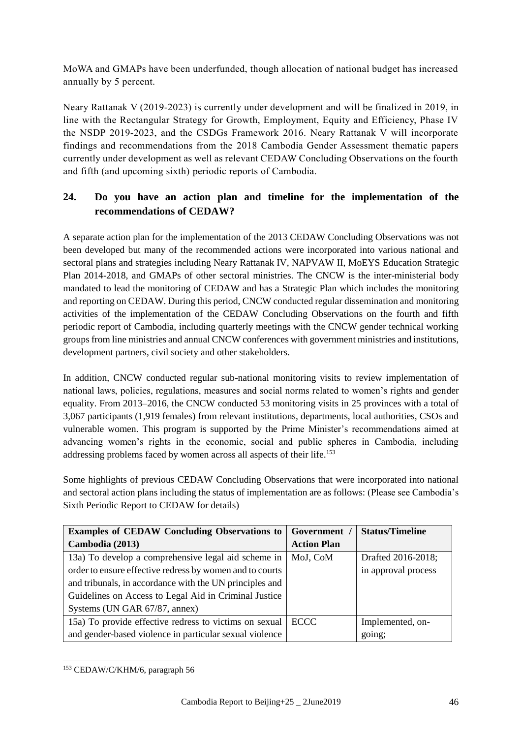MoWA and GMAPs have been underfunded, though allocation of national budget has increased annually by 5 percent.

Neary Rattanak V (2019-2023) is currently under development and will be finalized in 2019, in line with the Rectangular Strategy for Growth, Employment, Equity and Efficiency, Phase IV the NSDP 2019-2023, and the CSDGs Framework 2016. Neary Rattanak V will incorporate findings and recommendations from the 2018 Cambodia Gender Assessment thematic papers currently under development as well as relevant CEDAW Concluding Observations on the fourth and fifth (and upcoming sixth) periodic reports of Cambodia.

# **24. Do you have an action plan and timeline for the implementation of the recommendations of CEDAW?**

A separate action plan for the implementation of the 2013 CEDAW Concluding Observations was not been developed but many of the recommended actions were incorporated into various national and sectoral plans and strategies including Neary Rattanak IV, NAPVAW II, MoEYS Education Strategic Plan 2014-2018, and GMAPs of other sectoral ministries. The CNCW is the inter-ministerial body mandated to lead the monitoring of CEDAW and has a Strategic Plan which includes the monitoring and reporting on CEDAW. During this period, CNCW conducted regular dissemination and monitoring activities of the implementation of the CEDAW Concluding Observations on the fourth and fifth periodic report of Cambodia, including quarterly meetings with the CNCW gender technical working groups from line ministries and annual CNCW conferences with government ministries and institutions, development partners, civil society and other stakeholders.

In addition, CNCW conducted regular sub-national monitoring visits to review implementation of national laws, policies, regulations, measures and social norms related to women's rights and gender equality. From 2013–2016, the CNCW conducted 53 monitoring visits in 25 provinces with a total of 3,067 participants (1,919 females) from relevant institutions, departments, local authorities, CSOs and vulnerable women. This program is supported by the Prime Minister's recommendations aimed at advancing women's rights in the economic, social and public spheres in Cambodia, including addressing problems faced by women across all aspects of their life.<sup>153</sup>

Some highlights of previous CEDAW Concluding Observations that were incorporated into national and sectoral action plans including the status of implementation are as follows: (Please see Cambodia's Sixth Periodic Report to CEDAW for details)

| <b>Examples of CEDAW Concluding Observations to  </b>    | Government /       | <b>Status/Timeline</b> |
|----------------------------------------------------------|--------------------|------------------------|
| Cambodia (2013)                                          | <b>Action Plan</b> |                        |
| 13a) To develop a comprehensive legal aid scheme in      | MoJ, CoM           | Drafted 2016-2018;     |
| order to ensure effective redress by women and to courts |                    | in approval process    |
| and tribunals, in accordance with the UN principles and  |                    |                        |
| Guidelines on Access to Legal Aid in Criminal Justice    |                    |                        |
| Systems (UN GAR 67/87, annex)                            |                    |                        |
| 15a) To provide effective redress to victims on sexual   | ECCC               | Implemented, on-       |
| and gender-based violence in particular sexual violence  |                    | going;                 |

<sup>1</sup> <sup>153</sup> CEDAW/C/KHM/6, paragraph 56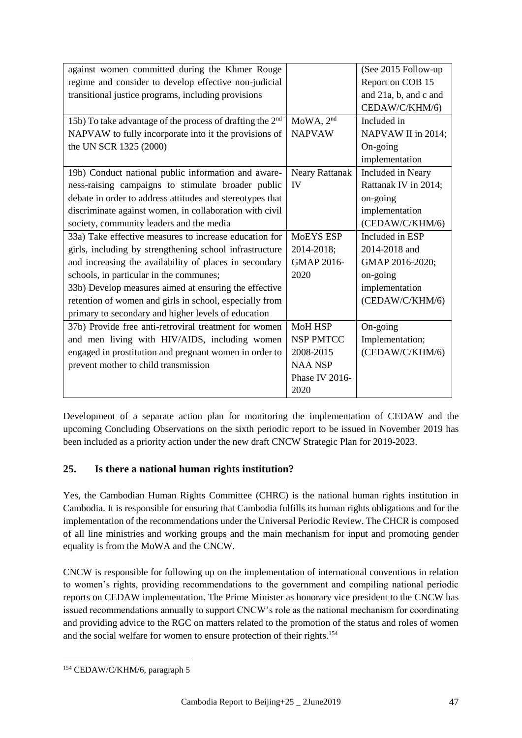|                       | (See 2015 Follow-up   |
|-----------------------|-----------------------|
|                       | Report on COB 15      |
|                       | and 21a, b, and c and |
|                       | CEDAW/C/KHM/6)        |
| MoWA, 2 <sup>nd</sup> | Included in           |
| <b>NAPVAW</b>         | NAPVAW II in 2014;    |
|                       | On-going              |
|                       | implementation        |
| <b>Neary Rattanak</b> | Included in Neary     |
| IV                    | Rattanak IV in 2014;  |
|                       | on-going              |
|                       | implementation        |
|                       | (CEDAW/C/KHM/6)       |
| <b>MOEYS ESP</b>      | Included in ESP       |
| 2014-2018;            | 2014-2018 and         |
| <b>GMAP 2016-</b>     | GMAP 2016-2020;       |
| 2020                  | on-going              |
|                       | implementation        |
|                       | (CEDAW/C/KHM/6)       |
|                       |                       |
| <b>MoH HSP</b>        | On-going              |
| <b>NSP PMTCC</b>      | Implementation;       |
| 2008-2015             | (CEDAW/C/KHM/6)       |
| <b>NAA NSP</b>        |                       |
| Phase IV 2016-        |                       |
| 2020                  |                       |
|                       |                       |

Development of a separate action plan for monitoring the implementation of CEDAW and the upcoming Concluding Observations on the sixth periodic report to be issued in November 2019 has been included as a priority action under the new draft CNCW Strategic Plan for 2019-2023.

## **25. Is there a national human rights institution?**

Yes, the Cambodian Human Rights Committee (CHRC) is the national human rights institution in Cambodia. It is responsible for ensuring that Cambodia fulfills its human rights obligations and for the implementation of the recommendations under the Universal Periodic Review. The CHCR is composed of all line ministries and working groups and the main mechanism for input and promoting gender equality is from the MoWA and the CNCW.

CNCW is responsible for following up on the implementation of international conventions in relation to women's rights, providing recommendations to the government and compiling national periodic reports on CEDAW implementation. The Prime Minister as honorary vice president to the CNCW has issued recommendations annually to support CNCW's role as the national mechanism for coordinating and providing advice to the RGC on matters related to the promotion of the status and roles of women and the social welfare for women to ensure protection of their rights.<sup>154</sup>

<sup>1</sup> <sup>154</sup> CEDAW/C/KHM/6, paragraph 5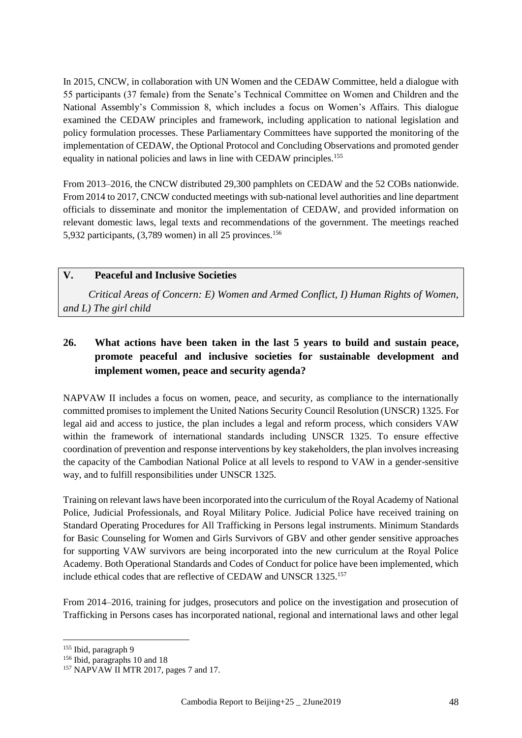In 2015, CNCW, in collaboration with UN Women and the CEDAW Committee, held a dialogue with 55 participants (37 female) from the Senate's Technical Committee on Women and Children and the National Assembly's Commission 8, which includes a focus on Women's Affairs. This dialogue examined the CEDAW principles and framework, including application to national legislation and policy formulation processes. These Parliamentary Committees have supported the monitoring of the implementation of CEDAW, the Optional Protocol and Concluding Observations and promoted gender equality in national policies and laws in line with CEDAW principles.<sup>155</sup>

From 2013–2016, the CNCW distributed 29,300 pamphlets on CEDAW and the 52 COBs nationwide. From 2014 to 2017, CNCW conducted meetings with sub-national level authorities and line department officials to disseminate and monitor the implementation of CEDAW, and provided information on relevant domestic laws, legal texts and recommendations of the government. The meetings reached 5,932 participants,  $(3,789 \text{ women})$  in all 25 provinces.<sup>156</sup>

## **V. Peaceful and Inclusive Societies**

*Critical Areas of Concern: E) Women and Armed Conflict, I) Human Rights of Women, and L) The girl child*

# **26. What actions have been taken in the last 5 years to build and sustain peace, promote peaceful and inclusive societies for sustainable development and implement women, peace and security agenda?**

NAPVAW II includes a focus on women, peace, and security, as compliance to the internationally committed promises to implement the United Nations Security Council Resolution (UNSCR) 1325. For legal aid and access to justice, the plan includes a legal and reform process, which considers VAW within the framework of international standards including UNSCR 1325. To ensure effective coordination of prevention and response interventions by key stakeholders, the plan involves increasing the capacity of the Cambodian National Police at all levels to respond to VAW in a gender-sensitive way, and to fulfill responsibilities under UNSCR 1325.

Training on relevant laws have been incorporated into the curriculum of the Royal Academy of National Police, Judicial Professionals, and Royal Military Police. Judicial Police have received training on Standard Operating Procedures for All Trafficking in Persons legal instruments. Minimum Standards for Basic Counseling for Women and Girls Survivors of GBV and other gender sensitive approaches for supporting VAW survivors are being incorporated into the new curriculum at the Royal Police Academy. Both Operational Standards and Codes of Conduct for police have been implemented, which include ethical codes that are reflective of CEDAW and UNSCR 1325.<sup>157</sup>

From 2014–2016, training for judges, prosecutors and police on the investigation and prosecution of Trafficking in Persons cases has incorporated national, regional and international laws and other legal

<sup>155</sup> Ibid, paragraph 9

<sup>&</sup>lt;sup>156</sup> Ibid, paragraphs 10 and 18

<sup>&</sup>lt;sup>157</sup> NAPVAW II MTR 2017, pages 7 and 17.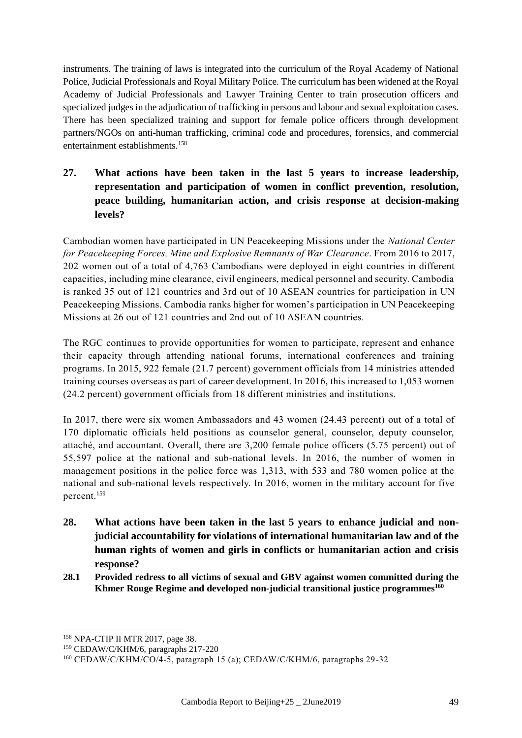instruments. The training of laws is integrated into the curriculum of the Royal Academy of National Police, Judicial Professionals and Royal Military Police. The curriculum has been widened at the Royal Academy of Judicial Professionals and Lawyer Training Center to train prosecution officers and specialized judges in the adjudication of trafficking in persons and labour and sexual exploitation cases. There has been specialized training and support for female police officers through development partners/NGOs on anti-human trafficking, criminal code and procedures, forensics, and commercial entertainment establishments.<sup>158</sup>

**27. What actions have been taken in the last 5 years to increase leadership, representation and participation of women in conflict prevention, resolution, peace building, humanitarian action, and crisis response at decision-making levels?**

Cambodian women have participated in UN Peacekeeping Missions under the *National Center for Peacekeeping Forces, Mine and Explosive Remnants of War Clearance*. From 2016 to 2017, 202 women out of a total of 4,763 Cambodians were deployed in eight countries in different capacities, including mine clearance, civil engineers, medical personnel and security. Cambodia is ranked 35 out of 121 countries and 3rd out of 10 ASEAN countries for participation in UN Peacekeeping Missions. Cambodia ranks higher for women's participation in UN Peacekeeping Missions at 26 out of 121 countries and 2nd out of 10 ASEAN countries.

The RGC continues to provide opportunities for women to participate, represent and enhance their capacity through attending national forums, international conferences and training programs. In 2015, 922 female (21.7 percent) government officials from 14 ministries attended training courses overseas as part of career development. In 2016, this increased to 1,053 women (24.2 percent) government officials from 18 different ministries and institutions.

In 2017, there were six women Ambassadors and 43 women (24.43 percent) out of a total of 170 diplomatic officials held positions as counselor general, counselor, deputy counselor, attaché, and accountant. Overall, there are 3,200 female police officers (5.75 percent) out of 55,597 police at the national and sub-national levels. In 2016, the number of women in management positions in the police force was 1,313, with 533 and 780 women police at the national and sub-national levels respectively. In 2016, women in the military account for five percent.<sup>159</sup>

- **28. What actions have been taken in the last 5 years to enhance judicial and nonjudicial accountability for violations of international humanitarian law and of the human rights of women and girls in conflicts or humanitarian action and crisis response?**
- **28.1 Provided redress to all victims of sexual and GBV against women committed during the Khmer Rouge Regime and developed non-judicial transitional justice programmes<sup>160</sup>**

<sup>158</sup> NPA-CTIP II MTR 2017, page 38.

<sup>159</sup> CEDAW/C/KHM/6, paragraphs 217-220

<sup>160</sup> [CEDAW/C/KHM/CO/4-5,](https://undocs.org/CEDAW/C/KHM/CO/4) paragraph 15 (a); CEDAW/C/KHM/6, paragraphs 29-32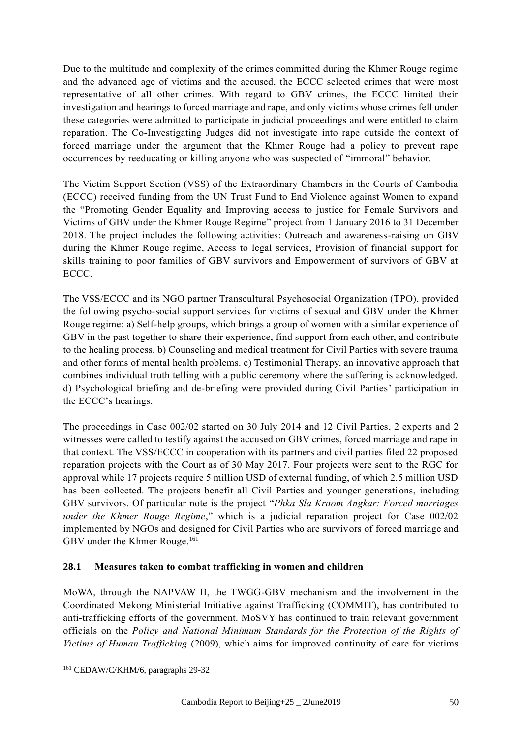Due to the multitude and complexity of the crimes committed during the Khmer Rouge regime and the advanced age of victims and the accused, the ECCC selected crimes that were most representative of all other crimes. With regard to GBV crimes, the ECCC limited their investigation and hearings to forced marriage and rape, and only victims whose crimes fell under these categories were admitted to participate in judicial proceedings and were entitled to claim reparation. The Co-Investigating Judges did not investigate into rape outside the context of forced marriage under the argument that the Khmer Rouge had a policy to prevent rape occurrences by reeducating or killing anyone who was suspected of "immoral" behavior.

The Victim Support Section (VSS) of the Extraordinary Chambers in the Courts of Cambodia (ECCC) received funding from the UN Trust Fund to End Violence against Women to expand the "Promoting Gender Equality and Improving access to justice for Female Survivors and Victims of GBV under the Khmer Rouge Regime" project from 1 January 2016 to 31 December 2018. The project includes the following activities: Outreach and awareness-raising on GBV during the Khmer Rouge regime, Access to legal services, Provision of financial support for skills training to poor families of GBV survivors and Empowerment of survivors of GBV at ECCC.

The VSS/ECCC and its NGO partner Transcultural Psychosocial Organization (TPO), provided the following psycho-social support services for victims of sexual and GBV under the Khmer Rouge regime: a) Self-help groups, which brings a group of women with a similar experience of GBV in the past together to share their experience, find support from each other, and contribute to the healing process. b) Counseling and medical treatment for Civil Parties with severe trauma and other forms of mental health problems. c) Testimonial Therapy, an innovative approach that combines individual truth telling with a public ceremony where the suffering is acknowledged. d) Psychological briefing and de-briefing were provided during Civil Parties' participation in the ECCC's hearings.

The proceedings in Case 002/02 started on 30 July 2014 and 12 Civil Parties, 2 experts and 2 witnesses were called to testify against the accused on GBV crimes, forced marriage and rape in that context. The VSS/ECCC in cooperation with its partners and civil parties filed 22 proposed reparation projects with the Court as of 30 May 2017. Four projects were sent to the RGC for approval while 17 projects require 5 million USD of external funding, of which 2.5 million USD has been collected. The projects benefit all Civil Parties and younger generations, including GBV survivors. Of particular note is the project "*Phka Sla Kraom Angkar: Forced marriages under the Khmer Rouge Regime*," which is a judicial reparation project for Case 002/02 implemented by NGOs and designed for Civil Parties who are survivors of forced marriage and GBV under the Khmer Rouge.<sup>161</sup>

#### **28.1 Measures taken to combat trafficking in women and children**

MoWA, through the NAPVAW II, the TWGG-GBV mechanism and the involvement in the Coordinated Mekong Ministerial Initiative against Trafficking (COMMIT), has contributed to anti-trafficking efforts of the government. MoSVY has continued to train relevant government officials on the *Policy and National Minimum Standards for the Protection of the Rights of Victims of Human Trafficking* (2009), which aims for improved continuity of care for victims

<sup>161</sup> CEDAW/C/KHM/6, paragraphs 29-32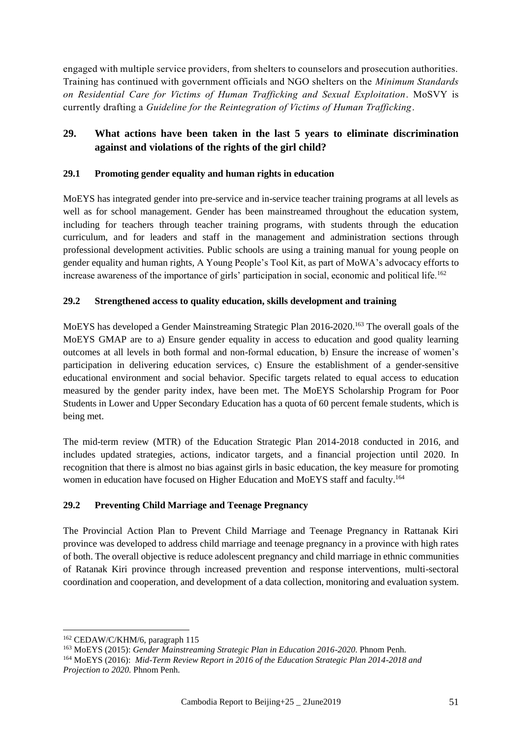engaged with multiple service providers, from shelters to counselors and prosecution authorities. Training has continued with government officials and NGO shelters on the *Minimum Standards on Residential Care for Victims of Human Trafficking and Sexual Exploitation*. MoSVY is currently drafting a *Guideline for the Reintegration of Victims of Human Trafficking*.

## **29. What actions have been taken in the last 5 years to eliminate discrimination against and violations of the rights of the girl child?**

#### **29.1 Promoting gender equality and human rights in education**

MoEYS has integrated gender into pre-service and in-service teacher training programs at all levels as well as for school management. Gender has been mainstreamed throughout the education system, including for teachers through teacher training programs, with students through the education curriculum, and for leaders and staff in the management and administration sections through professional development activities. Public schools are using a training manual for young people on gender equality and human rights, A Young People's Tool Kit, as part of MoWA's advocacy efforts to increase awareness of the importance of girls' participation in social, economic and political life.<sup>162</sup>

## **29.2 Strengthened access to quality education, skills development and training**

MoEYS has developed a Gender Mainstreaming Strategic Plan 2016-2020. <sup>163</sup> The overall goals of the MoEYS GMAP are to a) Ensure gender equality in access to education and good quality learning outcomes at all levels in both formal and non-formal education, b) Ensure the increase of women's participation in delivering education services, c) Ensure the establishment of a gender-sensitive educational environment and social behavior. Specific targets related to equal access to education measured by the gender parity index, have been met. The MoEYS Scholarship Program for Poor Students in Lower and Upper Secondary Education has a quota of 60 percent female students, which is being met.

The mid-term review (MTR) of the Education Strategic Plan 2014-2018 conducted in 2016, and includes updated strategies, actions, indicator targets, and a financial projection until 2020. In recognition that there is almost no bias against girls in basic education, the key measure for promoting women in education have focused on Higher Education and MoEYS staff and faculty. 164

#### **29.2 Preventing Child Marriage and Teenage Pregnancy**

The Provincial Action Plan to Prevent Child Marriage and Teenage Pregnancy in Rattanak Kiri province was developed to address child marriage and teenage pregnancy in a province with high rates of both. The overall objective is reduce adolescent pregnancy and child marriage in ethnic communities of Ratanak Kiri province through increased prevention and response interventions, multi-sectoral coordination and cooperation, and development of a data collection, monitoring and evaluation system.

<sup>162</sup> CEDAW/C/KHM/6, paragraph 115

<sup>163</sup> MoEYS (2015): *Gender Mainstreaming Strategic Plan in Education 2016-2020*. Phnom Penh.

<sup>164</sup> MoEYS (2016): *Mid-Term Review Report in 2016 of the Education Strategic Plan 2014-2018 and Projection to 2020.* Phnom Penh.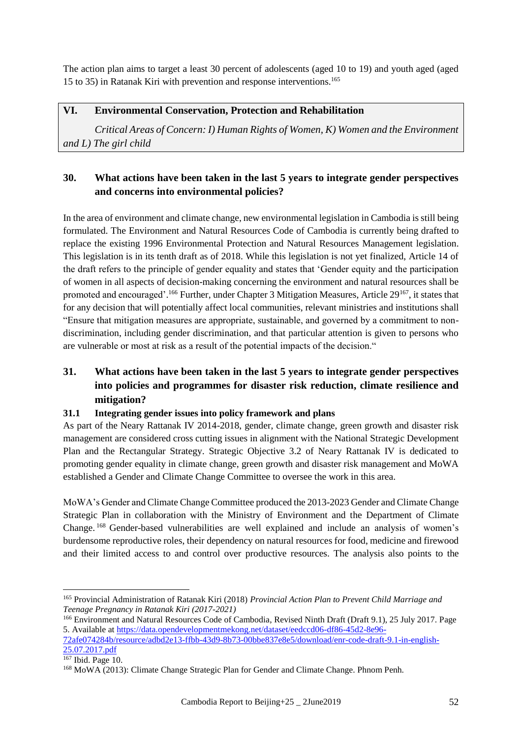The action plan aims to target a least 30 percent of adolescents (aged 10 to 19) and youth aged (aged 15 to 35) in Ratanak Kiri with prevention and response interventions.<sup>165</sup>

## **VI. Environmental Conservation, Protection and Rehabilitation**

*Critical Areas of Concern: I) Human Rights of Women, K) Women and the Environment and L) The girl child*

## **30. What actions have been taken in the last 5 years to integrate gender perspectives and concerns into environmental policies?**

In the area of environment and climate change, new environmental legislation in Cambodia is still being formulated. The Environment and Natural Resources Code of Cambodia is currently being drafted to replace the existing 1996 Environmental Protection and Natural Resources Management legislation. This legislation is in its tenth draft as of 2018. While this legislation is not yet finalized, Article 14 of the draft refers to the principle of gender equality and states that 'Gender equity and the participation of women in all aspects of decision-making concerning the environment and natural resources shall be promoted and encouraged'.<sup>166</sup> Further, under Chapter 3 Mitigation Measures, Article 29<sup>167</sup>, it states that for any decision that will potentially affect local communities, relevant ministries and institutions shall "Ensure that mitigation measures are appropriate, sustainable, and governed by a commitment to nondiscrimination, including gender discrimination, and that particular attention is given to persons who are vulnerable or most at risk as a result of the potential impacts of the decision."

## **31. What actions have been taken in the last 5 years to integrate gender perspectives into policies and programmes for disaster risk reduction, climate resilience and mitigation?**

#### **31.1 Integrating gender issues into policy framework and plans**

As part of the Neary Rattanak IV 2014-2018, gender, climate change, green growth and disaster risk management are considered cross cutting issues in alignment with the National Strategic Development Plan and the Rectangular Strategy. Strategic Objective 3.2 of Neary Rattanak IV is dedicated to promoting gender equality in climate change, green growth and disaster risk management and MoWA established a Gender and Climate Change Committee to oversee the work in this area.

MoWA's Gender and Climate Change Committee produced the 2013-2023 Gender and Climate Change Strategic Plan in collaboration with the Ministry of Environment and the Department of Climate Change. <sup>168</sup> Gender-based vulnerabilities are well explained and include an analysis of women's burdensome reproductive roles, their dependency on natural resources for food, medicine and firewood and their limited access to and control over productive resources. The analysis also points to the

<sup>165</sup> Provincial Administration of Ratanak Kiri (2018) *Provincial Action Plan to Prevent Child Marriage and Teenage Pregnancy in Ratanak Kiri (2017-2021)*

<sup>166</sup> Environment and Natural Resources Code of Cambodia, Revised Ninth Draft (Draft 9.1), 25 July 2017. Page 5. Available at [https://data.opendevelopmentmekong.net/dataset/eedccd06-df86-45d2-8e96-](https://data.opendevelopmentmekong.net/dataset/eedccd06-df86-45d2-8e96-72afe074284b/resource/adbd2e13-ffbb-43d9-8b73-00bbe837e8e5/download/enr-code-draft-9.1-in-english-25.07.2017.pdf) [72afe074284b/resource/adbd2e13-ffbb-43d9-8b73-00bbe837e8e5/download/enr-code-draft-9.1-in-english-](https://data.opendevelopmentmekong.net/dataset/eedccd06-df86-45d2-8e96-72afe074284b/resource/adbd2e13-ffbb-43d9-8b73-00bbe837e8e5/download/enr-code-draft-9.1-in-english-25.07.2017.pdf) $25.07.2017.$ pdf

 $167$  Ibid. Page 10.

<sup>168</sup> MoWA (2013): Climate Change Strategic Plan for Gender and Climate Change. Phnom Penh.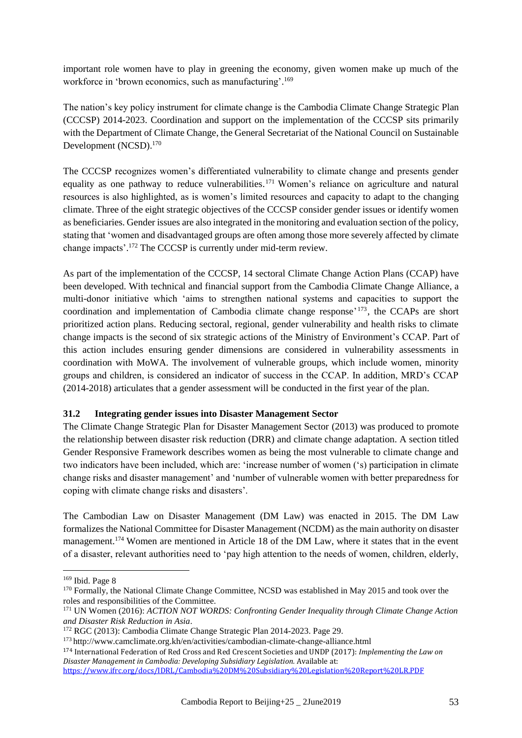important role women have to play in greening the economy, given women make up much of the workforce in 'brown economics, such as manufacturing'. 169

The nation's key policy instrument for climate change is the Cambodia Climate Change Strategic Plan (CCCSP) 2014-2023. Coordination and support on the implementation of the CCCSP sits primarily with the Department of Climate Change, the General Secretariat of the National Council on Sustainable Development (NCSD). 170

The CCCSP recognizes women's differentiated vulnerability to climate change and presents gender equality as one pathway to reduce vulnerabilities.<sup>171</sup> Women's reliance on agriculture and natural resources is also highlighted, as is women's limited resources and capacity to adapt to the changing climate. Three of the eight strategic objectives of the CCCSP consider gender issues or identify women as beneficiaries. Gender issues are also integrated in the monitoring and evaluation section of the policy, stating that 'women and disadvantaged groups are often among those more severely affected by climate change impacts'. <sup>172</sup> The CCCSP is currently under mid-term review.

As part of the implementation of the CCCSP, 14 sectoral Climate Change Action Plans (CCAP) have been developed. With technical and financial support from the Cambodia Climate Change Alliance, a multi-donor initiative which 'aims to strengthen national systems and capacities to support the coordination and implementation of Cambodia climate change response' <sup>173</sup>, the CCAPs are short prioritized action plans. Reducing sectoral, regional, gender vulnerability and health risks to climate change impacts is the second of six strategic actions of the Ministry of Environment's CCAP. Part of this action includes ensuring gender dimensions are considered in vulnerability assessments in coordination with MoWA. The involvement of vulnerable groups, which include women, minority groups and children, is considered an indicator of success in the CCAP. In addition, MRD's CCAP (2014-2018) articulates that a gender assessment will be conducted in the first year of the plan.

#### **31.2 Integrating gender issues into Disaster Management Sector**

The Climate Change Strategic Plan for Disaster Management Sector (2013) was produced to promote the relationship between disaster risk reduction (DRR) and climate change adaptation. A section titled Gender Responsive Framework describes women as being the most vulnerable to climate change and two indicators have been included, which are: 'increase number of women ('s) participation in climate change risks and disaster management' and 'number of vulnerable women with better preparedness for coping with climate change risks and disasters'.

The Cambodian Law on Disaster Management (DM Law) was enacted in 2015. The DM Law formalizes the National Committee for Disaster Management (NCDM) as the main authority on disaster management.<sup>174</sup> Women are mentioned in Article 18 of the DM Law, where it states that in the event of a disaster, relevant authorities need to 'pay high attention to the needs of women, children, elderly,

<sup>169</sup> Ibid. Page 8

<sup>&</sup>lt;sup>170</sup> Formally, the National Climate Change Committee, NCSD was established in May 2015 and took over the roles and responsibilities of the Committee.

<sup>171</sup> UN Women (2016): *ACTION NOT WORDS: Confronting Gender Inequality through Climate Change Action and Disaster Risk Reduction in Asia*.

<sup>172</sup> RGC (2013): Cambodia Climate Change Strategic Plan 2014-2023. Page 29.

<sup>173</sup> <http://www.camclimate.org.kh/en/activities/cambodian-climate-change-alliance.html>

<sup>174</sup> International Federation of Red Cross and Red Crescent Societies and UNDP (2017): *Implementing the Law on Disaster Management in Cambodia: Developing Subsidiary Legislation.* Available at: <https://www.ifrc.org/docs/IDRL/Cambodia%20DM%20Subsidiary%20Legislation%20Report%20LR.PDF>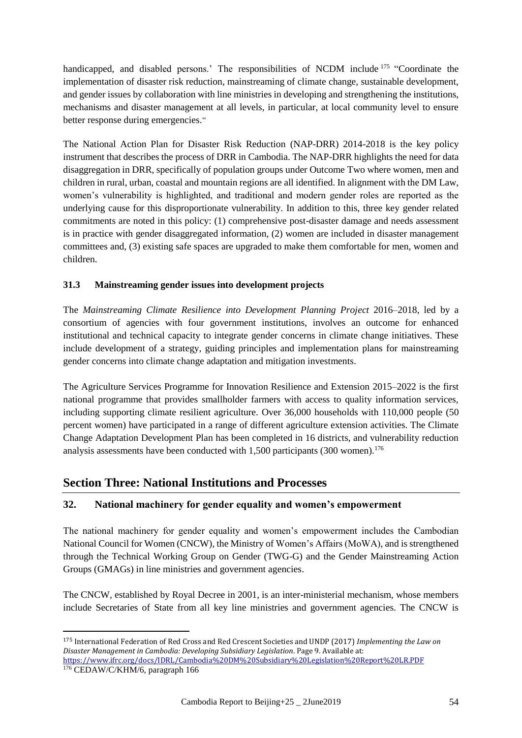handicapped, and disabled persons.' The responsibilities of NCDM include <sup>175</sup> "Coordinate the implementation of disaster risk reduction, mainstreaming of climate change, sustainable development, and gender issues by collaboration with line ministries in developing and strengthening the institutions, mechanisms and disaster management at all levels, in particular, at local community level to ensure better response during emergencies."

The National Action Plan for Disaster Risk Reduction (NAP-DRR) 2014-2018 is the key policy instrument that describes the process of DRR in Cambodia. The NAP-DRR highlights the need for data disaggregation in DRR, specifically of population groups under Outcome Two where women, men and children in rural, urban, coastal and mountain regions are all identified. In alignment with the DM Law, women's vulnerability is highlighted, and traditional and modern gender roles are reported as the underlying cause for this disproportionate vulnerability. In addition to this, three key gender related commitments are noted in this policy: (1) comprehensive post-disaster damage and needs assessment is in practice with gender disaggregated information, (2) women are included in disaster management committees and, (3) existing safe spaces are upgraded to make them comfortable for men, women and children.

#### **31.3 Mainstreaming gender issues into development projects**

The *Mainstreaming Climate Resilience into Development Planning Project* 2016–2018, led by a consortium of agencies with four government institutions, involves an outcome for enhanced institutional and technical capacity to integrate gender concerns in climate change initiatives. These include development of a strategy, guiding principles and implementation plans for mainstreaming gender concerns into climate change adaptation and mitigation investments.

The Agriculture Services Programme for Innovation Resilience and Extension 2015–2022 is the first national programme that provides smallholder farmers with access to quality information services, including supporting climate resilient agriculture. Over 36,000 households with 110,000 people (50 percent women) have participated in a range of different agriculture extension activities. The Climate Change Adaptation Development Plan has been completed in 16 districts, and vulnerability reduction analysis assessments have been conducted with  $1,500$  participants (300 women).<sup>176</sup>

## **Section Three: National Institutions and Processes**

<u>.</u>

#### **32. National machinery for gender equality and women's empowerment**

The national machinery for gender equality and women's empowerment includes the Cambodian National Council for Women (CNCW), the Ministry of Women's Affairs (MoWA), and is strengthened through the Technical Working Group on Gender (TWG-G) and the Gender Mainstreaming Action Groups (GMAGs) in line ministries and government agencies.

The CNCW, established by Royal Decree in 2001, is an inter-ministerial mechanism, whose members include Secretaries of State from all key line ministries and government agencies. The CNCW is

<sup>175</sup> International Federation of Red Cross and Red Crescent Societies and UNDP (2017) *Implementing the Law on Disaster Management in Cambodia: Developing Subsidiary Legislation*. Page 9. Available at:

<https://www.ifrc.org/docs/IDRL/Cambodia%20DM%20Subsidiary%20Legislation%20Report%20LR.PDF> <sup>176</sup> CEDAW/C/KHM/6, paragraph 166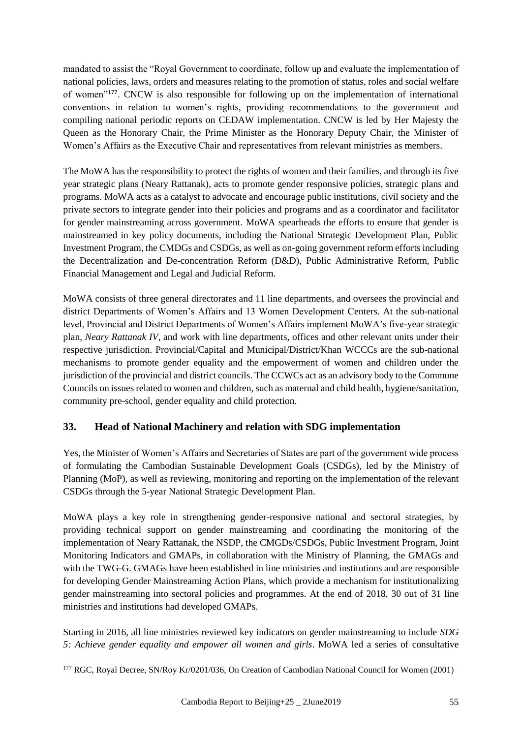mandated to assist the "Royal Government to coordinate, follow up and evaluate the implementation of national policies, laws, orders and measures relating to the promotion of status, roles and social welfare of women"**<sup>177</sup>**. CNCW is also responsible for following up on the implementation of international conventions in relation to women's rights, providing recommendations to the government and compiling national periodic reports on CEDAW implementation. CNCW is led by Her Majesty the Queen as the Honorary Chair, the Prime Minister as the Honorary Deputy Chair, the Minister of Women's Affairs as the Executive Chair and representatives from relevant ministries as members.

The MoWA has the responsibility to protect the rights of women and their families, and through its five year strategic plans (Neary Rattanak), acts to promote gender responsive policies, strategic plans and programs. MoWA acts as a catalyst to advocate and encourage public institutions, civil society and the private sectors to integrate gender into their policies and programs and as a coordinator and facilitator for gender mainstreaming across government. MoWA spearheads the efforts to ensure that gender is mainstreamed in key policy documents, including the National Strategic Development Plan, Public Investment Program, the CMDGs and CSDGs, as well as on-going government reform efforts including the Decentralization and De-concentration Reform (D&D), Public Administrative Reform, Public Financial Management and Legal and Judicial Reform.

MoWA consists of three general directorates and 11 line departments, and oversees the provincial and district Departments of Women's Affairs and 13 Women Development Centers. At the sub-national level, Provincial and District Departments of Women's Affairs implement MoWA's five-year strategic plan, *Neary Rattanak IV*, and work with line departments, offices and other relevant units under their respective jurisdiction. Provincial/Capital and Municipal/District/Khan WCCCs are the sub-national mechanisms to promote gender equality and the empowerment of women and children under the jurisdiction of the provincial and district councils. The CCWCs act as an advisory body to the Commune Councils on issues related to women and children, such as maternal and child health, hygiene/sanitation, community pre-school, gender equality and child protection.

## **33. Head of National Machinery and relation with SDG implementation**

Yes, the Minister of Women's Affairs and Secretaries of States are part of the government wide process of formulating the Cambodian Sustainable Development Goals (CSDGs), led by the Ministry of Planning (MoP), as well as reviewing, monitoring and reporting on the implementation of the relevant CSDGs through the 5-year National Strategic Development Plan.

MoWA plays a key role in strengthening gender-responsive national and sectoral strategies, by providing technical support on gender mainstreaming and coordinating the monitoring of the implementation of Neary Rattanak, the NSDP, the CMGDs/CSDGs, Public Investment Program, Joint Monitoring Indicators and GMAPs, in collaboration with the Ministry of Planning, the GMAGs and with the TWG-G. GMAGs have been established in line ministries and institutions and are responsible for developing Gender Mainstreaming Action Plans, which provide a mechanism for institutionalizing gender mainstreaming into sectoral policies and programmes. At the end of 2018, 30 out of 31 line ministries and institutions had developed GMAPs.

Starting in 2016, all line ministries reviewed key indicators on gender mainstreaming to include *SDG 5: Achieve gender equality and empower all women and girls*. MoWA led a series of consultative

<sup>177</sup> RGC, Royal Decree, SN/Roy Kr/0201/036, On Creation of Cambodian National Council for Women (2001)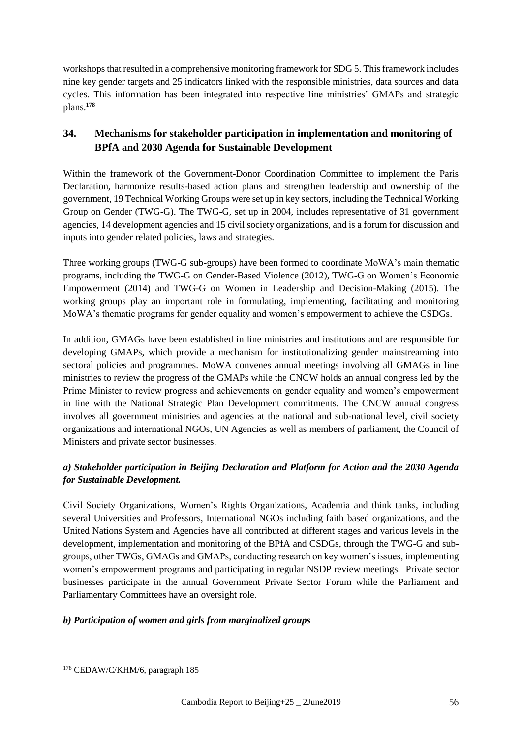workshops that resulted in a comprehensive monitoring framework for SDG 5. This framework includes nine key gender targets and 25 indicators linked with the responsible ministries, data sources and data cycles. This information has been integrated into respective line ministries' GMAPs and strategic plans.**<sup>178</sup>**

## **34. Mechanisms for stakeholder participation in implementation and monitoring of BPfA and 2030 Agenda for Sustainable Development**

Within the framework of the Government-Donor Coordination Committee to implement the Paris Declaration, harmonize results-based action plans and strengthen leadership and ownership of the government, 19 Technical Working Groups were set up in key sectors, including the Technical Working Group on Gender (TWG-G). The TWG-G, set up in 2004, includes representative of 31 government agencies, 14 development agencies and 15 civil society organizations, and is a forum for discussion and inputs into gender related policies, laws and strategies.

Three working groups (TWG-G sub-groups) have been formed to coordinate MoWA's main thematic programs, including the TWG-G on Gender-Based Violence (2012), TWG-G on Women's Economic Empowerment (2014) and TWG-G on Women in Leadership and Decision-Making (2015). The working groups play an important role in formulating, implementing, facilitating and monitoring MoWA's thematic programs for gender equality and women's empowerment to achieve the CSDGs.

In addition, GMAGs have been established in line ministries and institutions and are responsible for developing GMAPs, which provide a mechanism for institutionalizing gender mainstreaming into sectoral policies and programmes. MoWA convenes annual meetings involving all GMAGs in line ministries to review the progress of the GMAPs while the CNCW holds an annual congress led by the Prime Minister to review progress and achievements on gender equality and women's empowerment in line with the National Strategic Plan Development commitments. The CNCW annual congress involves all government ministries and agencies at the national and sub-national level, civil society organizations and international NGOs, UN Agencies as well as members of parliament, the Council of Ministers and private sector businesses.

## *a) Stakeholder participation in Beijing Declaration and Platform for Action and the 2030 Agenda for Sustainable Development.*

Civil Society Organizations, Women's Rights Organizations, Academia and think tanks, including several Universities and Professors, International NGOs including faith based organizations, and the United Nations System and Agencies have all contributed at different stages and various levels in the development, implementation and monitoring of the BPfA and CSDGs, through the TWG-G and subgroups, other TWGs, GMAGs and GMAPs, conducting research on key women's issues, implementing women's empowerment programs and participating in regular NSDP review meetings. Private sector businesses participate in the annual Government Private Sector Forum while the Parliament and Parliamentary Committees have an oversight role.

## *b) Participation of women and girls from marginalized groups*

<sup>1</sup> <sup>178</sup> CEDAW/C/KHM/6, paragraph 185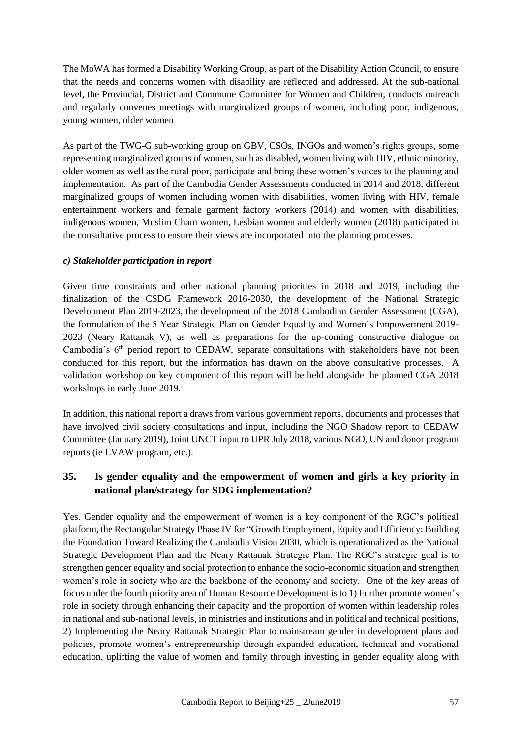The MoWA has formed a Disability Working Group, as part of the Disability Action Council, to ensure that the needs and concerns women with disability are reflected and addressed. At the sub-national level, the Provincial, District and Commune Committee for Women and Children, conducts outreach and regularly convenes meetings with marginalized groups of women, including poor, indigenous, young women, older women

As part of the TWG-G sub-working group on GBV, CSOs, INGOs and women's rights groups, some representing marginalized groups of women, such as disabled, women living with HIV, ethnic minority, older women as well as the rural poor, participate and bring these women's voices to the planning and implementation. As part of the Cambodia Gender Assessments conducted in 2014 and 2018, different marginalized groups of women including women with disabilities, women living with HIV, female entertainment workers and female garment factory workers (2014) and women with disabilities, indigenous women, Muslim Cham women, Lesbian women and elderly women (2018) participated in the consultative process to ensure their views are incorporated into the planning processes.

#### *c) Stakeholder participation in report*

Given time constraints and other national planning priorities in 2018 and 2019, including the finalization of the CSDG Framework 2016-2030, the development of the National Strategic Development Plan 2019-2023, the development of the 2018 Cambodian Gender Assessment (CGA), the formulation of the 5 Year Strategic Plan on Gender Equality and Women's Empowerment 2019- 2023 (Neary Rattanak V), as well as preparations for the up-coming constructive dialogue on Cambodia's 6<sup>th</sup> period report to CEDAW, separate consultations with stakeholders have not been conducted for this report, but the information has drawn on the above consultative processes. A validation workshop on key component of this report will be held alongside the planned CGA 2018 workshops in early June 2019.

In addition, this national report a draws from various government reports, documents and processes that have involved civil society consultations and input, including the NGO Shadow report to CEDAW Committee (January 2019), Joint UNCT input to UPR July 2018, various NGO, UN and donor program reports (ie EVAW program, etc.).

## **35. Is gender equality and the empowerment of women and girls a key priority in national plan/strategy for SDG implementation?**

Yes. Gender equality and the empowerment of women is a key component of the RGC's political platform, the Rectangular Strategy Phase IV for "Growth Employment, Equity and Efficiency: Building the Foundation Toward Realizing the Cambodia Vision 2030, which is operationalized as the National Strategic Development Plan and the Neary Rattanak Strategic Plan. The RGC's strategic goal is to strengthen gender equality and social protection to enhance the socio-economic situation and strengthen women's role in society who are the backbone of the economy and society. One of the key areas of focus under the fourth priority area of Human Resource Development is to 1) Further promote women's role in society through enhancing their capacity and the proportion of women within leadership roles in national and sub-national levels, in ministries and institutions and in political and technical positions, 2) Implementing the Neary Rattanak Strategic Plan to mainstream gender in development plans and policies, promote women's entrepreneurship through expanded education, technical and vocational education, uplifting the value of women and family through investing in gender equality along with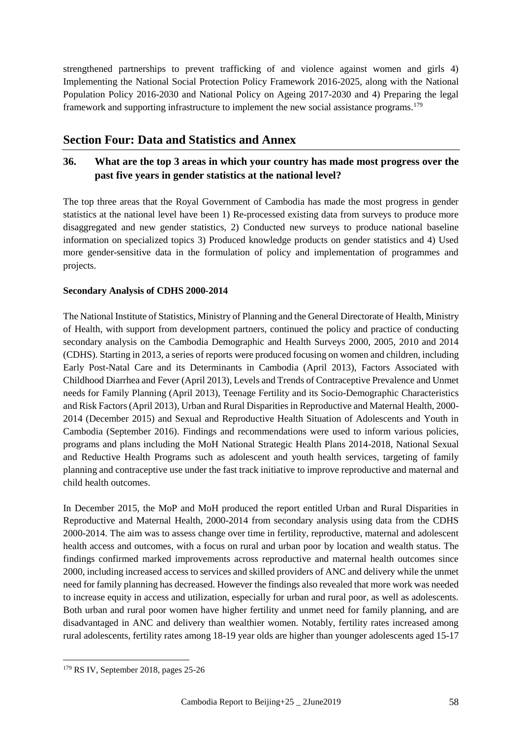strengthened partnerships to prevent trafficking of and violence against women and girls 4) Implementing the National Social Protection Policy Framework 2016-2025, along with the National Population Policy 2016-2030 and National Policy on Ageing 2017-2030 and 4) Preparing the legal framework and supporting infrastructure to implement the new social assistance programs.<sup>179</sup>

# **Section Four: Data and Statistics and Annex**

## **36. What are the top 3 areas in which your country has made most progress over the past five years in gender statistics at the national level?**

The top three areas that the Royal Government of Cambodia has made the most progress in gender statistics at the national level have been 1) Re-processed existing data from surveys to produce more disaggregated and new gender statistics, 2) Conducted new surveys to produce national baseline information on specialized topics 3) Produced knowledge products on gender statistics and 4) Used more gender-sensitive data in the formulation of policy and implementation of programmes and projects.

#### **Secondary Analysis of CDHS 2000-2014**

The National Institute of Statistics, Ministry of Planning and the General Directorate of Health, Ministry of Health, with support from development partners, continued the policy and practice of conducting secondary analysis on the Cambodia Demographic and Health Surveys 2000, 2005, 2010 and 2014 (CDHS). Starting in 2013, a series of reports were produced focusing on women and children, including Early Post-Natal Care and its Determinants in Cambodia (April 2013), Factors Associated with Childhood Diarrhea and Fever (April 2013), Levels and Trends of Contraceptive Prevalence and Unmet needs for Family Planning (April 2013), Teenage Fertility and its Socio-Demographic Characteristics and Risk Factors (April 2013), Urban and Rural Disparities in Reproductive and Maternal Health, 2000- 2014 (December 2015) and Sexual and Reproductive Health Situation of Adolescents and Youth in Cambodia (September 2016). Findings and recommendations were used to inform various policies, programs and plans including the MoH National Strategic Health Plans 2014-2018, National Sexual and Reductive Health Programs such as adolescent and youth health services, targeting of family planning and contraceptive use under the fast track initiative to improve reproductive and maternal and child health outcomes.

In December 2015, the MoP and MoH produced the report entitled Urban and Rural Disparities in Reproductive and Maternal Health, 2000-2014 from secondary analysis using data from the CDHS 2000-2014. The aim was to assess change over time in fertility, reproductive, maternal and adolescent health access and outcomes, with a focus on rural and urban poor by location and wealth status. The findings confirmed marked improvements across reproductive and maternal health outcomes since 2000, including increased access to services and skilled providers of ANC and delivery while the unmet need for family planning has decreased. However the findings also revealed that more work was needed to increase equity in access and utilization, especially for urban and rural poor, as well as adolescents. Both urban and rural poor women have higher fertility and unmet need for family planning, and are disadvantaged in ANC and delivery than wealthier women. Notably, fertility rates increased among rural adolescents, fertility rates among 18-19 year olds are higher than younger adolescents aged 15-17

<sup>179</sup> RS IV, September 2018, pages 25-26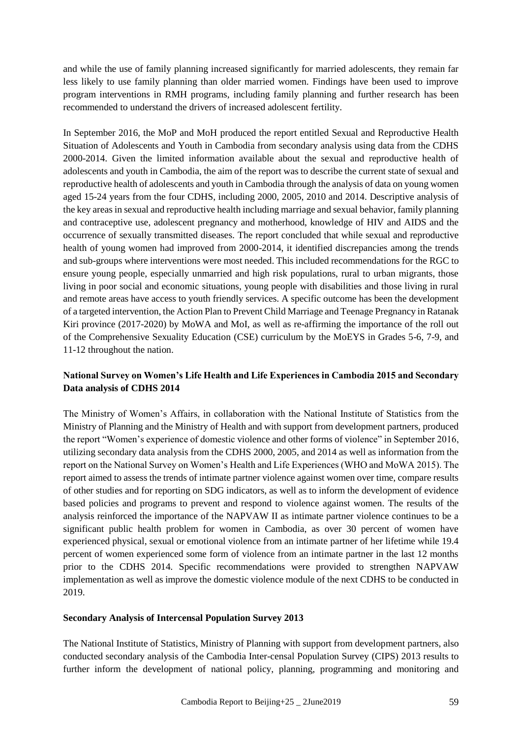and while the use of family planning increased significantly for married adolescents, they remain far less likely to use family planning than older married women. Findings have been used to improve program interventions in RMH programs, including family planning and further research has been recommended to understand the drivers of increased adolescent fertility.

In September 2016, the MoP and MoH produced the report entitled Sexual and Reproductive Health Situation of Adolescents and Youth in Cambodia from secondary analysis using data from the CDHS 2000-2014. Given the limited information available about the sexual and reproductive health of adolescents and youth in Cambodia, the aim of the report was to describe the current state of sexual and reproductive health of adolescents and youth in Cambodia through the analysis of data on young women aged 15-24 years from the four CDHS, including 2000, 2005, 2010 and 2014. Descriptive analysis of the key areas in sexual and reproductive health including marriage and sexual behavior, family planning and contraceptive use, adolescent pregnancy and motherhood, knowledge of HIV and AIDS and the occurrence of sexually transmitted diseases. The report concluded that while sexual and reproductive health of young women had improved from 2000-2014, it identified discrepancies among the trends and sub-groups where interventions were most needed. This included recommendations for the RGC to ensure young people, especially unmarried and high risk populations, rural to urban migrants, those living in poor social and economic situations, young people with disabilities and those living in rural and remote areas have access to youth friendly services. A specific outcome has been the development of a targeted intervention, the Action Plan to Prevent Child Marriage and Teenage Pregnancy in Ratanak Kiri province (2017-2020) by MoWA and MoI, as well as re-affirming the importance of the roll out of the Comprehensive Sexuality Education (CSE) curriculum by the MoEYS in Grades 5-6, 7-9, and 11-12 throughout the nation.

## **National Survey on Women's Life Health and Life Experiences in Cambodia 2015 and Secondary Data analysis of CDHS 2014**

The Ministry of Women's Affairs, in collaboration with the National Institute of Statistics from the Ministry of Planning and the Ministry of Health and with support from development partners, produced the report "Women's experience of domestic violence and other forms of violence" in September 2016, utilizing secondary data analysis from the CDHS 2000, 2005, and 2014 as well as information from the report on the National Survey on Women's Health and Life Experiences (WHO and MoWA 2015). The report aimed to assess the trends of intimate partner violence against women over time, compare results of other studies and for reporting on SDG indicators, as well as to inform the development of evidence based policies and programs to prevent and respond to violence against women. The results of the analysis reinforced the importance of the NAPVAW II as intimate partner violence continues to be a significant public health problem for women in Cambodia, as over 30 percent of women have experienced physical, sexual or emotional violence from an intimate partner of her lifetime while 19.4 percent of women experienced some form of violence from an intimate partner in the last 12 months prior to the CDHS 2014. Specific recommendations were provided to strengthen NAPVAW implementation as well as improve the domestic violence module of the next CDHS to be conducted in 2019.

#### **Secondary Analysis of Intercensal Population Survey 2013**

The National Institute of Statistics, Ministry of Planning with support from development partners, also conducted secondary analysis of the Cambodia Inter-censal Population Survey (CIPS) 2013 results to further inform the development of national policy, planning, programming and monitoring and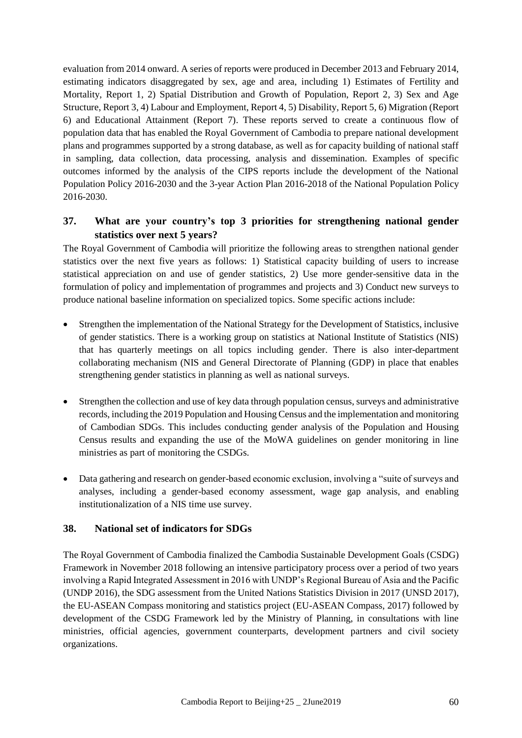evaluation from 2014 onward. A series of reports were produced in December 2013 and February 2014, estimating indicators disaggregated by sex, age and area, including 1) Estimates of Fertility and Mortality, Report 1, 2) Spatial Distribution and Growth of Population, Report 2, 3) Sex and Age Structure, Report 3, 4) Labour and Employment, Report 4, 5) Disability, Report 5, 6) Migration (Report 6) and Educational Attainment (Report 7). These reports served to create a continuous flow of population data that has enabled the Royal Government of Cambodia to prepare national development plans and programmes supported by a strong database, as well as for capacity building of national staff in sampling, data collection, data processing, analysis and dissemination. Examples of specific outcomes informed by the analysis of the CIPS reports include the development of the National Population Policy 2016-2030 and the 3-year Action Plan 2016-2018 of the National Population Policy 2016-2030.

## **37. What are your country's top 3 priorities for strengthening national gender statistics over next 5 years?**

The Royal Government of Cambodia will prioritize the following areas to strengthen national gender statistics over the next five years as follows: 1) Statistical capacity building of users to increase statistical appreciation on and use of gender statistics, 2) Use more gender-sensitive data in the formulation of policy and implementation of programmes and projects and 3) Conduct new surveys to produce national baseline information on specialized topics. Some specific actions include:

- Strengthen the implementation of the National Strategy for the Development of Statistics, inclusive of gender statistics. There is a working group on statistics at National Institute of Statistics (NIS) that has quarterly meetings on all topics including gender. There is also inter-department collaborating mechanism (NIS and General Directorate of Planning (GDP) in place that enables strengthening gender statistics in planning as well as national surveys.
- Strengthen the collection and use of key data through population census, surveys and administrative records, including the 2019 Population and Housing Census and the implementation and monitoring of Cambodian SDGs. This includes conducting gender analysis of the Population and Housing Census results and expanding the use of the MoWA guidelines on gender monitoring in line ministries as part of monitoring the CSDGs.
- Data gathering and research on gender-based economic exclusion, involving a "suite of surveys and analyses, including a gender-based economy assessment, wage gap analysis, and enabling institutionalization of a NIS time use survey.

#### **38. National set of indicators for SDGs**

The Royal Government of Cambodia finalized the Cambodia Sustainable Development Goals (CSDG) Framework in November 2018 following an intensive participatory process over a period of two years involving a Rapid Integrated Assessment in 2016 with UNDP's Regional Bureau of Asia and the Pacific (UNDP 2016), the SDG assessment from the United Nations Statistics Division in 2017 (UNSD 2017), the EU-ASEAN Compass monitoring and statistics project (EU-ASEAN Compass, 2017) followed by development of the CSDG Framework led by the Ministry of Planning, in consultations with line ministries, official agencies, government counterparts, development partners and civil society organizations.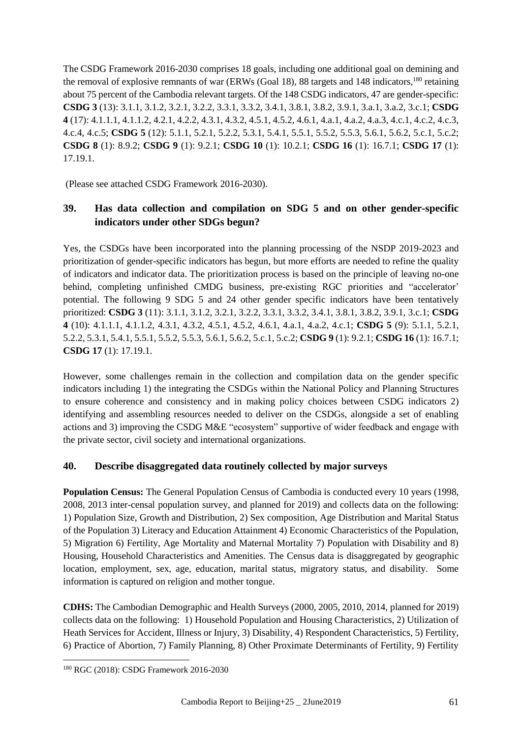The CSDG Framework 2016-2030 comprises 18 goals, including one additional goal on demining and the removal of explosive remnants of war (ERWs (Goal 18), 88 targets and 148 indicators,<sup>180</sup> retaining about 75 percent of the Cambodia relevant targets. Of the 148 CSDG indicators, 47 are gender-specific: **CSDG 3** (13): 3.1.1, 3.1.2, 3.2.1, 3.2.2, 3.3.1, 3.3.2, 3.4.1, 3.8.1, 3.8.2, 3.9.1, 3.a.1, 3.a.2, 3.c.1; **CSDG 4** (17): 4.1.1.1, 4.1.1.2, 4.2.1, 4.2.2, 4.3.1, 4.3.2, 4.5.1, 4.5.2, 4.6.1, 4.a.1, 4.a.2, 4.a.3, 4.c.1, 4.c.2, 4.c.3, 4.c.4, 4.c.5; **CSDG 5** (12): 5.1.1, 5.2.1, 5.2.2, 5.3.1, 5.4.1, 5.5.1, 5.5.2, 5.5.3, 5.6.1, 5.6.2, 5.c.1, 5.c.2; **CSDG 8** (1): 8.9.2; **CSDG 9** (1): 9.2.1; **CSDG 10** (1): 10.2.1; **CSDG 16** (1): 16.7.1; **CSDG 17** (1): 17.19.1.

(Please see attached CSDG Framework 2016-2030).

## **39. Has data collection and compilation on SDG 5 and on other gender-specific indicators under other SDGs begun?**

Yes, the CSDGs have been incorporated into the planning processing of the NSDP 2019-2023 and prioritization of gender-specific indicators has begun, but more efforts are needed to refine the quality of indicators and indicator data. The prioritization process is based on the principle of leaving no-one behind, completing unfinished CMDG business, pre-existing RGC priorities and "accelerator' potential. The following 9 SDG 5 and 24 other gender specific indicators have been tentatively prioritized: **CSDG 3** (11): 3.1.1, 3.1.2, 3.2.1, 3.2.2, 3.3.1, 3.3.2, 3.4.1, 3.8.1, 3.8.2, 3.9.1, 3.c.1; **CSDG 4** (10): 4.1.1.1, 4.1.1.2, 4.3.1, 4.3.2, 4.5.1, 4.5.2, 4.6.1, 4.a.1, 4.a.2, 4.c.1; **CSDG 5** (9): 5.1.1, 5.2.1, 5.2.2, 5.3.1, 5.4.1, 5.5.1, 5.5.2, 5.5.3, 5.6.1, 5.6.2, 5.c.1, 5.c.2; **CSDG 9** (1): 9.2.1; **CSDG 16** (1): 16.7.1; **CSDG 17** (1): 17.19.1.

However, some challenges remain in the collection and compilation data on the gender specific indicators including 1) the integrating the CSDGs within the National Policy and Planning Structures to ensure coherence and consistency and in making policy choices between CSDG indicators 2) identifying and assembling resources needed to deliver on the CSDGs, alongside a set of enabling actions and 3) improving the CSDG M&E "ecosystem" supportive of wider feedback and engage with the private sector, civil society and international organizations.

## **40. Describe disaggregated data routinely collected by major surveys**

**Population Census:** The General Population Census of Cambodia is conducted every 10 years (1998, 2008, 2013 inter-censal population survey, and planned for 2019) and collects data on the following: 1) Population Size, Growth and Distribution, 2) Sex composition, Age Distribution and Marital Status of the Population 3) Literacy and Education Attainment 4) Economic Characteristics of the Population, 5) Migration 6) Fertility, Age Mortality and Maternal Mortality 7) Population with Disability and 8) Housing, Household Characteristics and Amenities. The Census data is disaggregated by geographic location, employment, sex, age, education, marital status, migratory status, and disability. Some information is captured on religion and mother tongue.

**CDHS:** The Cambodian Demographic and Health Surveys (2000, 2005, 2010, 2014, planned for 2019) collects data on the following: 1) Household Population and Housing Characteristics, 2) Utilization of Heath Services for Accident, Illness or Injury, 3) Disability, 4) Respondent Characteristics, 5) Fertility, 6) Practice of Abortion, 7) Family Planning, 8) Other Proximate Determinants of Fertility, 9) Fertility

<sup>1</sup> <sup>180</sup> RGC (2018): CSDG Framework 2016-2030